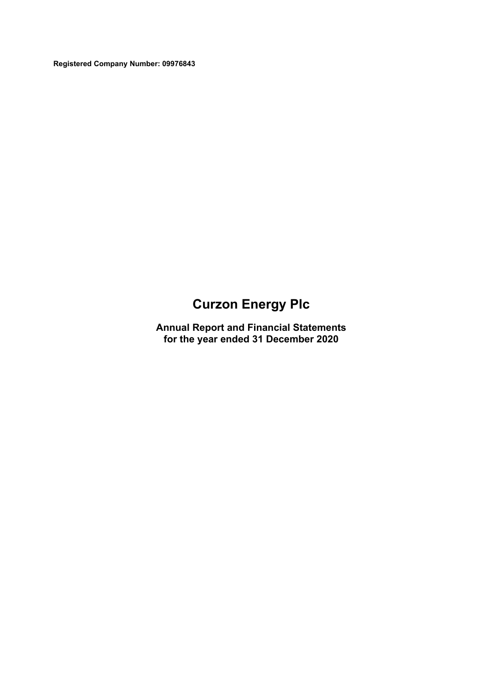**Registered Company Number: 09976843**

# **Curzon Energy Plc**

**Annual Report and Financial Statements for the year ended 31 December 2020**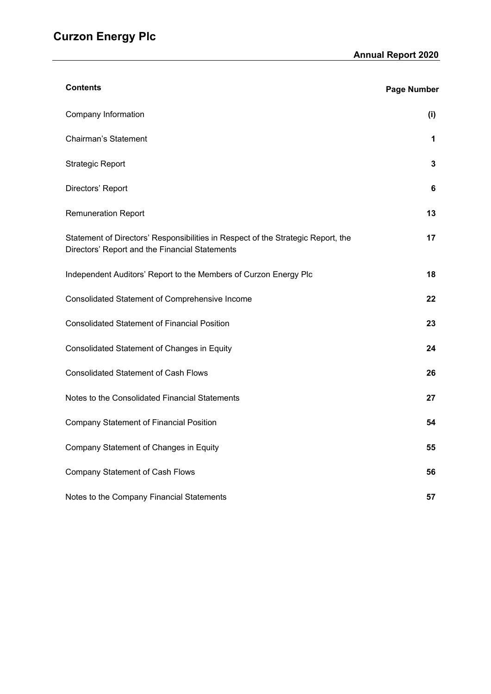| <b>Contents</b>                                                                                                                    | <b>Page Number</b> |
|------------------------------------------------------------------------------------------------------------------------------------|--------------------|
| Company Information                                                                                                                | (i)                |
| <b>Chairman's Statement</b>                                                                                                        | 1                  |
| <b>Strategic Report</b>                                                                                                            | 3                  |
| Directors' Report                                                                                                                  | 6                  |
| <b>Remuneration Report</b>                                                                                                         | 13                 |
| Statement of Directors' Responsibilities in Respect of the Strategic Report, the<br>Directors' Report and the Financial Statements | 17                 |
| Independent Auditors' Report to the Members of Curzon Energy Plc                                                                   | 18                 |
| Consolidated Statement of Comprehensive Income                                                                                     | 22                 |
| <b>Consolidated Statement of Financial Position</b>                                                                                | 23                 |
| Consolidated Statement of Changes in Equity                                                                                        | 24                 |
| <b>Consolidated Statement of Cash Flows</b>                                                                                        | 26                 |
| Notes to the Consolidated Financial Statements                                                                                     | 27                 |
| <b>Company Statement of Financial Position</b>                                                                                     | 54                 |
| Company Statement of Changes in Equity                                                                                             | 55                 |
| <b>Company Statement of Cash Flows</b>                                                                                             | 56                 |
| Notes to the Company Financial Statements                                                                                          | 57                 |

<u> 1980 - Johann Barbara, martxa amerikan per</u>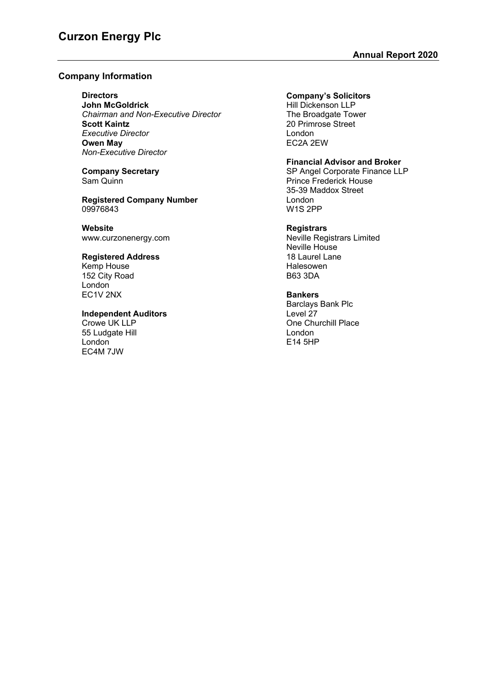# **Company Information**

**Directors**

**John McGoldrick** *Chairman and Non-Executive Director* **Scott Kaintz** *Executive Director* **Owen May** *Non-Executive Director*

**Company Secretary** Sam Quinn

**Registered Company Number** 09976843

**Website** [www.curzonenergy.com](http://www.curzonenergy.com/)

# **Registered Address**

Kemp House 152 City Road **London** EC1V 2NX

# **Independent Auditors**

Crowe UK LLP 55 Ludgate Hill London EC4M 7JW

# **Company's Solicitors**

Hill Dickenson LLP The Broadgate Tower 20 Primrose Street London EC2A 2EW

## **Financial Advisor and Broker**

SP Angel Corporate Finance LLP Prince Frederick House 35-39 Maddox Street London W1S 2PP

## **Registrars**

Neville Registrars Limited Neville House 18 Laurel Lane Halesowen B63 3DA

## **Bankers**

Barclays Bank Plc Level 27 One Churchill Place London E14 5HP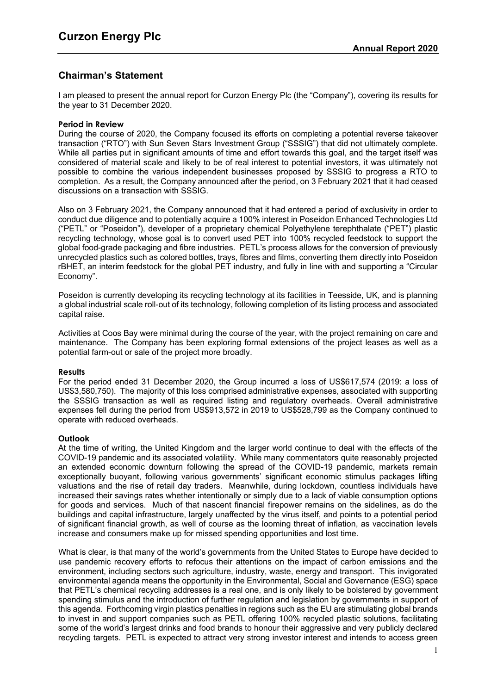# **Chairman's Statement**

I am pleased to present the annual report for Curzon Energy Plc (the "Company"), covering its results for the year to 31 December 2020.

## **Period in Review**

During the course of 2020, the Company focused its efforts on completing a potential reverse takeover transaction ("RTO") with Sun Seven Stars Investment Group ("SSSIG") that did not ultimately complete. While all parties put in significant amounts of time and effort towards this goal, and the target itself was considered of material scale and likely to be of real interest to potential investors, it was ultimately not possible to combine the various independent businesses proposed by SSSIG to progress a RTO to completion. As a result, the Company announced after the period, on 3 February 2021 that it had ceased discussions on a transaction with SSSIG.

Also on 3 February 2021, the Company announced that it had entered a period of exclusivity in order to conduct due diligence and to potentially acquire a 100% interest in Poseidon Enhanced Technologies Ltd ("PETL" or "Poseidon"), developer of a proprietary chemical Polyethylene terephthalate ("PET") plastic recycling technology, whose goal is to convert used PET into 100% recycled feedstock to support the global food-grade packaging and fibre industries. PETL's process allows for the conversion of previously unrecycled plastics such as colored bottles, trays, fibres and films, converting them directly into Poseidon rBHET, an interim feedstock for the global PET industry, and fully in line with and supporting a "Circular Economy".

Poseidon is currently developing its recycling technology at its facilities in Teesside, UK, and is planning a global industrial scale roll-out of its technology, following completion of its listing process and associated capital raise.

Activities at Coos Bay were minimal during the course of the year, with the project remaining on care and maintenance. The Company has been exploring formal extensions of the project leases as well as a potential farm-out or sale of the project more broadly.

#### **Results**

For the period ended 31 December 2020, the Group incurred a loss of US\$617,574 (2019: a loss of US\$3,580,750). The majority of this loss comprised administrative expenses, associated with supporting the SSSIG transaction as well as required listing and regulatory overheads. Overall administrative expenses fell during the period from US\$913,572 in 2019 to US\$528,799 as the Company continued to operate with reduced overheads.

# **Outlook**

At the time of writing, the United Kingdom and the larger world continue to deal with the effects of the COVID-19 pandemic and its associated volatility. While many commentators quite reasonably projected an extended economic downturn following the spread of the COVID-19 pandemic, markets remain exceptionally buoyant, following various governments' significant economic stimulus packages lifting valuations and the rise of retail day traders. Meanwhile, during lockdown, countless individuals have increased their savings rates whether intentionally or simply due to a lack of viable consumption options for goods and services. Much of that nascent financial firepower remains on the sidelines, as do the buildings and capital infrastructure, largely unaffected by the virus itself, and points to a potential period of significant financial growth, as well of course as the looming threat of inflation, as vaccination levels increase and consumers make up for missed spending opportunities and lost time.

What is clear, is that many of the world's governments from the United States to Europe have decided to use pandemic recovery efforts to refocus their attentions on the impact of carbon emissions and the environment, including sectors such agriculture, industry, waste, energy and transport. This invigorated environmental agenda means the opportunity in the Environmental, Social and Governance (ESG) space that PETL's chemical recycling addresses is a real one, and is only likely to be bolstered by government spending stimulus and the introduction of further regulation and legislation by governments in support of this agenda. Forthcoming virgin plastics penalties in regions such as the EU are stimulating global brands to invest in and support companies such as PETL offering 100% recycled plastic solutions, facilitating some of the world's largest drinks and food brands to honour their aggressive and very publicly declared recycling targets. PETL is expected to attract very strong investor interest and intends to access green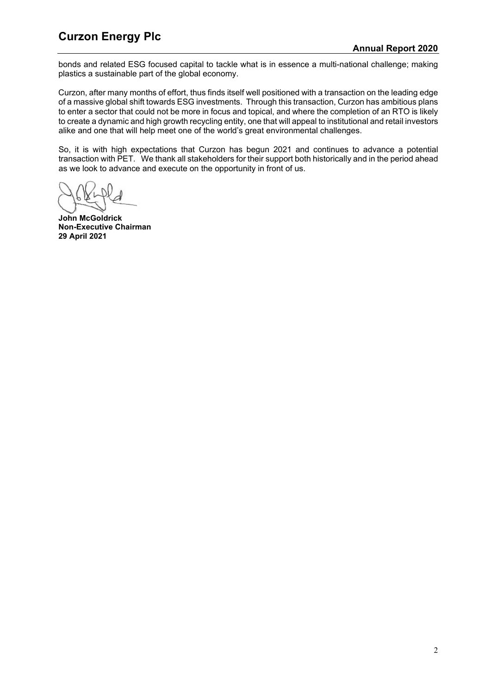# **Curzon Energy Plc Curzon Annual Report 2020**

bonds and related ESG focused capital to tackle what is in essence a multi-national challenge; making plastics a sustainable part of the global economy.

Curzon, after many months of effort, thus finds itself well positioned with a transaction on the leading edge of a massive global shift towards ESG investments. Through this transaction, Curzon has ambitious plans to enter a sector that could not be more in focus and topical, and where the completion of an RTO is likely to create a dynamic and high growth recycling entity, one that will appeal to institutional and retail investors alike and one that will help meet one of the world's great environmental challenges.

So, it is with high expectations that Curzon has begun 2021 and continues to advance a potential transaction with PET. We thank all stakeholders for their support both historically and in the period ahead as we look to advance and execute on the opportunity in front of us.

**John McGoldrick Non-Executive Chairman 29 April 2021**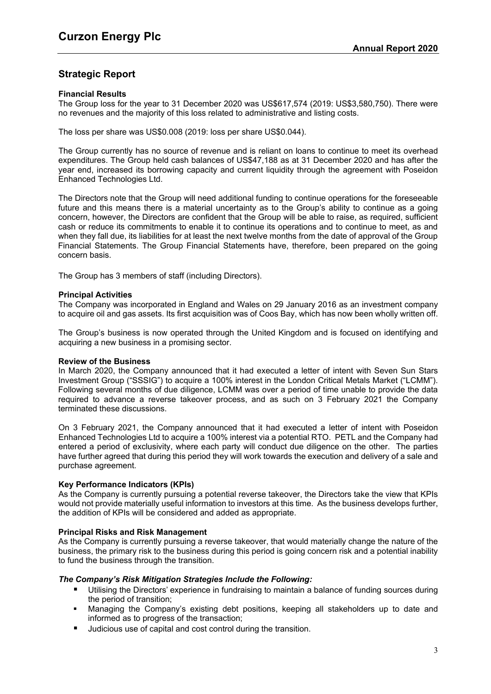# **Strategic Report**

## **Financial Results**

The Group loss for the year to 31 December 2020 was US\$617,574 (2019: US\$3,580,750). There were no revenues and the majority of this loss related to administrative and listing costs.

The loss per share was US\$0.008 (2019: loss per share US\$0.044).

The Group currently has no source of revenue and is reliant on loans to continue to meet its overhead expenditures. The Group held cash balances of US\$47,188 as at 31 December 2020 and has after the year end, increased its borrowing capacity and current liquidity through the agreement with Poseidon Enhanced Technologies Ltd.

The Directors note that the Group will need additional funding to continue operations for the foreseeable future and this means there is a material uncertainty as to the Group's ability to continue as a going concern, however, the Directors are confident that the Group will be able to raise, as required, sufficient cash or reduce its commitments to enable it to continue its operations and to continue to meet, as and when they fall due, its liabilities for at least the next twelve months from the date of approval of the Group Financial Statements. The Group Financial Statements have, therefore, been prepared on the going concern basis.

The Group has 3 members of staff (including Directors).

#### **Principal Activities**

The Company was incorporated in England and Wales on 29 January 2016 as an investment company to acquire oil and gas assets. Its first acquisition was of Coos Bay, which has now been wholly written off.

The Group's business is now operated through the United Kingdom and is focused on identifying and acquiring a new business in a promising sector.

#### **Review of the Business**

In March 2020, the Company announced that it had executed a letter of intent with Seven Sun Stars Investment Group ("SSSIG") to acquire a 100% interest in the London Critical Metals Market ("LCMM"). Following several months of due diligence, LCMM was over a period of time unable to provide the data required to advance a reverse takeover process, and as such on 3 February 2021 the Company terminated these discussions.

On 3 February 2021, the Company announced that it had executed a letter of intent with Poseidon Enhanced Technologies Ltd to acquire a 100% interest via a potential RTO. PETL and the Company had entered a period of exclusivity, where each party will conduct due diligence on the other. The parties have further agreed that during this period they will work towards the execution and delivery of a sale and purchase agreement.

## **Key Performance Indicators (KPIs)**

As the Company is currently pursuing a potential reverse takeover, the Directors take the view that KPIs would not provide materially useful information to investors at this time. As the business develops further, the addition of KPIs will be considered and added as appropriate.

# **Principal Risks and Risk Management**

As the Company is currently pursuing a reverse takeover, that would materially change the nature of the business, the primary risk to the business during this period is going concern risk and a potential inability to fund the business through the transition.

#### *The Company's Risk Mitigation Strategies Include the Following:*

- Utilising the Directors' experience in fundraising to maintain a balance of funding sources during the period of transition;
- Managing the Company's existing debt positions, keeping all stakeholders up to date and informed as to progress of the transaction;
- Judicious use of capital and cost control during the transition.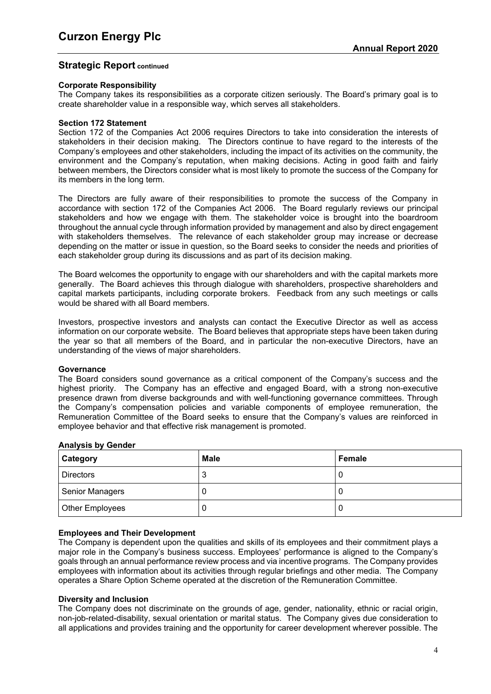# **Strategic Report continued**

## **Corporate Responsibility**

The Company takes its responsibilities as a corporate citizen seriously. The Board's primary goal is to create shareholder value in a responsible way, which serves all stakeholders.

#### **Section 172 Statement**

Section 172 of the Companies Act 2006 requires Directors to take into consideration the interests of stakeholders in their decision making. The Directors continue to have regard to the interests of the Company's employees and other stakeholders, including the impact of its activities on the community, the environment and the Company's reputation, when making decisions. Acting in good faith and fairly between members, the Directors consider what is most likely to promote the success of the Company for its members in the long term.

The Directors are fully aware of their responsibilities to promote the success of the Company in accordance with section 172 of the Companies Act 2006. The Board regularly reviews our principal stakeholders and how we engage with them. The stakeholder voice is brought into the boardroom throughout the annual cycle through information provided by management and also by direct engagement with stakeholders themselves. The relevance of each stakeholder group may increase or decrease depending on the matter or issue in question, so the Board seeks to consider the needs and priorities of each stakeholder group during its discussions and as part of its decision making.

The Board welcomes the opportunity to engage with our shareholders and with the capital markets more generally. The Board achieves this through dialogue with shareholders, prospective shareholders and capital markets participants, including corporate brokers. Feedback from any such meetings or calls would be shared with all Board members.

Investors, prospective investors and analysts can contact the Executive Director as well as access information on our corporate website. The Board believes that appropriate steps have been taken during the year so that all members of the Board, and in particular the non-executive Directors, have an understanding of the views of major shareholders.

#### **Governance**

The Board considers sound governance as a critical component of the Company's success and the highest priority. The Company has an effective and engaged Board, with a strong non-executive presence drawn from diverse backgrounds and with well-functioning governance committees. Through the Company's compensation policies and variable components of employee remuneration, the Remuneration Committee of the Board seeks to ensure that the Company's values are reinforced in employee behavior and that effective risk management is promoted.

| Category               | <b>Male</b> | Female |
|------------------------|-------------|--------|
| <b>Directors</b>       | ◠<br>v      | U      |
| <b>Senior Managers</b> |             | U      |
| Other Employees        |             | U      |

#### **Analysis by Gender**

#### **Employees and Their Development**

The Company is dependent upon the qualities and skills of its employees and their commitment plays a major role in the Company's business success. Employees' performance is aligned to the Company's goals through an annual performance review process and via incentive programs. The Company provides employees with information about its activities through regular briefings and other media. The Company operates a Share Option Scheme operated at the discretion of the Remuneration Committee.

#### **Diversity and Inclusion**

The Company does not discriminate on the grounds of age, gender, nationality, ethnic or racial origin, non-job-related-disability, sexual orientation or marital status. The Company gives due consideration to all applications and provides training and the opportunity for career development wherever possible. The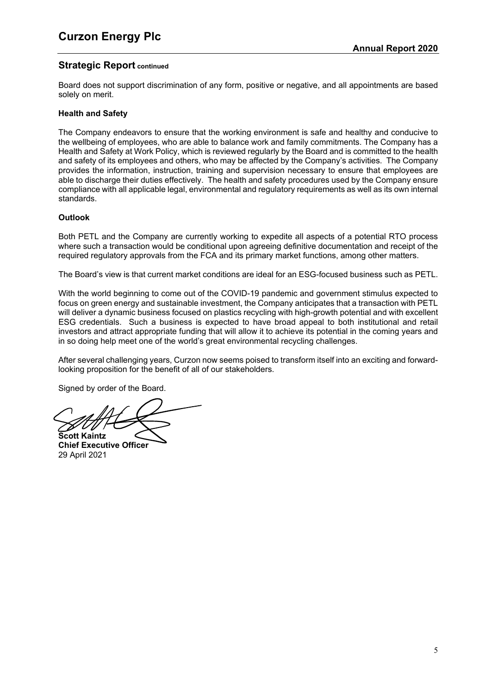# **Strategic Report continued**

Board does not support discrimination of any form, positive or negative, and all appointments are based solely on merit.

# **Health and Safety**

The Company endeavors to ensure that the working environment is safe and healthy and conducive to the wellbeing of employees, who are able to balance work and family commitments. The Company has a Health and Safety at Work Policy, which is reviewed regularly by the Board and is committed to the health and safety of its employees and others, who may be affected by the Company's activities. The Company provides the information, instruction, training and supervision necessary to ensure that employees are able to discharge their duties effectively. The health and safety procedures used by the Company ensure compliance with all applicable legal, environmental and regulatory requirements as well as its own internal standards.

# **Outlook**

Both PETL and the Company are currently working to expedite all aspects of a potential RTO process where such a transaction would be conditional upon agreeing definitive documentation and receipt of the required regulatory approvals from the FCA and its primary market functions, among other matters.

The Board's view is that current market conditions are ideal for an ESG-focused business such as PETL.

With the world beginning to come out of the COVID-19 pandemic and government stimulus expected to focus on green energy and sustainable investment, the Company anticipates that a transaction with PETL will deliver a dynamic business focused on plastics recycling with high-growth potential and with excellent ESG credentials. Such a business is expected to have broad appeal to both institutional and retail investors and attract appropriate funding that will allow it to achieve its potential in the coming years and in so doing help meet one of the world's great environmental recycling challenges.

After several challenging years, Curzon now seems poised to transform itself into an exciting and forwardlooking proposition for the benefit of all of our stakeholders.

Signed by order of the Board.

**Scott Kaintz**

**Chief Executive Officer** 29 April 2021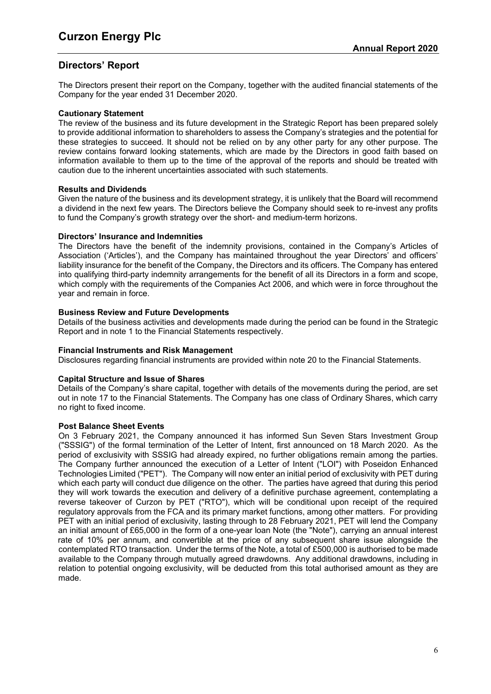# **Directors' Report**

The Directors present their report on the Company, together with the audited financial statements of the Company for the year ended 31 December 2020.

#### **Cautionary Statement**

The review of the business and its future development in the Strategic Report has been prepared solely to provide additional information to shareholders to assess the Company's strategies and the potential for these strategies to succeed. It should not be relied on by any other party for any other purpose. The review contains forward looking statements, which are made by the Directors in good faith based on information available to them up to the time of the approval of the reports and should be treated with caution due to the inherent uncertainties associated with such statements.

## **Results and Dividends**

Given the nature of the business and its development strategy, it is unlikely that the Board will recommend a dividend in the next few years. The Directors believe the Company should seek to re-invest any profits to fund the Company's growth strategy over the short- and medium-term horizons.

## **Directors' Insurance and Indemnities**

The Directors have the benefit of the indemnity provisions, contained in the Company's Articles of Association ('Articles'), and the Company has maintained throughout the year Directors' and officers' liability insurance for the benefit of the Company, the Directors and its officers. The Company has entered into qualifying third-party indemnity arrangements for the benefit of all its Directors in a form and scope, which comply with the requirements of the Companies Act 2006, and which were in force throughout the year and remain in force.

## **Business Review and Future Developments**

Details of the business activities and developments made during the period can be found in the Strategic Report and in note [1](#page-29-0) to the Financial Statements respectively.

#### **Financial Instruments and Risk Management**

Disclosures regarding financial instruments are provided within note [20](#page-50-0) to the Financial Statements.

#### **Capital Structure and Issue of Shares**

Details of the Company's share capital, together with details of the movements during the period, are set out in note [17](#page-47-0) to the Financial Statements. The Company has one class of Ordinary Shares, which carry no right to fixed income.

#### **Post Balance Sheet Events**

On 3 February 2021, the Company announced it has informed Sun Seven Stars Investment Group ("SSSIG") of the formal termination of the Letter of Intent, first announced on 18 March 2020. As the period of exclusivity with SSSIG had already expired, no further obligations remain among the parties. The Company further announced the execution of a Letter of Intent ("LOI") with Poseidon Enhanced Technologies Limited ("PET"). The Company will now enter an initial period of exclusivity with PET during which each party will conduct due diligence on the other. The parties have agreed that during this period they will work towards the execution and delivery of a definitive purchase agreement, contemplating a reverse takeover of Curzon by PET ("RTO"), which will be conditional upon receipt of the required regulatory approvals from the FCA and its primary market functions, among other matters. For providing PET with an initial period of exclusivity, lasting through to 28 February 2021, PET will lend the Company an initial amount of £65,000 in the form of a one-year loan Note (the "Note"), carrying an annual interest rate of 10% per annum, and convertible at the price of any subsequent share issue alongside the contemplated RTO transaction. Under the terms of the Note, a total of £500,000 is authorised to be made available to the Company through mutually agreed drawdowns. Any additional drawdowns, including in relation to potential ongoing exclusivity, will be deducted from this total authorised amount as they are made.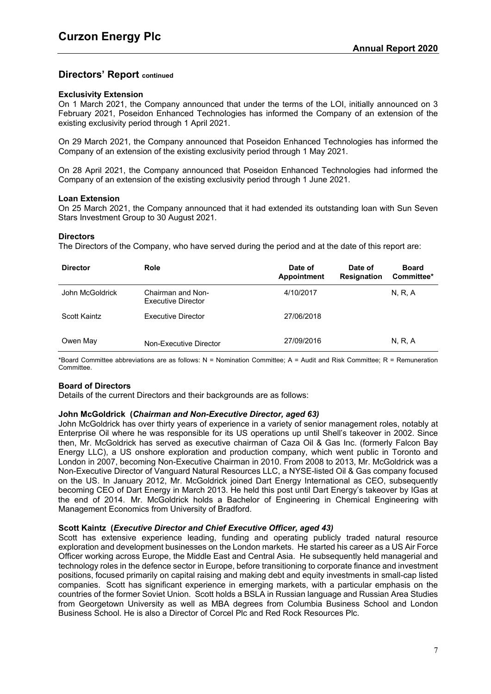## **Exclusivity Extension**

On 1 March 2021, the Company announced that under the terms of the LOI, initially announced on 3 February 2021, Poseidon Enhanced Technologies has informed the Company of an extension of the existing exclusivity period through 1 April 2021.

On 29 March 2021, the Company announced that Poseidon Enhanced Technologies has informed the Company of an extension of the existing exclusivity period through 1 May 2021.

On 28 April 2021, the Company announced that Poseidon Enhanced Technologies had informed the Company of an extension of the existing exclusivity period through 1 June 2021.

#### **Loan Extension**

On 25 March 2021, the Company announced that it had extended its outstanding loan with Sun Seven Stars Investment Group to 30 August 2021.

#### **Directors**

The Directors of the Company, who have served during the period and at the date of this report are:

| <b>Director</b> | Role                                           | Date of<br>Appointment | Date of<br><b>Resignation</b> | <b>Board</b><br>Committee* |
|-----------------|------------------------------------------------|------------------------|-------------------------------|----------------------------|
| John McGoldrick | Chairman and Non-<br><b>Executive Director</b> | 4/10/2017              |                               | N, R, A                    |
| Scott Kaintz    | <b>Executive Director</b>                      | 27/06/2018             |                               |                            |
| Owen May        | Non-Executive Director                         | 27/09/2016             |                               | N, R, A                    |

\*Board Committee abbreviations are as follows: N = Nomination Committee; A = Audit and Risk Committee; R = Remuneration Committee.

#### **Board of Directors**

Details of the current Directors and their backgrounds are as follows:

#### **John McGoldrick (***Chairman and Non-Executive Director, aged 63)*

John McGoldrick has over thirty years of experience in a variety of senior management roles, notably at Enterprise Oil where he was responsible for its US operations up until Shell's takeover in 2002. Since then, Mr. McGoldrick has served as executive chairman of Caza Oil & Gas Inc. (formerly Falcon Bay Energy LLC), a US onshore exploration and production company, which went public in Toronto and London in 2007, becoming Non-Executive Chairman in 2010. From 2008 to 2013, Mr. McGoldrick was a Non-Executive Director of Vanguard Natural Resources LLC, a NYSE-listed Oil & Gas company focused on the US. In January 2012, Mr. McGoldrick joined Dart Energy International as CEO, subsequently becoming CEO of Dart Energy in March 2013. He held this post until Dart Energy's takeover by IGas at the end of 2014. Mr. McGoldrick holds a Bachelor of Engineering in Chemical Engineering with Management Economics from University of Bradford.

#### **Scott Kaintz (***Executive Director and Chief Executive Officer, aged 43)*

Scott has extensive experience leading, funding and operating publicly traded natural resource exploration and development businesses on the London markets. He started his career as a US Air Force Officer working across Europe, the Middle East and Central Asia. He subsequently held managerial and technology roles in the defence sector in Europe, before transitioning to corporate finance and investment positions, focused primarily on capital raising and making debt and equity investments in small-cap listed companies. Scott has significant experience in emerging markets, with a particular emphasis on the countries of the former Soviet Union. Scott holds a BSLA in Russian language and Russian Area Studies from Georgetown University as well as MBA degrees from Columbia Business School and London Business School. He is also a Director of Corcel Plc and Red Rock Resources Plc.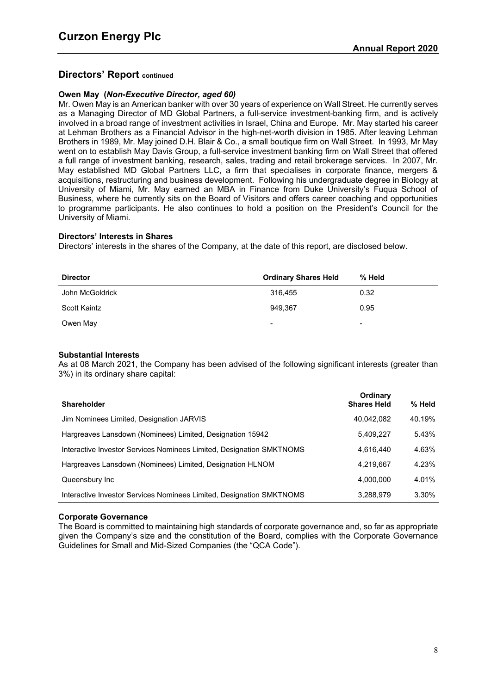## **Owen May (***Non-Executive Director, aged 60)*

Mr. Owen May is an American banker with over 30 years of experience on Wall Street. He currently serves as a Managing Director of MD Global Partners, a full-service investment-banking firm, and is actively involved in a broad range of investment activities in Israel, China and Europe. Mr. May started his career at Lehman Brothers as a Financial Advisor in the high-net-worth division in 1985. After leaving Lehman Brothers in 1989, Mr. May joined D.H. Blair & Co., a small boutique firm on Wall Street. In 1993, Mr May went on to establish May Davis Group, a full-service investment banking firm on Wall Street that offered a full range of investment banking, research, sales, trading and retail brokerage services. In 2007, Mr. May established MD Global Partners LLC, a firm that specialises in corporate finance, mergers & acquisitions, restructuring and business development. Following his undergraduate degree in Biology at University of Miami, Mr. May earned an MBA in Finance from Duke University's Fuqua School of Business, where he currently sits on the Board of Visitors and offers career coaching and opportunities to programme participants. He also continues to hold a position on the President's Council for the University of Miami.

## **Directors' Interests in Shares**

Directors' interests in the shares of the Company, at the date of this report, are disclosed below.

| <b>Director</b> | <b>Ordinary Shares Held</b> | % Held          |
|-----------------|-----------------------------|-----------------|
| John McGoldrick | 316.455                     | 0.32            |
| Scott Kaintz    | 949,367                     | 0.95            |
| Owen May        | $\,$                        | $\qquad \qquad$ |

# **Substantial Interests**

As at 08 March 2021, the Company has been advised of the following significant interests (greater than 3%) in its ordinary share capital:

| <b>Shareholder</b>                                                   | Ordinary<br><b>Shares Held</b> | % Held |
|----------------------------------------------------------------------|--------------------------------|--------|
| Jim Nominees Limited, Designation JARVIS                             | 40,042,082                     | 40.19% |
| Hargreaves Lansdown (Nominees) Limited, Designation 15942            | 5,409,227                      | 5.43%  |
| Interactive Investor Services Nominees Limited, Designation SMKTNOMS | 4.616.440                      | 4.63%  |
| Hargreaves Lansdown (Nominees) Limited, Designation HLNOM            | 4,219,667                      | 4.23%  |
| Queensbury Inc                                                       | 4.000.000                      | 4.01%  |
| Interactive Investor Services Nominees Limited, Designation SMKTNOMS | 3,288,979                      | 3.30%  |

#### **Corporate Governance**

The Board is committed to maintaining high standards of corporate governance and, so far as appropriate given the Company's size and the constitution of the Board, complies with the Corporate Governance Guidelines for Small and Mid-Sized Companies (the "QCA Code").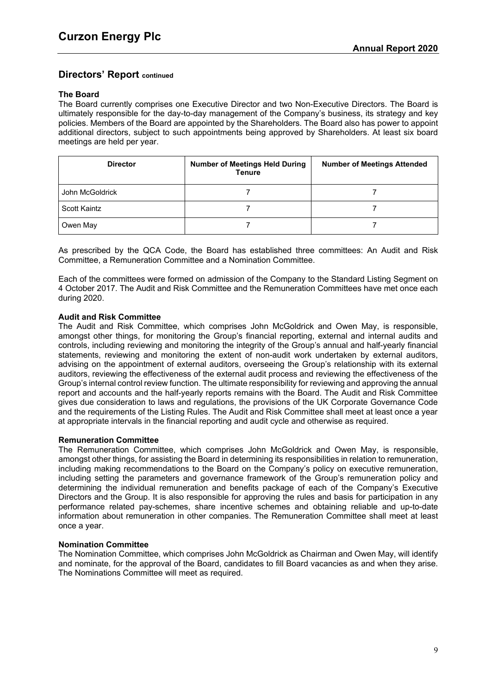## **The Board**

The Board currently comprises one Executive Director and two Non-Executive Directors. The Board is ultimately responsible for the day-to-day management of the Company's business, its strategy and key policies. Members of the Board are appointed by the Shareholders. The Board also has power to appoint additional directors, subject to such appointments being approved by Shareholders. At least six board meetings are held per year.

| <b>Director</b>     | <b>Number of Meetings Held During</b><br><b>Tenure</b> | <b>Number of Meetings Attended</b> |
|---------------------|--------------------------------------------------------|------------------------------------|
| John McGoldrick     |                                                        |                                    |
| <b>Scott Kaintz</b> |                                                        |                                    |
| Owen May            |                                                        |                                    |

As prescribed by the QCA Code, the Board has established three committees: An Audit and Risk Committee, a Remuneration Committee and a Nomination Committee.

Each of the committees were formed on admission of the Company to the Standard Listing Segment on 4 October 2017. The Audit and Risk Committee and the Remuneration Committees have met once each during 2020.

## **Audit and Risk Committee**

The Audit and Risk Committee, which comprises John McGoldrick and Owen May, is responsible, amongst other things, for monitoring the Group's financial reporting, external and internal audits and controls, including reviewing and monitoring the integrity of the Group's annual and half-yearly financial statements, reviewing and monitoring the extent of non-audit work undertaken by external auditors, advising on the appointment of external auditors, overseeing the Group's relationship with its external auditors, reviewing the effectiveness of the external audit process and reviewing the effectiveness of the Group's internal control review function. The ultimate responsibility for reviewing and approving the annual report and accounts and the half-yearly reports remains with the Board. The Audit and Risk Committee gives due consideration to laws and regulations, the provisions of the UK Corporate Governance Code and the requirements of the Listing Rules. The Audit and Risk Committee shall meet at least once a year at appropriate intervals in the financial reporting and audit cycle and otherwise as required.

#### **Remuneration Committee**

The Remuneration Committee, which comprises John McGoldrick and Owen May, is responsible, amongst other things, for assisting the Board in determining its responsibilities in relation to remuneration, including making recommendations to the Board on the Company's policy on executive remuneration, including setting the parameters and governance framework of the Group's remuneration policy and determining the individual remuneration and benefits package of each of the Company's Executive Directors and the Group. It is also responsible for approving the rules and basis for participation in any performance related pay-schemes, share incentive schemes and obtaining reliable and up-to-date information about remuneration in other companies. The Remuneration Committee shall meet at least once a year.

#### **Nomination Committee**

The Nomination Committee, which comprises John McGoldrick as Chairman and Owen May, will identify and nominate, for the approval of the Board, candidates to fill Board vacancies as and when they arise. The Nominations Committee will meet as required.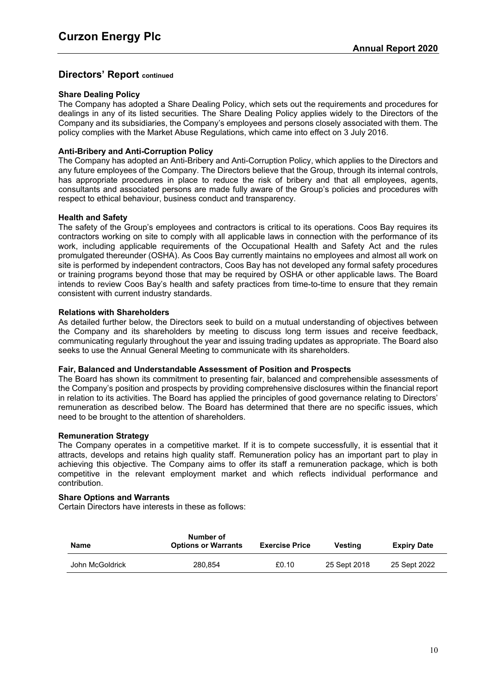## **Share Dealing Policy**

The Company has adopted a Share Dealing Policy, which sets out the requirements and procedures for dealings in any of its listed securities. The Share Dealing Policy applies widely to the Directors of the Company and its subsidiaries, the Company's employees and persons closely associated with them. The policy complies with the Market Abuse Regulations, which came into effect on 3 July 2016.

# **Anti-Bribery and Anti-Corruption Policy**

The Company has adopted an Anti-Bribery and Anti-Corruption Policy, which applies to the Directors and any future employees of the Company. The Directors believe that the Group, through its internal controls, has appropriate procedures in place to reduce the risk of bribery and that all employees, agents, consultants and associated persons are made fully aware of the Group's policies and procedures with respect to ethical behaviour, business conduct and transparency.

#### **Health and Safety**

The safety of the Group's employees and contractors is critical to its operations. Coos Bay requires its contractors working on site to comply with all applicable laws in connection with the performance of its work, including applicable requirements of the Occupational Health and Safety Act and the rules promulgated thereunder (OSHA). As Coos Bay currently maintains no employees and almost all work on site is performed by independent contractors, Coos Bay has not developed any formal safety procedures or training programs beyond those that may be required by OSHA or other applicable laws. The Board intends to review Coos Bay's health and safety practices from time-to-time to ensure that they remain consistent with current industry standards.

## **Relations with Shareholders**

As detailed further below, the Directors seek to build on a mutual understanding of objectives between the Company and its shareholders by meeting to discuss long term issues and receive feedback, communicating regularly throughout the year and issuing trading updates as appropriate. The Board also seeks to use the Annual General Meeting to communicate with its shareholders.

#### **Fair, Balanced and Understandable Assessment of Position and Prospects**

The Board has shown its commitment to presenting fair, balanced and comprehensible assessments of the Company's position and prospects by providing comprehensive disclosures within the financial report in relation to its activities. The Board has applied the principles of good governance relating to Directors' remuneration as described below. The Board has determined that there are no specific issues, which need to be brought to the attention of shareholders.

## **Remuneration Strategy**

The Company operates in a competitive market. If it is to compete successfully, it is essential that it attracts, develops and retains high quality staff. Remuneration policy has an important part to play in achieving this objective. The Company aims to offer its staff a remuneration package, which is both competitive in the relevant employment market and which reflects individual performance and contribution.

#### **Share Options and Warrants**

Certain Directors have interests in these as follows:

| Name            | Number of<br><b>Options or Warrants</b> | <b>Exercise Price</b> | Vestina      | <b>Expiry Date</b> |
|-----------------|-----------------------------------------|-----------------------|--------------|--------------------|
| John McGoldrick | 280.854                                 | £0.10                 | 25 Sept 2018 | 25 Sept 2022       |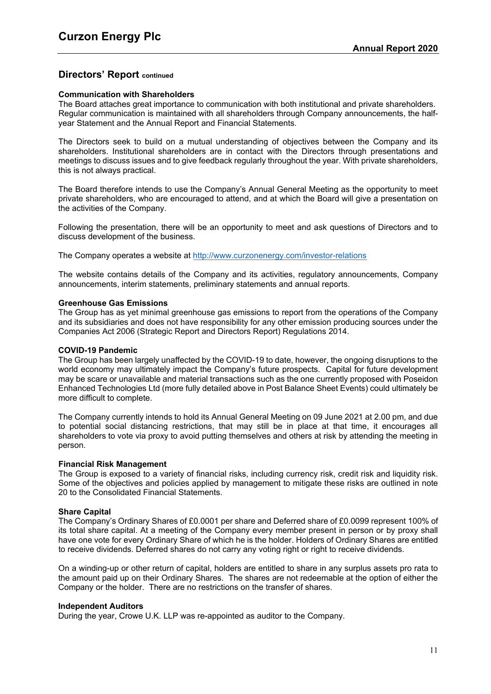## **Communication with Shareholders**

The Board attaches great importance to communication with both institutional and private shareholders. Regular communication is maintained with all shareholders through Company announcements, the halfyear Statement and the Annual Report and Financial Statements.

The Directors seek to build on a mutual understanding of objectives between the Company and its shareholders. Institutional shareholders are in contact with the Directors through presentations and meetings to discuss issues and to give feedback regularly throughout the year. With private shareholders, this is not always practical.

The Board therefore intends to use the Company's Annual General Meeting as the opportunity to meet private shareholders, who are encouraged to attend, and at which the Board will give a presentation on the activities of the Company.

Following the presentation, there will be an opportunity to meet and ask questions of Directors and to discuss development of the business.

The Company operates a website at <http://www.curzonenergy.com/investor-relations>

The website contains details of the Company and its activities, regulatory announcements, Company announcements, interim statements, preliminary statements and annual reports.

#### **Greenhouse Gas Emissions**

The Group has as yet minimal greenhouse gas emissions to report from the operations of the Company and its subsidiaries and does not have responsibility for any other emission producing sources under the Companies Act 2006 (Strategic Report and Directors Report) Regulations 2014.

#### **COVID-19 Pandemic**

The Group has been largely unaffected by the COVID-19 to date, however, the ongoing disruptions to the world economy may ultimately impact the Company's future prospects. Capital for future development may be scare or unavailable and material transactions such as the one currently proposed with Poseidon Enhanced Technologies Ltd (more fully detailed above in Post Balance Sheet Events) could ultimately be more difficult to complete.

The Company currently intends to hold its Annual General Meeting on 09 June 2021 at 2.00 pm, and due to potential social distancing restrictions, that may still be in place at that time, it encourages all shareholders to vote via proxy to avoid putting themselves and others at risk by attending the meeting in person.

#### **Financial Risk Management**

The Group is exposed to a variety of financial risks, including currency risk, credit risk and liquidity risk. Some of the objectives and policies applied by management to mitigate these risks are outlined in note 20 to the Consolidated Financial Statements.

#### **Share Capital**

The Company's Ordinary Shares of £0.0001 per share and Deferred share of £0.0099 represent 100% of its total share capital. At a meeting of the Company every member present in person or by proxy shall have one vote for every Ordinary Share of which he is the holder. Holders of Ordinary Shares are entitled to receive dividends. Deferred shares do not carry any voting right or right to receive dividends.

On a winding-up or other return of capital, holders are entitled to share in any surplus assets pro rata to the amount paid up on their Ordinary Shares. The shares are not redeemable at the option of either the Company or the holder. There are no restrictions on the transfer of shares.

#### **Independent Auditors**

During the year, Crowe U.K. LLP was re-appointed as auditor to the Company.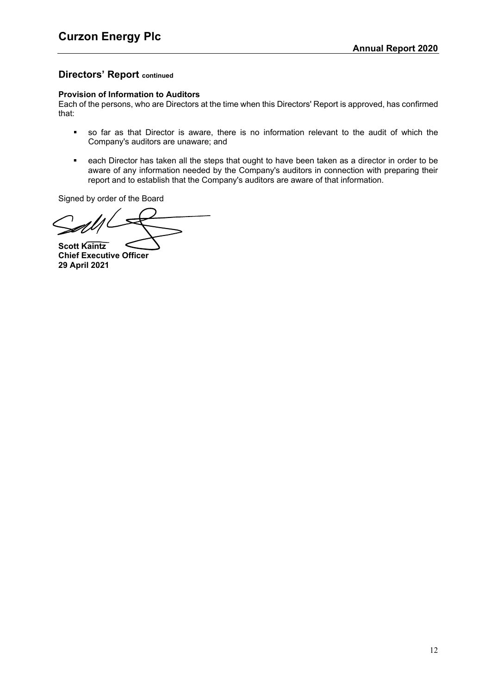## **Provision of Information to Auditors**

Each of the persons, who are Directors at the time when this Directors' Report is approved, has confirmed that:

- so far as that Director is aware, there is no information relevant to the audit of which the Company's auditors are unaware; and
- each Director has taken all the steps that ought to have been taken as a director in order to be aware of any information needed by the Company's auditors in connection with preparing their report and to establish that the Company's auditors are aware of that information.

Signed by order of the Board

**Scott Kaintz**

**Chief Executive Officer 29 April 2021**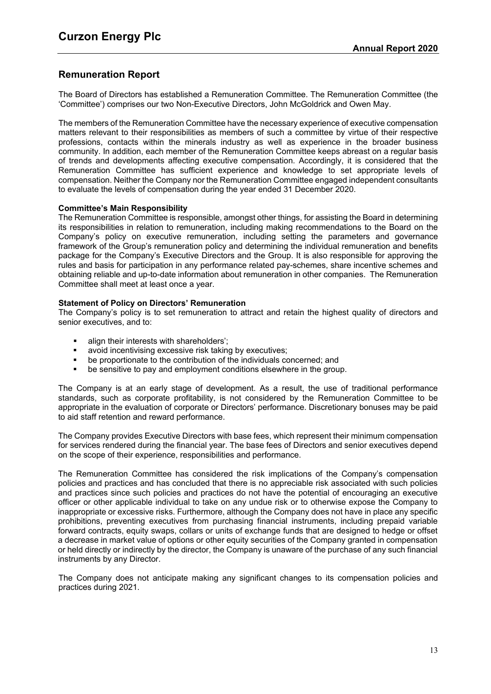# **Remuneration Report**

The Board of Directors has established a Remuneration Committee. The Remuneration Committee (the 'Committee') comprises our two Non-Executive Directors, John McGoldrick and Owen May.

The members of the Remuneration Committee have the necessary experience of executive compensation matters relevant to their responsibilities as members of such a committee by virtue of their respective professions, contacts within the minerals industry as well as experience in the broader business community. In addition, each member of the Remuneration Committee keeps abreast on a regular basis of trends and developments affecting executive compensation. Accordingly, it is considered that the Remuneration Committee has sufficient experience and knowledge to set appropriate levels of compensation. Neither the Company nor the Remuneration Committee engaged independent consultants to evaluate the levels of compensation during the year ended 31 December 2020.

## **Committee's Main Responsibility**

The Remuneration Committee is responsible, amongst other things, for assisting the Board in determining its responsibilities in relation to remuneration, including making recommendations to the Board on the Company's policy on executive remuneration, including setting the parameters and governance framework of the Group's remuneration policy and determining the individual remuneration and benefits package for the Company's Executive Directors and the Group. It is also responsible for approving the rules and basis for participation in any performance related pay-schemes, share incentive schemes and obtaining reliable and up-to-date information about remuneration in other companies. The Remuneration Committee shall meet at least once a year.

#### **Statement of Policy on Directors' Remuneration**

The Company's policy is to set remuneration to attract and retain the highest quality of directors and senior executives, and to:

- align their interests with shareholders';
- avoid incentivising excessive risk taking by executives;
- be proportionate to the contribution of the individuals concerned; and
- be sensitive to pay and employment conditions elsewhere in the group.

The Company is at an early stage of development. As a result, the use of traditional performance standards, such as corporate profitability, is not considered by the Remuneration Committee to be appropriate in the evaluation of corporate or Directors' performance. Discretionary bonuses may be paid to aid staff retention and reward performance.

The Company provides Executive Directors with base fees, which represent their minimum compensation for services rendered during the financial year. The base fees of Directors and senior executives depend on the scope of their experience, responsibilities and performance.

The Remuneration Committee has considered the risk implications of the Company's compensation policies and practices and has concluded that there is no appreciable risk associated with such policies and practices since such policies and practices do not have the potential of encouraging an executive officer or other applicable individual to take on any undue risk or to otherwise expose the Company to inappropriate or excessive risks. Furthermore, although the Company does not have in place any specific prohibitions, preventing executives from purchasing financial instruments, including prepaid variable forward contracts, equity swaps, collars or units of exchange funds that are designed to hedge or offset a decrease in market value of options or other equity securities of the Company granted in compensation or held directly or indirectly by the director, the Company is unaware of the purchase of any such financial instruments by any Director.

The Company does not anticipate making any significant changes to its compensation policies and practices during 2021.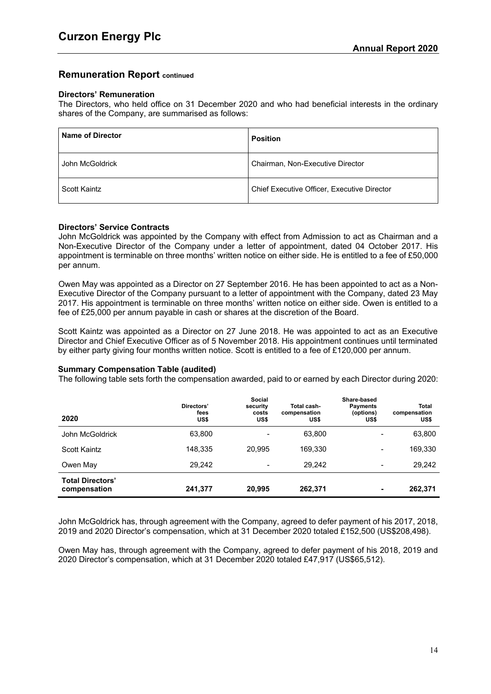# **Remuneration Report continued**

#### **Directors' Remuneration**

The Directors, who held office on 31 December 2020 and who had beneficial interests in the ordinary shares of the Company, are summarised as follows:

| <b>Name of Director</b> | <b>Position</b>                             |
|-------------------------|---------------------------------------------|
| John McGoldrick         | Chairman, Non-Executive Director            |
| Scott Kaintz            | Chief Executive Officer, Executive Director |

## **Directors' Service Contracts**

John McGoldrick was appointed by the Company with effect from Admission to act as Chairman and a Non-Executive Director of the Company under a letter of appointment, dated 04 October 2017. His appointment is terminable on three months' written notice on either side. He is entitled to a fee of £50,000 per annum.

Owen May was appointed as a Director on 27 September 2016. He has been appointed to act as a Non-Executive Director of the Company pursuant to a letter of appointment with the Company, dated 23 May 2017. His appointment is terminable on three months' written notice on either side. Owen is entitled to a fee of £25,000 per annum payable in cash or shares at the discretion of the Board.

Scott Kaintz was appointed as a Director on 27 June 2018. He was appointed to act as an Executive Director and Chief Executive Officer as of 5 November 2018. His appointment continues until terminated by either party giving four months written notice. Scott is entitled to a fee of £120,000 per annum.

#### **Summary Compensation Table (audited)**

The following table sets forth the compensation awarded, paid to or earned by each Director during 2020:

| 2020                                    | Directors'<br>fees<br>US\$ | <b>Social</b><br>security<br>costs<br>US\$ | Total cash-<br>compensation<br>US\$ | Share-based<br><b>Payments</b><br>(options)<br>US\$ | <b>Total</b><br>compensation<br>US\$ |
|-----------------------------------------|----------------------------|--------------------------------------------|-------------------------------------|-----------------------------------------------------|--------------------------------------|
| John McGoldrick                         | 63,800                     |                                            | 63,800                              | $\overline{\phantom{0}}$                            | 63,800                               |
| Scott Kaintz                            | 148.335                    | 20.995                                     | 169,330                             | -                                                   | 169,330                              |
| Owen May                                | 29,242                     | $\overline{\phantom{a}}$                   | 29.242                              | $\,$                                                | 29,242                               |
| <b>Total Directors'</b><br>compensation | 241,377                    | 20.995                                     | 262,371                             | -                                                   | 262,371                              |

John McGoldrick has, through agreement with the Company, agreed to defer payment of his 2017, 2018, 2019 and 2020 Director's compensation, which at 31 December 2020 totaled £152,500 (US\$208,498).

Owen May has, through agreement with the Company, agreed to defer payment of his 2018, 2019 and 2020 Director's compensation, which at 31 December 2020 totaled £47,917 (US\$65,512).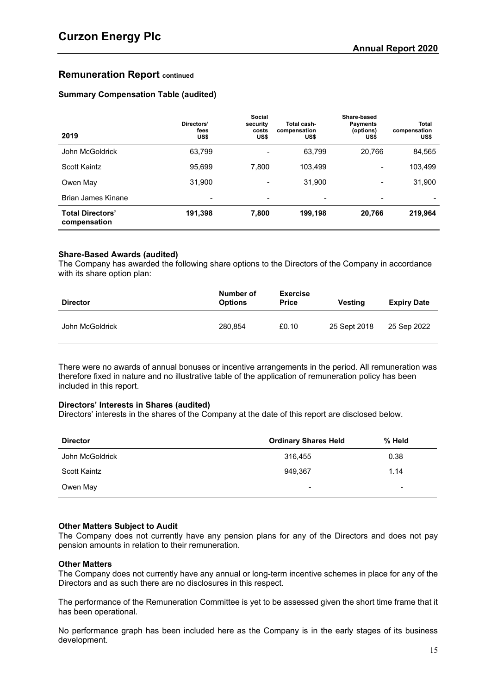# **Remuneration Report continued**

# **Summary Compensation Table (audited)**

| 2019                                    | Directors'<br>fees<br>US\$ | Social<br>security<br>costs<br>US\$ | Total cash-<br>compensation<br>US\$ | Share-based<br><b>Payments</b><br>(options)<br>US\$ | <b>Total</b><br>compensation<br>US\$ |
|-----------------------------------------|----------------------------|-------------------------------------|-------------------------------------|-----------------------------------------------------|--------------------------------------|
| John McGoldrick                         | 63,799                     |                                     | 63,799                              | 20,766                                              | 84,565                               |
| Scott Kaintz                            | 95,699                     | 7.800                               | 103.499                             | $\overline{\phantom{a}}$                            | 103,499                              |
| Owen May                                | 31,900                     | $\overline{\phantom{a}}$            | 31,900                              | $\overline{\phantom{a}}$                            | 31,900                               |
| Brian James Kinane                      | $\blacksquare$             | $\overline{\phantom{a}}$            | -                                   | $\overline{\phantom{a}}$                            |                                      |
| <b>Total Directors'</b><br>compensation | 191,398                    | 7,800                               | 199,198                             | 20,766                                              | 219,964                              |

## **Share-Based Awards (audited)**

The Company has awarded the following share options to the Directors of the Company in accordance with its share option plan:

| <b>Director</b> | Number of<br><b>Options</b> | <b>Exercise</b><br><b>Price</b> | Vesting      | <b>Expiry Date</b> |
|-----------------|-----------------------------|---------------------------------|--------------|--------------------|
| John McGoldrick | 280.854                     | £0.10                           | 25 Sept 2018 | 25 Sep 2022        |

There were no awards of annual bonuses or incentive arrangements in the period. All remuneration was therefore fixed in nature and no illustrative table of the application of remuneration policy has been included in this report.

# **Directors' Interests in Shares (audited)**

Directors' interests in the shares of the Company at the date of this report are disclosed below.

| <b>Director</b> | <b>Ordinary Shares Held</b> | % Held         |
|-----------------|-----------------------------|----------------|
| John McGoldrick | 316.455                     | 0.38           |
| Scott Kaintz    | 949.367                     | 1.14           |
| Owen May        | $\overline{\phantom{a}}$    | $\blacksquare$ |

# **Other Matters Subject to Audit**

The Company does not currently have any pension plans for any of the Directors and does not pay pension amounts in relation to their remuneration.

#### **Other Matters**

The Company does not currently have any annual or long-term incentive schemes in place for any of the Directors and as such there are no disclosures in this respect.

The performance of the Remuneration Committee is yet to be assessed given the short time frame that it has been operational.

No performance graph has been included here as the Company is in the early stages of its business development.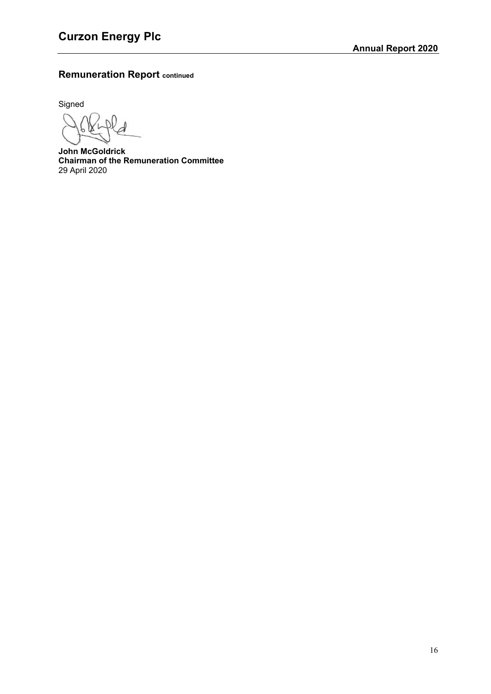# **Remuneration Report continued**

Signed

**John McGoldrick Chairman of the Remuneration Committee** 29 April 2020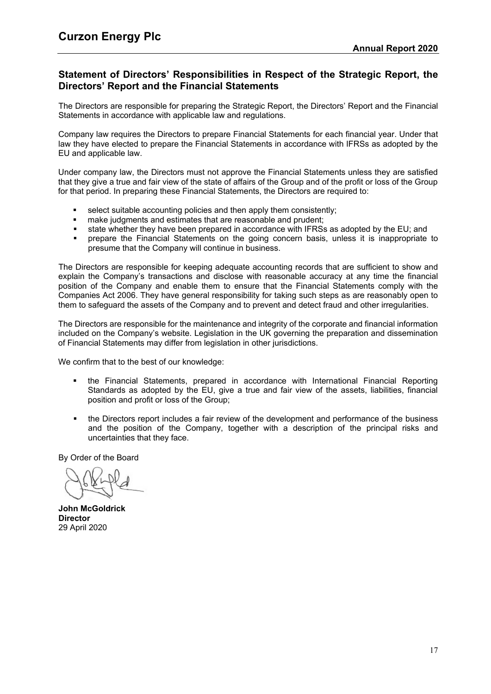# **Statement of Directors' Responsibilities in Respect of the Strategic Report, the Directors' Report and the Financial Statements**

The Directors are responsible for preparing the Strategic Report, the Directors' Report and the Financial Statements in accordance with applicable law and regulations.

Company law requires the Directors to prepare Financial Statements for each financial year. Under that law they have elected to prepare the Financial Statements in accordance with IFRSs as adopted by the EU and applicable law.

Under company law, the Directors must not approve the Financial Statements unless they are satisfied that they give a true and fair view of the state of affairs of the Group and of the profit or loss of the Group for that period. In preparing these Financial Statements, the Directors are required to:

- select suitable accounting policies and then apply them consistently;
- make judgments and estimates that are reasonable and prudent;<br>■ state whether they have been prenared in accordance with IERSs
- state whether they have been prepared in accordance with IFRSs as adopted by the EU; and
- prepare the Financial Statements on the going concern basis, unless it is inappropriate to presume that the Company will continue in business.

The Directors are responsible for keeping adequate accounting records that are sufficient to show and explain the Company's transactions and disclose with reasonable accuracy at any time the financial position of the Company and enable them to ensure that the Financial Statements comply with the Companies Act 2006. They have general responsibility for taking such steps as are reasonably open to them to safeguard the assets of the Company and to prevent and detect fraud and other irregularities.

The Directors are responsible for the maintenance and integrity of the corporate and financial information included on the Company's website. Legislation in the UK governing the preparation and dissemination of Financial Statements may differ from legislation in other jurisdictions.

We confirm that to the best of our knowledge:

- the Financial Statements, prepared in accordance with International Financial Reporting Standards as adopted by the EU, give a true and fair view of the assets, liabilities, financial position and profit or loss of the Group;
- the Directors report includes a fair review of the development and performance of the business and the position of the Company, together with a description of the principal risks and uncertainties that they face.

By Order of the Board

**John McGoldrick Director** 29 April 2020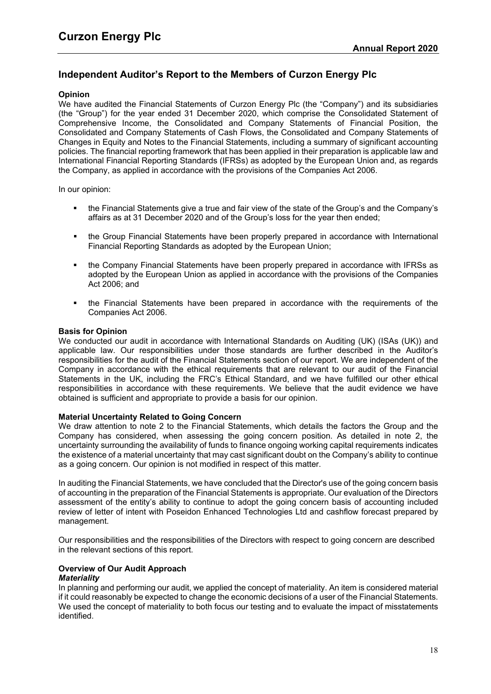# **Independent Auditor's Report to the Members of Curzon Energy Plc**

# **Opinion**

We have audited the Financial Statements of Curzon Energy Plc (the "Company") and its subsidiaries (the "Group") for the year ended 31 December 2020, which comprise the Consolidated Statement of Comprehensive Income, the Consolidated and Company Statements of Financial Position, the Consolidated and Company Statements of Cash Flows, the Consolidated and Company Statements of Changes in Equity and Notes to the Financial Statements, including a summary of significant accounting policies. The financial reporting framework that has been applied in their preparation is applicable law and International Financial Reporting Standards (IFRSs) as adopted by the European Union and, as regards the Company, as applied in accordance with the provisions of the Companies Act 2006.

In our opinion:

- the Financial Statements give a true and fair view of the state of the Group's and the Company's affairs as at 31 December 2020 and of the Group's loss for the year then ended;
- the Group Financial Statements have been properly prepared in accordance with International Financial Reporting Standards as adopted by the European Union;
- the Company Financial Statements have been properly prepared in accordance with IFRSs as adopted by the European Union as applied in accordance with the provisions of the Companies Act 2006; and
- the Financial Statements have been prepared in accordance with the requirements of the Companies Act 2006.

#### **Basis for Opinion**

We conducted our audit in accordance with International Standards on Auditing (UK) (ISAs (UK)) and applicable law. Our responsibilities under those standards are further described in the Auditor's responsibilities for the audit of the Financial Statements section of our report. We are independent of the Company in accordance with the ethical requirements that are relevant to our audit of the Financial Statements in the UK, including the FRC's Ethical Standard, and we have fulfilled our other ethical responsibilities in accordance with these requirements. We believe that the audit evidence we have obtained is sufficient and appropriate to provide a basis for our opinion.

#### **Material Uncertainty Related to Going Concern**

We draw attention to note 2 to the Financial Statements, which details the factors the Group and the Company has considered, when assessing the going concern position. As detailed in note 2, the uncertainty surrounding the availability of funds to finance ongoing working capital requirements indicates the existence of a material uncertainty that may cast significant doubt on the Company's ability to continue as a going concern. Our opinion is not modified in respect of this matter.

In auditing the Financial Statements, we have concluded that the Director's use of the going concern basis of accounting in the preparation of the Financial Statements is appropriate. Our evaluation of the Directors assessment of the entity's ability to continue to adopt the going concern basis of accounting included review of letter of intent with Poseidon Enhanced Technologies Ltd and cashflow forecast prepared by management.

Our responsibilities and the responsibilities of the Directors with respect to going concern are described in the relevant sections of this report.

# **Overview of Our Audit Approach**

# *Materiality*

In planning and performing our audit, we applied the concept of materiality. An item is considered material if it could reasonably be expected to change the economic decisions of a user of the Financial Statements. We used the concept of materiality to both focus our testing and to evaluate the impact of misstatements identified.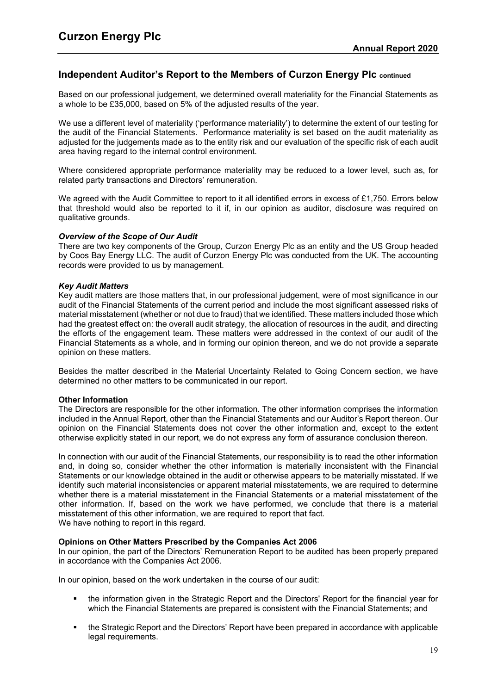# **Independent Auditor's Report to the Members of Curzon Energy Plc continued**

Based on our professional judgement, we determined overall materiality for the Financial Statements as a whole to be £35,000, based on 5% of the adjusted results of the year.

We use a different level of materiality ('performance materiality') to determine the extent of our testing for the audit of the Financial Statements. Performance materiality is set based on the audit materiality as adjusted for the judgements made as to the entity risk and our evaluation of the specific risk of each audit area having regard to the internal control environment.

Where considered appropriate performance materiality may be reduced to a lower level, such as, for related party transactions and Directors' remuneration.

We agreed with the Audit Committee to report to it all identified errors in excess of £1,750. Errors below that threshold would also be reported to it if, in our opinion as auditor, disclosure was required on qualitative grounds.

#### *Overview of the Scope of Our Audit*

There are two key components of the Group, Curzon Energy Plc as an entity and the US Group headed by Coos Bay Energy LLC. The audit of Curzon Energy Plc was conducted from the UK. The accounting records were provided to us by management.

## *Key Audit Matters*

Key audit matters are those matters that, in our professional judgement, were of most significance in our audit of the Financial Statements of the current period and include the most significant assessed risks of material misstatement (whether or not due to fraud) that we identified. These matters included those which had the greatest effect on: the overall audit strategy, the allocation of resources in the audit, and directing the efforts of the engagement team. These matters were addressed in the context of our audit of the Financial Statements as a whole, and in forming our opinion thereon, and we do not provide a separate opinion on these matters.

Besides the matter described in the Material Uncertainty Related to Going Concern section, we have determined no other matters to be communicated in our report.

#### **Other Information**

The Directors are responsible for the other information. The other information comprises the information included in the Annual Report, other than the Financial Statements and our Auditor's Report thereon. Our opinion on the Financial Statements does not cover the other information and, except to the extent otherwise explicitly stated in our report, we do not express any form of assurance conclusion thereon.

In connection with our audit of the Financial Statements, our responsibility is to read the other information and, in doing so, consider whether the other information is materially inconsistent with the Financial Statements or our knowledge obtained in the audit or otherwise appears to be materially misstated. If we identify such material inconsistencies or apparent material misstatements, we are required to determine whether there is a material misstatement in the Financial Statements or a material misstatement of the other information. If, based on the work we have performed, we conclude that there is a material misstatement of this other information, we are required to report that fact. We have nothing to report in this regard.

# **Opinions on Other Matters Prescribed by the Companies Act 2006**

In our opinion, the part of the Directors' Remuneration Report to be audited has been properly prepared in accordance with the Companies Act 2006.

In our opinion, based on the work undertaken in the course of our audit:

- the information given in the Strategic Report and the Directors' Report for the financial year for which the Financial Statements are prepared is consistent with the Financial Statements; and
- the Strategic Report and the Directors' Report have been prepared in accordance with applicable legal requirements.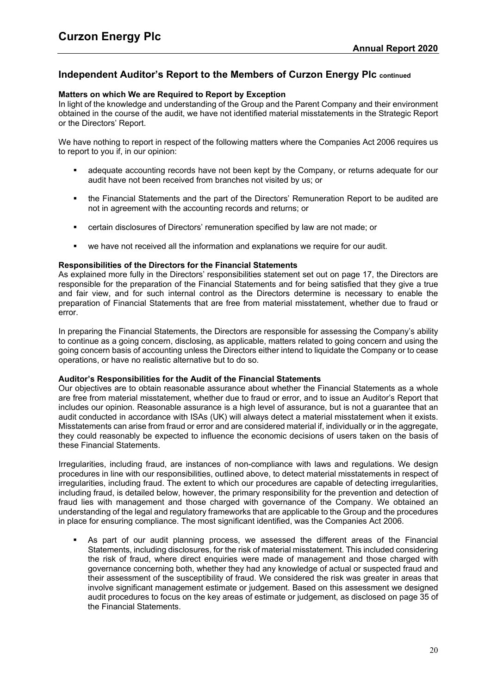# **Independent Auditor's Report to the Members of Curzon Energy Plc continued**

## **Matters on which We are Required to Report by Exception**

In light of the knowledge and understanding of the Group and the Parent Company and their environment obtained in the course of the audit, we have not identified material misstatements in the Strategic Report or the Directors' Report.

We have nothing to report in respect of the following matters where the Companies Act 2006 requires us to report to you if, in our opinion:

- adequate accounting records have not been kept by the Company, or returns adequate for our audit have not been received from branches not visited by us; or
- the Financial Statements and the part of the Directors' Remuneration Report to be audited are not in agreement with the accounting records and returns; or
- certain disclosures of Directors' remuneration specified by law are not made; or
- we have not received all the information and explanations we require for our audit.

## **Responsibilities of the Directors for the Financial Statements**

As explained more fully in the Directors' responsibilities statement set out on page 17, the Directors are responsible for the preparation of the Financial Statements and for being satisfied that they give a true and fair view, and for such internal control as the Directors determine is necessary to enable the preparation of Financial Statements that are free from material misstatement, whether due to fraud or error.

In preparing the Financial Statements, the Directors are responsible for assessing the Company's ability to continue as a going concern, disclosing, as applicable, matters related to going concern and using the going concern basis of accounting unless the Directors either intend to liquidate the Company or to cease operations, or have no realistic alternative but to do so.

#### **Auditor's Responsibilities for the Audit of the Financial Statements**

Our objectives are to obtain reasonable assurance about whether the Financial Statements as a whole are free from material misstatement, whether due to fraud or error, and to issue an Auditor's Report that includes our opinion. Reasonable assurance is a high level of assurance, but is not a guarantee that an audit conducted in accordance with ISAs (UK) will always detect a material misstatement when it exists. Misstatements can arise from fraud or error and are considered material if, individually or in the aggregate, they could reasonably be expected to influence the economic decisions of users taken on the basis of these Financial Statements.

Irregularities, including fraud, are instances of non-compliance with laws and regulations. We design procedures in line with our responsibilities, outlined above, to detect material misstatements in respect of irregularities, including fraud. The extent to which our procedures are capable of detecting irregularities, including fraud, is detailed below, however, the primary responsibility for the prevention and detection of fraud lies with management and those charged with governance of the Company. We obtained an understanding of the legal and regulatory frameworks that are applicable to the Group and the procedures in place for ensuring compliance. The most significant identified, was the Companies Act 2006.

 As part of our audit planning process, we assessed the different areas of the Financial Statements, including disclosures, for the risk of material misstatement. This included considering the risk of fraud, where direct enquiries were made of management and those charged with governance concerning both, whether they had any knowledge of actual or suspected fraud and their assessment of the susceptibility of fraud. We considered the risk was greater in areas that involve significant management estimate or judgement. Based on this assessment we designed audit procedures to focus on the key areas of estimate or judgement, as disclosed on page 35 of the Financial Statements.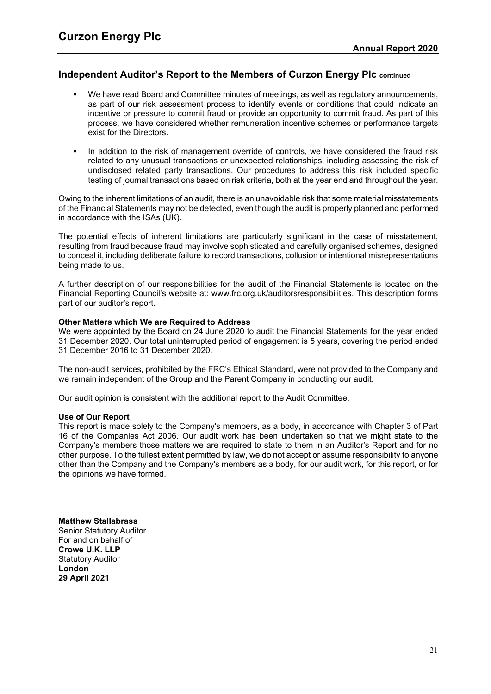# **Independent Auditor's Report to the Members of Curzon Energy Plc continued**

- We have read Board and Committee minutes of meetings, as well as regulatory announcements, as part of our risk assessment process to identify events or conditions that could indicate an incentive or pressure to commit fraud or provide an opportunity to commit fraud. As part of this process, we have considered whether remuneration incentive schemes or performance targets exist for the Directors.
- In addition to the risk of management override of controls, we have considered the fraud risk related to any unusual transactions or unexpected relationships, including assessing the risk of undisclosed related party transactions. Our procedures to address this risk included specific testing of journal transactions based on risk criteria, both at the year end and throughout the year.

Owing to the inherent limitations of an audit, there is an unavoidable risk that some material misstatements of the Financial Statements may not be detected, even though the audit is properly planned and performed in accordance with the ISAs (UK).

The potential effects of inherent limitations are particularly significant in the case of misstatement, resulting from fraud because fraud may involve sophisticated and carefully organised schemes, designed to conceal it, including deliberate failure to record transactions, collusion or intentional misrepresentations being made to us.

A further description of our responsibilities for the audit of the Financial Statements is located on the Financial Reporting Council's website at: [www.frc.org.uk/auditorsresponsibilities.](http://www.frc.org.uk/auditorsresponsibilities) This description forms part of our auditor's report.

## **Other Matters which We are Required to Address**

We were appointed by the Board on 24 June 2020 to audit the Financial Statements for the year ended 31 December 2020. Our total uninterrupted period of engagement is 5 years, covering the period ended 31 December 2016 to 31 December 2020.

The non-audit services, prohibited by the FRC's Ethical Standard, were not provided to the Company and we remain independent of the Group and the Parent Company in conducting our audit.

Our audit opinion is consistent with the additional report to the Audit Committee.

#### **Use of Our Report**

This report is made solely to the Company's members, as a body, in accordance with Chapter 3 of Part 16 of the Companies Act 2006. Our audit work has been undertaken so that we might state to the Company's members those matters we are required to state to them in an Auditor's Report and for no other purpose. To the fullest extent permitted by law, we do not accept or assume responsibility to anyone other than the Company and the Company's members as a body, for our audit work, for this report, or for the opinions we have formed.

#### **Matthew Stallabrass**

Senior Statutory Auditor For and on behalf of **Crowe U.K. LLP** Statutory Auditor **London 29 April 2021**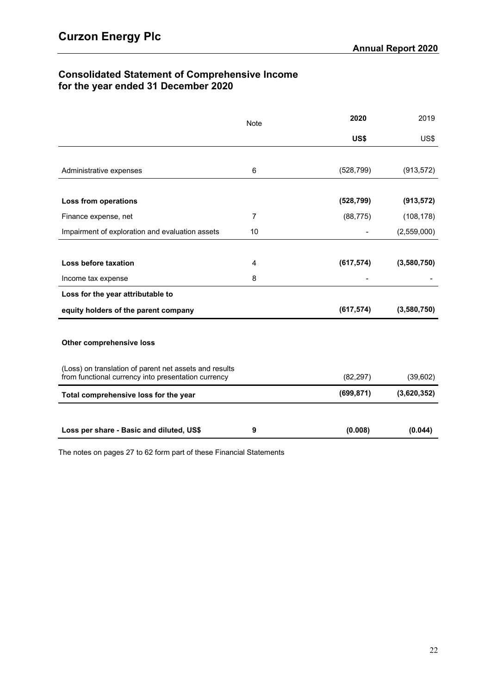# **Consolidated Statement of Comprehensive Income for the year ended 31 December 2020**

|                                                                                                               | <b>Note</b>    | 2020       | 2019        |
|---------------------------------------------------------------------------------------------------------------|----------------|------------|-------------|
|                                                                                                               |                | US\$       | US\$        |
|                                                                                                               |                |            |             |
| Administrative expenses                                                                                       | 6              | (528, 799) | (913, 572)  |
|                                                                                                               |                |            |             |
| <b>Loss from operations</b>                                                                                   |                | (528, 799) | (913, 572)  |
| Finance expense, net                                                                                          | $\overline{7}$ | (88, 775)  | (108, 178)  |
| Impairment of exploration and evaluation assets                                                               | 10             |            | (2,559,000) |
|                                                                                                               |                |            |             |
| Loss before taxation                                                                                          | 4              | (617, 574) | (3,580,750) |
| Income tax expense                                                                                            | 8              |            |             |
| Loss for the year attributable to                                                                             |                |            |             |
| equity holders of the parent company                                                                          |                | (617, 574) | (3,580,750) |
|                                                                                                               |                |            |             |
| Other comprehensive loss                                                                                      |                |            |             |
|                                                                                                               |                |            |             |
| (Loss) on translation of parent net assets and results<br>from functional currency into presentation currency |                | (82, 297)  | (39, 602)   |
| Total comprehensive loss for the year                                                                         |                | (699, 871) | (3,620,352) |
|                                                                                                               |                |            |             |
|                                                                                                               |                |            |             |
| Loss per share - Basic and diluted, US\$                                                                      | 9              | (0.008)    | (0.044)     |

The notes on pages 27 to 62 form part of these Financial Statements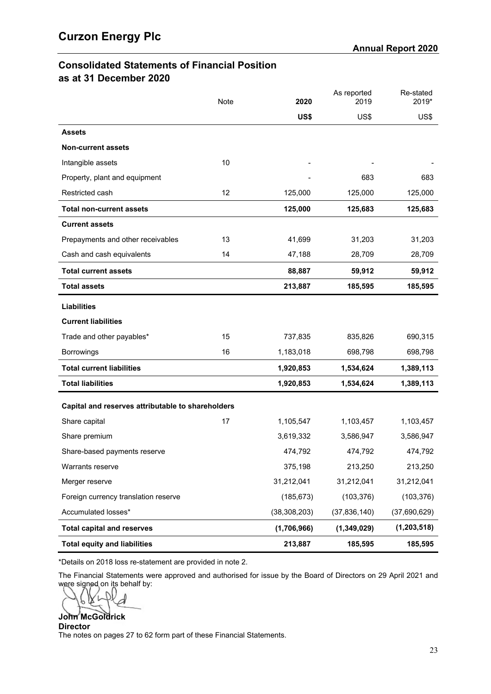# **Consolidated Statements of Financial Position as at 31 December 2020**

|                                                   | Note | 2020           | As reported<br>2019 | Re-stated<br>2019* |
|---------------------------------------------------|------|----------------|---------------------|--------------------|
|                                                   |      | US\$           | US\$                | US\$               |
| <b>Assets</b>                                     |      |                |                     |                    |
| <b>Non-current assets</b>                         |      |                |                     |                    |
| Intangible assets                                 | 10   |                |                     |                    |
| Property, plant and equipment                     |      |                | 683                 | 683                |
| Restricted cash                                   | 12   | 125,000        | 125,000             | 125,000            |
| <b>Total non-current assets</b>                   |      | 125,000        | 125,683             | 125,683            |
| <b>Current assets</b>                             |      |                |                     |                    |
| Prepayments and other receivables                 | 13   | 41,699         | 31,203              | 31,203             |
| Cash and cash equivalents                         | 14   | 47,188         | 28,709              | 28,709             |
| <b>Total current assets</b>                       |      | 88,887         | 59,912              | 59,912             |
| <b>Total assets</b>                               |      | 213,887        | 185,595             | 185,595            |
| <b>Liabilities</b>                                |      |                |                     |                    |
| <b>Current liabilities</b>                        |      |                |                     |                    |
| Trade and other payables*                         | 15   | 737,835        | 835,826             | 690,315            |
| Borrowings                                        | 16   | 1,183,018      | 698,798             | 698,798            |
| <b>Total current liabilities</b>                  |      | 1,920,853      | 1,534,624           | 1,389,113          |
| <b>Total liabilities</b>                          |      | 1,920,853      | 1,534,624           | 1,389,113          |
| Capital and reserves attributable to shareholders |      |                |                     |                    |
| Share capital                                     | 17   | 1,105,547      | 1,103,457           | 1,103,457          |
| Share premium                                     |      | 3,619,332      | 3,586,947           | 3,586,947          |
| Share-based payments reserve                      |      | 474,792        | 474,792             | 474,792            |
| Warrants reserve                                  |      | 375,198        | 213,250             | 213,250            |
| Merger reserve                                    |      | 31,212,041     | 31,212,041          | 31,212,041         |
| Foreign currency translation reserve              |      | (185, 673)     | (103, 376)          | (103, 376)         |
| Accumulated losses*                               |      | (38, 308, 203) | (37, 836, 140)      | (37,690,629)       |
| <b>Total capital and reserves</b>                 |      | (1,706,966)    | (1,349,029)         | (1, 203, 518)      |
| <b>Total equity and liabilities</b>               |      | 213,887        | 185,595             | 185,595            |

\*Details on 2018 loss re-statement are provided in note [2.](#page-29-1)

The Financial Statements were approved and authorised for issue by the Board of Directors on 29 April 2021 and were signed on its behalf by:

D β

**John McGoldrick Director** The notes on pages 27 to 62 form part of these Financial Statements.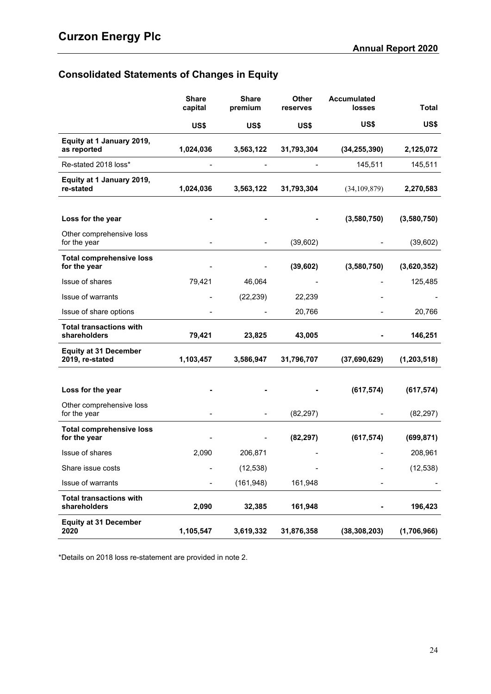# **Consolidated Statements of Changes in Equity**

|                                                 | <b>Share</b><br>capital | <b>Share</b><br>premium | <b>Other</b><br>reserves | <b>Accumulated</b><br>losses | <b>Total</b>  |
|-------------------------------------------------|-------------------------|-------------------------|--------------------------|------------------------------|---------------|
|                                                 | US\$                    | US\$                    | US\$                     | US\$                         | US\$          |
| Equity at 1 January 2019,<br>as reported        | 1,024,036               | 3,563,122               | 31,793,304               | (34, 255, 390)               | 2,125,072     |
| Re-stated 2018 loss*                            |                         |                         |                          | 145,511                      | 145,511       |
| Equity at 1 January 2019,<br>re-stated          | 1,024,036               | 3,563,122               | 31,793,304               | (34, 109, 879)               | 2,270,583     |
| Loss for the year                               |                         |                         |                          | (3,580,750)                  | (3,580,750)   |
| Other comprehensive loss<br>for the year        |                         |                         | (39,602)                 |                              | (39,602)      |
| <b>Total comprehensive loss</b><br>for the year |                         |                         | (39, 602)                | (3,580,750)                  | (3,620,352)   |
| Issue of shares                                 | 79,421                  | 46,064                  |                          |                              | 125,485       |
| Issue of warrants                               |                         | (22, 239)               | 22,239                   |                              |               |
| Issue of share options                          |                         |                         | 20,766                   |                              | 20,766        |
| <b>Total transactions with</b><br>shareholders  | 79,421                  | 23,825                  | 43,005                   |                              | 146,251       |
| <b>Equity at 31 December</b><br>2019, re-stated | 1,103,457               | 3,586,947               | 31,796,707               | (37,690,629)                 | (1, 203, 518) |
| Loss for the year                               |                         |                         |                          | (617, 574)                   | (617, 574)    |
| Other comprehensive loss<br>for the year        |                         |                         | (82, 297)                |                              | (82, 297)     |
| <b>Total comprehensive loss</b><br>for the year |                         |                         | (82, 297)                | (617, 574)                   | (699, 871)    |
| Issue of shares                                 | 2,090                   | 206,871                 |                          |                              | 208,961       |
| Share issue costs                               |                         | (12, 538)               |                          |                              | (12, 538)     |
| Issue of warrants                               |                         | (161, 948)              | 161,948                  |                              |               |
| <b>Total transactions with</b><br>shareholders  | 2,090                   | 32,385                  | 161,948                  |                              | 196,423       |
| <b>Equity at 31 December</b><br>2020            | 1,105,547               | 3,619,332               | 31,876,358               | (38, 308, 203)               | (1,706,966)   |

\*Details on 2018 loss re-statement are provided in note [2.](#page-29-1)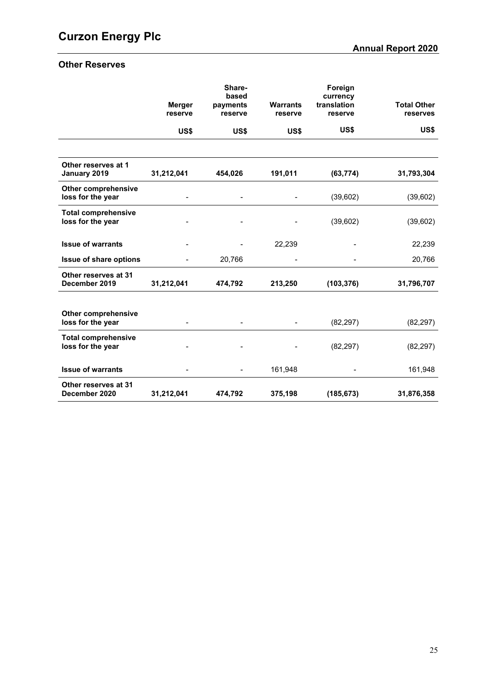# **Other Reserves**

|                                                 |                          | Share-<br>based     |                            | Foreign<br>currency    |                                |
|-------------------------------------------------|--------------------------|---------------------|----------------------------|------------------------|--------------------------------|
|                                                 | <b>Merger</b><br>reserve | payments<br>reserve | <b>Warrants</b><br>reserve | translation<br>reserve | <b>Total Other</b><br>reserves |
|                                                 | US\$                     | US\$                | US\$                       | US\$                   | US\$                           |
|                                                 |                          |                     |                            |                        |                                |
| Other reserves at 1<br>January 2019             | 31,212,041               | 454,026             | 191,011                    | (63, 774)              | 31,793,304                     |
| <b>Other comprehensive</b><br>loss for the year |                          |                     |                            | (39,602)               | (39,602)                       |
| <b>Total comprehensive</b><br>loss for the year |                          |                     |                            | (39,602)               | (39,602)                       |
| <b>Issue of warrants</b>                        |                          |                     | 22,239                     |                        | 22,239                         |
| Issue of share options                          |                          | 20,766              |                            |                        | 20,766                         |
| Other reserves at 31<br>December 2019           | 31,212,041               | 474,792             | 213,250                    | (103, 376)             | 31,796,707                     |
|                                                 |                          |                     |                            |                        |                                |
| <b>Other comprehensive</b><br>loss for the year |                          |                     |                            | (82, 297)              | (82, 297)                      |
| <b>Total comprehensive</b><br>loss for the year |                          |                     |                            | (82, 297)              | (82, 297)                      |
| <b>Issue of warrants</b>                        |                          |                     | 161,948                    |                        | 161,948                        |
| Other reserves at 31<br>December 2020           | 31,212,041               | 474,792             | 375,198                    | (185, 673)             | 31,876,358                     |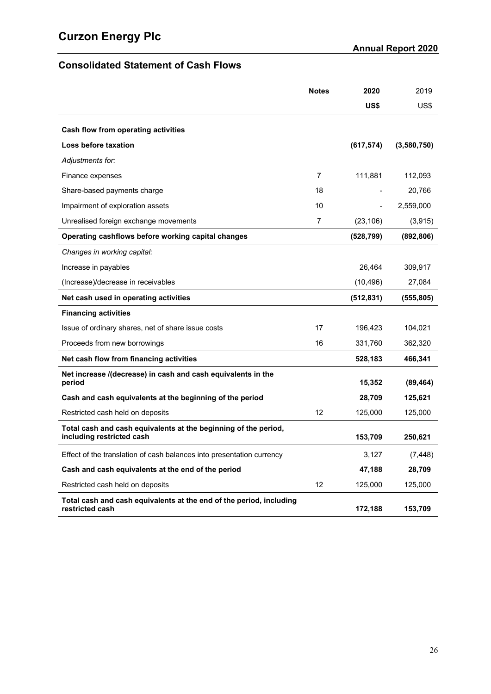# **Consolidated Statement of Cash Flows**

|                                                                                              | <b>Notes</b> | 2020       | 2019        |
|----------------------------------------------------------------------------------------------|--------------|------------|-------------|
|                                                                                              |              | US\$       | US\$        |
| Cash flow from operating activities                                                          |              |            |             |
| Loss before taxation                                                                         |              | (617, 574) | (3,580,750) |
| Adjustments for:                                                                             |              |            |             |
| Finance expenses                                                                             | 7            | 111,881    | 112,093     |
| Share-based payments charge                                                                  | 18           |            | 20,766      |
| Impairment of exploration assets                                                             | 10           |            | 2,559,000   |
| Unrealised foreign exchange movements                                                        | 7            | (23, 106)  | (3, 915)    |
| Operating cashflows before working capital changes                                           |              | (528, 799) | (892, 806)  |
| Changes in working capital:                                                                  |              |            |             |
| Increase in payables                                                                         |              | 26,464     | 309,917     |
| (Increase)/decrease in receivables                                                           |              | (10, 496)  | 27,084      |
| Net cash used in operating activities                                                        |              | (512, 831) | (555, 805)  |
| <b>Financing activities</b>                                                                  |              |            |             |
| Issue of ordinary shares, net of share issue costs                                           | 17           | 196,423    | 104,021     |
| Proceeds from new borrowings                                                                 | 16           | 331,760    | 362,320     |
| Net cash flow from financing activities                                                      |              | 528,183    | 466,341     |
| Net increase /(decrease) in cash and cash equivalents in the<br>period                       |              | 15,352     | (89, 464)   |
|                                                                                              |              |            |             |
| Cash and cash equivalents at the beginning of the period                                     | 12           | 28,709     | 125,621     |
| Restricted cash held on deposits                                                             |              | 125,000    | 125,000     |
| Total cash and cash equivalents at the beginning of the period,<br>including restricted cash |              | 153,709    | 250,621     |
| Effect of the translation of cash balances into presentation currency                        |              | 3,127      | (7, 448)    |
| Cash and cash equivalents at the end of the period                                           |              | 47,188     | 28,709      |
| Restricted cash held on deposits                                                             | 12           | 125,000    | 125,000     |
| Total cash and cash equivalents at the end of the period, including<br>restricted cash       |              | 172,188    | 153,709     |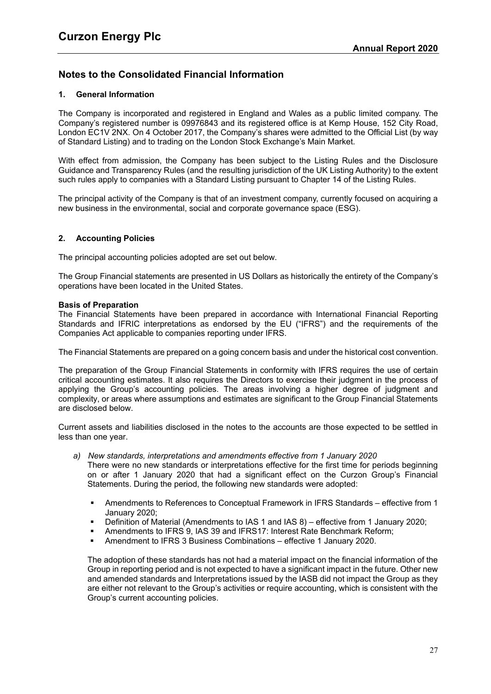# <span id="page-29-0"></span>**1. General Information**

The Company is incorporated and registered in England and Wales as a public limited company. The Company's registered number is 09976843 and its registered office is at Kemp House, 152 City Road, London EC1V 2NX. On 4 October 2017, the Company's shares were admitted to the Official List (by way of Standard Listing) and to trading on the London Stock Exchange's Main Market.

With effect from admission, the Company has been subject to the Listing Rules and the Disclosure Guidance and Transparency Rules (and the resulting jurisdiction of the UK Listing Authority) to the extent such rules apply to companies with a Standard Listing pursuant to Chapter 14 of the Listing Rules.

The principal activity of the Company is that of an investment company, currently focused on acquiring a new business in the environmental, social and corporate governance space (ESG).

# <span id="page-29-1"></span>**2. Accounting Policies**

The principal accounting policies adopted are set out below.

The Group Financial statements are presented in US Dollars as historically the entirety of the Company's operations have been located in the United States.

# **Basis of Preparation**

The Financial Statements have been prepared in accordance with International Financial Reporting Standards and IFRIC interpretations as endorsed by the EU ("IFRS") and the requirements of the Companies Act applicable to companies reporting under IFRS.

The Financial Statements are prepared on a going concern basis and under the historical cost convention.

The preparation of the Group Financial Statements in conformity with IFRS requires the use of certain critical accounting estimates. It also requires the Directors to exercise their judgment in the process of applying the Group's accounting policies. The areas involving a higher degree of judgment and complexity, or areas where assumptions and estimates are significant to the Group Financial Statements are disclosed below.

Current assets and liabilities disclosed in the notes to the accounts are those expected to be settled in less than one year.

*a) New standards, interpretations and amendments effective from 1 January 2020*

There were no new standards or interpretations effective for the first time for periods beginning on or after 1 January 2020 that had a significant effect on the Curzon Group's Financial Statements. During the period, the following new standards were adopted:

- Amendments to References to Conceptual Framework in IFRS Standards effective from 1 January 2020;
- Definition of Material (Amendments to IAS 1 and IAS 8) effective from 1 January 2020;
- Amendments to IFRS 9, IAS 39 and IFRS17: Interest Rate Benchmark Reform;
- Amendment to IFRS 3 Business Combinations effective 1 January 2020.

The adoption of these standards has not had a material impact on the financial information of the Group in reporting period and is not expected to have a significant impact in the future. Other new and amended standards and Interpretations issued by the IASB did not impact the Group as they are either not relevant to the Group's activities or require accounting, which is consistent with the Group's current accounting policies.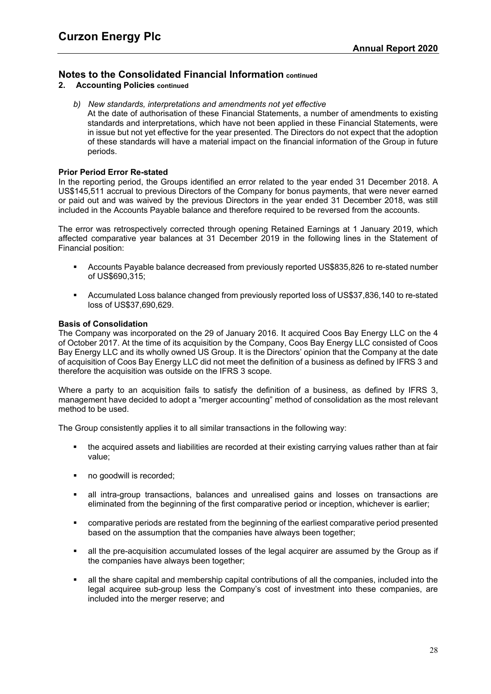- **2. Accounting Policies continued**
	- *b) New standards, interpretations and amendments not yet effective*

At the date of authorisation of these Financial Statements, a number of amendments to existing standards and interpretations, which have not been applied in these Financial Statements, were in issue but not yet effective for the year presented. The Directors do not expect that the adoption of these standards will have a material impact on the financial information of the Group in future periods.

#### **Prior Period Error Re-stated**

In the reporting period, the Groups identified an error related to the year ended 31 December 2018. A US\$145,511 accrual to previous Directors of the Company for bonus payments, that were never earned or paid out and was waived by the previous Directors in the year ended 31 December 2018, was still included in the Accounts Payable balance and therefore required to be reversed from the accounts.

The error was retrospectively corrected through opening Retained Earnings at 1 January 2019, which affected comparative year balances at 31 December 2019 in the following lines in the Statement of Financial position:

- Accounts Payable balance decreased from previously reported US\$835,826 to re-stated number of US\$690,315;
- Accumulated Loss balance changed from previously reported loss of US\$37,836,140 to re-stated loss of US\$37,690,629.

## **Basis of Consolidation**

The Company was incorporated on the 29 of January 2016. It acquired Coos Bay Energy LLC on the 4 of October 2017. At the time of its acquisition by the Company, Coos Bay Energy LLC consisted of Coos Bay Energy LLC and its wholly owned US Group. It is the Directors' opinion that the Company at the date of acquisition of Coos Bay Energy LLC did not meet the definition of a business as defined by IFRS 3 and therefore the acquisition was outside on the IFRS 3 scope.

Where a party to an acquisition fails to satisfy the definition of a business, as defined by IFRS 3, management have decided to adopt a "merger accounting" method of consolidation as the most relevant method to be used.

The Group consistently applies it to all similar transactions in the following way:

- the acquired assets and liabilities are recorded at their existing carrying values rather than at fair value;
- no goodwill is recorded;
- all intra-group transactions, balances and unrealised gains and losses on transactions are eliminated from the beginning of the first comparative period or inception, whichever is earlier;
- comparative periods are restated from the beginning of the earliest comparative period presented based on the assumption that the companies have always been together;
- all the pre-acquisition accumulated losses of the legal acquirer are assumed by the Group as if the companies have always been together;
- all the share capital and membership capital contributions of all the companies, included into the legal acquiree sub-group less the Company's cost of investment into these companies, are included into the merger reserve; and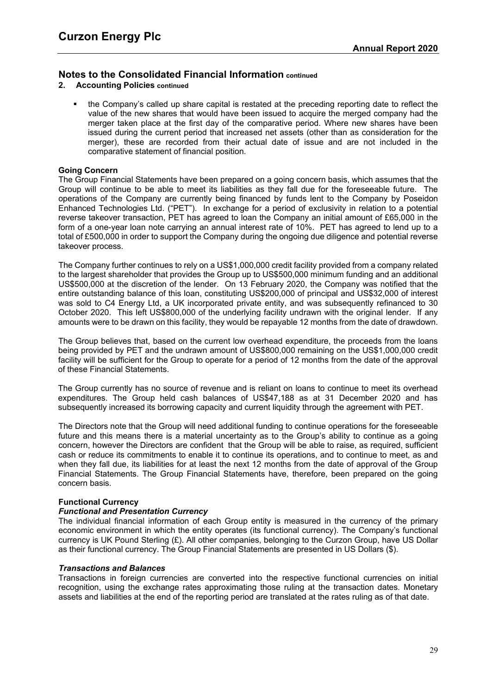- **2. Accounting Policies continued**
	- the Company's called up share capital is restated at the preceding reporting date to reflect the value of the new shares that would have been issued to acquire the merged company had the merger taken place at the first day of the comparative period. Where new shares have been issued during the current period that increased net assets (other than as consideration for the merger), these are recorded from their actual date of issue and are not included in the comparative statement of financial position.

## **Going Concern**

The Group Financial Statements have been prepared on a going concern basis, which assumes that the Group will continue to be able to meet its liabilities as they fall due for the foreseeable future. The operations of the Company are currently being financed by funds lent to the Company by Poseidon Enhanced Technologies Ltd. ("PET"). In exchange for a period of exclusivity in relation to a potential reverse takeover transaction, PET has agreed to loan the Company an initial amount of £65,000 in the form of a one-year loan note carrying an annual interest rate of 10%. PET has agreed to lend up to a total of £500,000 in order to support the Company during the ongoing due diligence and potential reverse takeover process.

The Company further continues to rely on a US\$1,000,000 credit facility provided from a company related to the largest shareholder that provides the Group up to US\$500,000 minimum funding and an additional US\$500,000 at the discretion of the lender. On 13 February 2020, the Company was notified that the entire outstanding balance of this loan, constituting US\$200,000 of principal and US\$32,000 of interest was sold to C4 Energy Ltd, a UK incorporated private entity, and was subsequently refinanced to 30 October 2020. This left US\$800,000 of the underlying facility undrawn with the original lender. If any amounts were to be drawn on this facility, they would be repayable 12 months from the date of drawdown.

The Group believes that, based on the current low overhead expenditure, the proceeds from the loans being provided by PET and the undrawn amount of US\$800,000 remaining on the US\$1,000,000 credit facility will be sufficient for the Group to operate for a period of 12 months from the date of the approval of these Financial Statements.

The Group currently has no source of revenue and is reliant on loans to continue to meet its overhead expenditures. The Group held cash balances of US\$47,188 as at 31 December 2020 and has subsequently increased its borrowing capacity and current liquidity through the agreement with PET.

The Directors note that the Group will need additional funding to continue operations for the foreseeable future and this means there is a material uncertainty as to the Group's ability to continue as a going concern, however the Directors are confident that the Group will be able to raise, as required, sufficient cash or reduce its commitments to enable it to continue its operations, and to continue to meet, as and when they fall due, its liabilities for at least the next 12 months from the date of approval of the Group Financial Statements. The Group Financial Statements have, therefore, been prepared on the going concern basis.

#### **Functional Currency**

#### *Functional and Presentation Currency*

The individual financial information of each Group entity is measured in the currency of the primary economic environment in which the entity operates (its functional currency). The Company's functional currency is UK Pound Sterling (£). All other companies, belonging to the Curzon Group, have US Dollar as their functional currency. The Group Financial Statements are presented in US Dollars (\$).

#### *Transactions and Balances*

Transactions in foreign currencies are converted into the respective functional currencies on initial recognition, using the exchange rates approximating those ruling at the transaction dates. Monetary assets and liabilities at the end of the reporting period are translated at the rates ruling as of that date.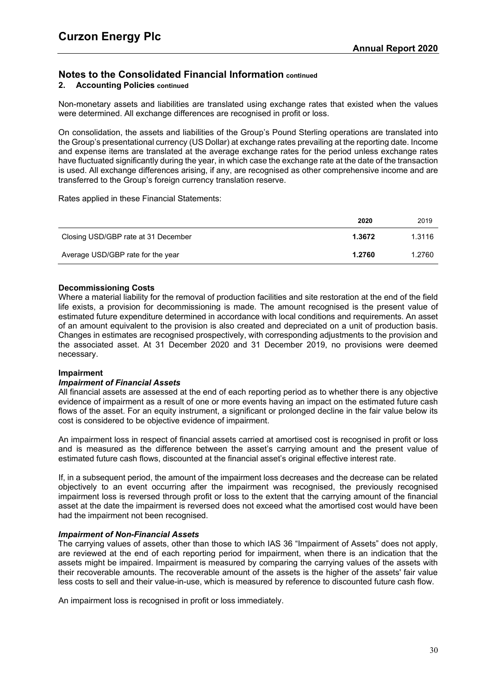# **2. Accounting Policies continued**

Non-monetary assets and liabilities are translated using exchange rates that existed when the values were determined. All exchange differences are recognised in profit or loss.

On consolidation, the assets and liabilities of the Group's Pound Sterling operations are translated into the Group's presentational currency (US Dollar) at exchange rates prevailing at the reporting date. Income and expense items are translated at the average exchange rates for the period unless exchange rates have fluctuated significantly during the year, in which case the exchange rate at the date of the transaction is used. All exchange differences arising, if any, are recognised as other comprehensive income and are transferred to the Group's foreign currency translation reserve.

## Rates applied in these Financial Statements:

|                                     | 2020   | 2019   |
|-------------------------------------|--------|--------|
| Closing USD/GBP rate at 31 December | 1.3672 | 1.3116 |
| Average USD/GBP rate for the year   | 1.2760 | 1.2760 |

## **Decommissioning Costs**

Where a material liability for the removal of production facilities and site restoration at the end of the field life exists, a provision for decommissioning is made. The amount recognised is the present value of estimated future expenditure determined in accordance with local conditions and requirements. An asset of an amount equivalent to the provision is also created and depreciated on a unit of production basis. Changes in estimates are recognised prospectively, with corresponding adjustments to the provision and the associated asset. At 31 December 2020 and 31 December 2019, no provisions were deemed necessary.

#### **Impairment**

## *Impairment of Financial Assets*

All financial assets are assessed at the end of each reporting period as to whether there is any objective evidence of impairment as a result of one or more events having an impact on the estimated future cash flows of the asset. For an equity instrument, a significant or prolonged decline in the fair value below its cost is considered to be objective evidence of impairment.

An impairment loss in respect of financial assets carried at amortised cost is recognised in profit or loss and is measured as the difference between the asset's carrying amount and the present value of estimated future cash flows, discounted at the financial asset's original effective interest rate.

If, in a subsequent period, the amount of the impairment loss decreases and the decrease can be related objectively to an event occurring after the impairment was recognised, the previously recognised impairment loss is reversed through profit or loss to the extent that the carrying amount of the financial asset at the date the impairment is reversed does not exceed what the amortised cost would have been had the impairment not been recognised.

#### *Impairment of Non-Financial Assets*

The carrying values of assets, other than those to which IAS 36 "Impairment of Assets" does not apply, are reviewed at the end of each reporting period for impairment, when there is an indication that the assets might be impaired. Impairment is measured by comparing the carrying values of the assets with their recoverable amounts. The recoverable amount of the assets is the higher of the assets' fair value less costs to sell and their value-in-use, which is measured by reference to discounted future cash flow.

An impairment loss is recognised in profit or loss immediately.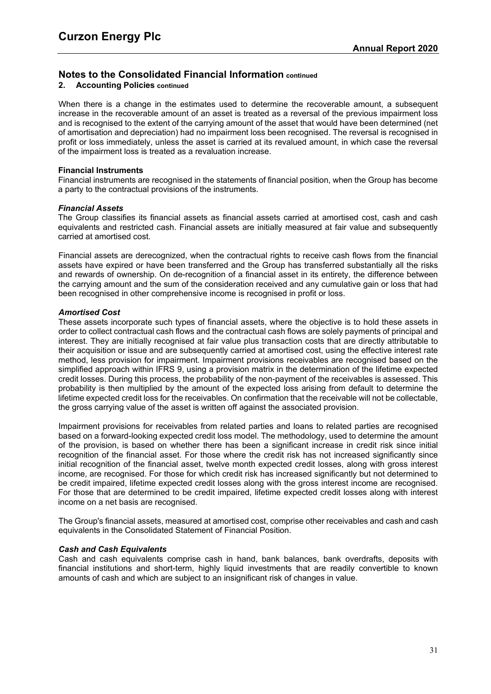# **2. Accounting Policies continued**

When there is a change in the estimates used to determine the recoverable amount, a subsequent increase in the recoverable amount of an asset is treated as a reversal of the previous impairment loss and is recognised to the extent of the carrying amount of the asset that would have been determined (net of amortisation and depreciation) had no impairment loss been recognised. The reversal is recognised in profit or loss immediately, unless the asset is carried at its revalued amount, in which case the reversal of the impairment loss is treated as a revaluation increase.

#### **Financial Instruments**

Financial instruments are recognised in the statements of financial position, when the Group has become a party to the contractual provisions of the instruments.

## *Financial Assets*

The Group classifies its financial assets as financial assets carried at amortised cost, cash and cash equivalents and restricted cash. Financial assets are initially measured at fair value and subsequently carried at amortised cost.

Financial assets are derecognized, when the contractual rights to receive cash flows from the financial assets have expired or have been transferred and the Group has transferred substantially all the risks and rewards of ownership. On de-recognition of a financial asset in its entirety, the difference between the carrying amount and the sum of the consideration received and any cumulative gain or loss that had been recognised in other comprehensive income is recognised in profit or loss.

## *Amortised Cost*

These assets incorporate such types of financial assets, where the objective is to hold these assets in order to collect contractual cash flows and the contractual cash flows are solely payments of principal and interest. They are initially recognised at fair value plus transaction costs that are directly attributable to their acquisition or issue and are subsequently carried at amortised cost, using the effective interest rate method, less provision for impairment. Impairment provisions receivables are recognised based on the simplified approach within IFRS 9, using a provision matrix in the determination of the lifetime expected credit losses. During this process, the probability of the non-payment of the receivables is assessed. This probability is then multiplied by the amount of the expected loss arising from default to determine the lifetime expected credit loss for the receivables. On confirmation that the receivable will not be collectable, the gross carrying value of the asset is written off against the associated provision.

Impairment provisions for receivables from related parties and loans to related parties are recognised based on a forward-looking expected credit loss model. The methodology, used to determine the amount of the provision, is based on whether there has been a significant increase in credit risk since initial recognition of the financial asset. For those where the credit risk has not increased significantly since initial recognition of the financial asset, twelve month expected credit losses, along with gross interest income, are recognised. For those for which credit risk has increased significantly but not determined to be credit impaired, lifetime expected credit losses along with the gross interest income are recognised. For those that are determined to be credit impaired, lifetime expected credit losses along with interest income on a net basis are recognised.

The Group's financial assets, measured at amortised cost, comprise other receivables and cash and cash equivalents in the Consolidated Statement of Financial Position.

#### *Cash and Cash Equivalents*

Cash and cash equivalents comprise cash in hand, bank balances, bank overdrafts, deposits with financial institutions and short-term, highly liquid investments that are readily convertible to known amounts of cash and which are subject to an insignificant risk of changes in value.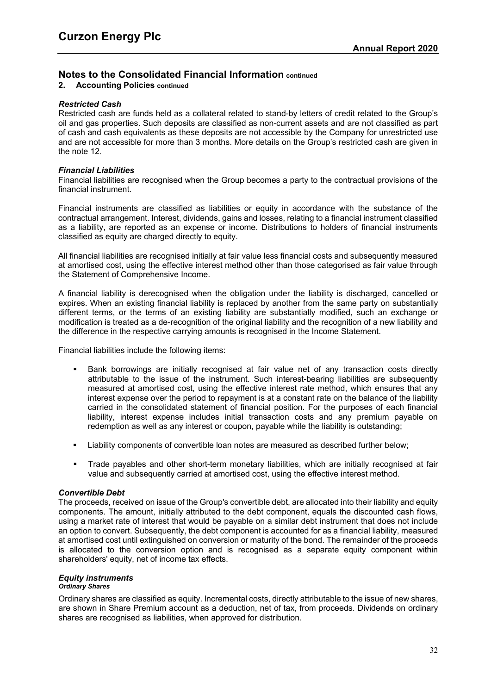# **2. Accounting Policies continued**

#### *Restricted Cash*

Restricted cash are funds held as a collateral related to stand-by letters of credit related to the Group's oil and gas properties. Such deposits are classified as non-current assets and are not classified as part of cash and cash equivalents as these deposits are not accessible by the Company for unrestricted use and are not accessible for more than 3 months. More details on the Group's restricted cash are given in the note [12](#page-44-0).

## *Financial Liabilities*

Financial liabilities are recognised when the Group becomes a party to the contractual provisions of the financial instrument.

Financial instruments are classified as liabilities or equity in accordance with the substance of the contractual arrangement. Interest, dividends, gains and losses, relating to a financial instrument classified as a liability, are reported as an expense or income. Distributions to holders of financial instruments classified as equity are charged directly to equity.

All financial liabilities are recognised initially at fair value less financial costs and subsequently measured at amortised cost, using the effective interest method other than those categorised as fair value through the Statement of Comprehensive Income.

A financial liability is derecognised when the obligation under the liability is discharged, cancelled or expires. When an existing financial liability is replaced by another from the same party on substantially different terms, or the terms of an existing liability are substantially modified, such an exchange or modification is treated as a de-recognition of the original liability and the recognition of a new liability and the difference in the respective carrying amounts is recognised in the Income Statement.

Financial liabilities include the following items:

- Bank borrowings are initially recognised at fair value net of any transaction costs directly attributable to the issue of the instrument. Such interest-bearing liabilities are subsequently measured at amortised cost, using the effective interest rate method, which ensures that any interest expense over the period to repayment is at a constant rate on the balance of the liability carried in the consolidated statement of financial position. For the purposes of each financial liability, interest expense includes initial transaction costs and any premium payable on redemption as well as any interest or coupon, payable while the liability is outstanding;
- Liability components of convertible loan notes are measured as described further below;
- Trade payables and other short-term monetary liabilities, which are initially recognised at fair value and subsequently carried at amortised cost, using the effective interest method.

#### *Convertible Debt*

The proceeds, received on issue of the Group's convertible debt, are allocated into their liability and equity components. The amount, initially attributed to the debt component, equals the discounted cash flows, using a market rate of interest that would be payable on a similar debt instrument that does not include an option to convert. Subsequently, the debt component is accounted for as a financial liability, measured at amortised cost until extinguished on conversion or maturity of the bond. The remainder of the proceeds is allocated to the conversion option and is recognised as a separate equity component within shareholders' equity, net of income tax effects.

#### *Equity instruments Ordinary Shares*

Ordinary shares are classified as equity. Incremental costs, directly attributable to the issue of new shares, are shown in Share Premium account as a deduction, net of tax, from proceeds. Dividends on ordinary shares are recognised as liabilities, when approved for distribution.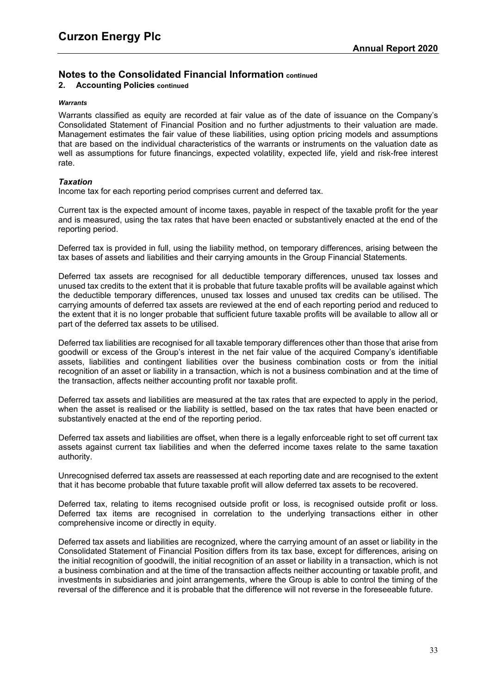# **2. Accounting Policies continued**

#### *Warrants*

Warrants classified as equity are recorded at fair value as of the date of issuance on the Company's Consolidated Statement of Financial Position and no further adjustments to their valuation are made. Management estimates the fair value of these liabilities, using option pricing models and assumptions that are based on the individual characteristics of the warrants or instruments on the valuation date as well as assumptions for future financings, expected volatility, expected life, yield and risk-free interest rate.

# *Taxation*

Income tax for each reporting period comprises current and deferred tax.

Current tax is the expected amount of income taxes, payable in respect of the taxable profit for the year and is measured, using the tax rates that have been enacted or substantively enacted at the end of the reporting period.

Deferred tax is provided in full, using the liability method, on temporary differences, arising between the tax bases of assets and liabilities and their carrying amounts in the Group Financial Statements.

Deferred tax assets are recognised for all deductible temporary differences, unused tax losses and unused tax credits to the extent that it is probable that future taxable profits will be available against which the deductible temporary differences, unused tax losses and unused tax credits can be utilised. The carrying amounts of deferred tax assets are reviewed at the end of each reporting period and reduced to the extent that it is no longer probable that sufficient future taxable profits will be available to allow all or part of the deferred tax assets to be utilised.

Deferred tax liabilities are recognised for all taxable temporary differences other than those that arise from goodwill or excess of the Group's interest in the net fair value of the acquired Company's identifiable assets, liabilities and contingent liabilities over the business combination costs or from the initial recognition of an asset or liability in a transaction, which is not a business combination and at the time of the transaction, affects neither accounting profit nor taxable profit.

Deferred tax assets and liabilities are measured at the tax rates that are expected to apply in the period, when the asset is realised or the liability is settled, based on the tax rates that have been enacted or substantively enacted at the end of the reporting period.

Deferred tax assets and liabilities are offset, when there is a legally enforceable right to set off current tax assets against current tax liabilities and when the deferred income taxes relate to the same taxation authority.

Unrecognised deferred tax assets are reassessed at each reporting date and are recognised to the extent that it has become probable that future taxable profit will allow deferred tax assets to be recovered.

Deferred tax, relating to items recognised outside profit or loss, is recognised outside profit or loss. Deferred tax items are recognised in correlation to the underlying transactions either in other comprehensive income or directly in equity.

Deferred tax assets and liabilities are recognized, where the carrying amount of an asset or liability in the Consolidated Statement of Financial Position differs from its tax base, except for differences, arising on the initial recognition of goodwill, the initial recognition of an asset or liability in a transaction, which is not a business combination and at the time of the transaction affects neither accounting or taxable profit, and investments in subsidiaries and joint arrangements, where the Group is able to control the timing of the reversal of the difference and it is probable that the difference will not reverse in the foreseeable future.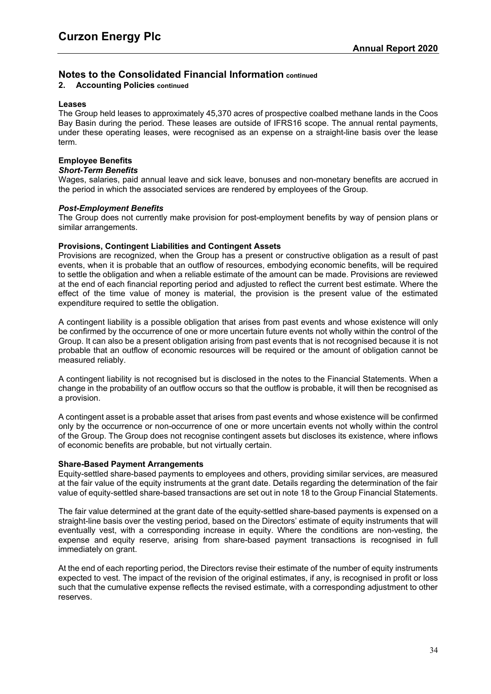# **2. Accounting Policies continued**

#### **Leases**

The Group held leases to approximately 45,370 acres of prospective coalbed methane lands in the Coos Bay Basin during the period. These leases are outside of IFRS16 scope. The annual rental payments, under these operating leases, were recognised as an expense on a straight-line basis over the lease term.

# **Employee Benefits**

# *Short-Term Benefits*

Wages, salaries, paid annual leave and sick leave, bonuses and non-monetary benefits are accrued in the period in which the associated services are rendered by employees of the Group.

## *Post-Employment Benefits*

The Group does not currently make provision for post-employment benefits by way of pension plans or similar arrangements.

## **Provisions, Contingent Liabilities and Contingent Assets**

Provisions are recognized, when the Group has a present or constructive obligation as a result of past events, when it is probable that an outflow of resources, embodying economic benefits, will be required to settle the obligation and when a reliable estimate of the amount can be made. Provisions are reviewed at the end of each financial reporting period and adjusted to reflect the current best estimate. Where the effect of the time value of money is material, the provision is the present value of the estimated expenditure required to settle the obligation.

A contingent liability is a possible obligation that arises from past events and whose existence will only be confirmed by the occurrence of one or more uncertain future events not wholly within the control of the Group. It can also be a present obligation arising from past events that is not recognised because it is not probable that an outflow of economic resources will be required or the amount of obligation cannot be measured reliably.

A contingent liability is not recognised but is disclosed in the notes to the Financial Statements. When a change in the probability of an outflow occurs so that the outflow is probable, it will then be recognised as a provision.

A contingent asset is a probable asset that arises from past events and whose existence will be confirmed only by the occurrence or non-occurrence of one or more uncertain events not wholly within the control of the Group. The Group does not recognise contingent assets but discloses its existence, where inflows of economic benefits are probable, but not virtually certain.

#### **Share-Based Payment Arrangements**

Equity-settled share-based payments to employees and others, providing similar services, are measured at the fair value of the equity instruments at the grant date. Details regarding the determination of the fair value of equity-settled share-based transactions are set out in note 18 to the Group Financial Statements.

The fair value determined at the grant date of the equity-settled share-based payments is expensed on a straight-line basis over the vesting period, based on the Directors' estimate of equity instruments that will eventually vest, with a corresponding increase in equity. Where the conditions are non-vesting, the expense and equity reserve, arising from share-based payment transactions is recognised in full immediately on grant.

At the end of each reporting period, the Directors revise their estimate of the number of equity instruments expected to vest. The impact of the revision of the original estimates, if any, is recognised in profit or loss such that the cumulative expense reflects the revised estimate, with a corresponding adjustment to other reserves.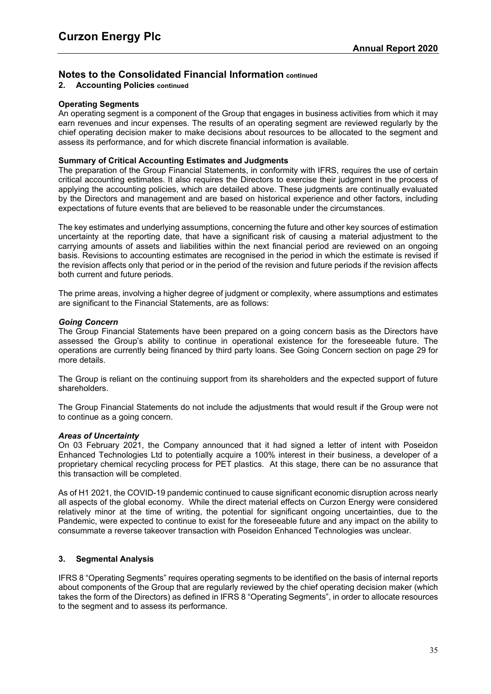# **2. Accounting Policies continued**

## **Operating Segments**

An operating segment is a component of the Group that engages in business activities from which it may earn revenues and incur expenses. The results of an operating segment are reviewed regularly by the chief operating decision maker to make decisions about resources to be allocated to the segment and assess its performance, and for which discrete financial information is available.

## **Summary of Critical Accounting Estimates and Judgments**

The preparation of the Group Financial Statements, in conformity with IFRS, requires the use of certain critical accounting estimates. It also requires the Directors to exercise their judgment in the process of applying the accounting policies, which are detailed above. These judgments are continually evaluated by the Directors and management and are based on historical experience and other factors, including expectations of future events that are believed to be reasonable under the circumstances.

The key estimates and underlying assumptions, concerning the future and other key sources of estimation uncertainty at the reporting date, that have a significant risk of causing a material adjustment to the carrying amounts of assets and liabilities within the next financial period are reviewed on an ongoing basis. Revisions to accounting estimates are recognised in the period in which the estimate is revised if the revision affects only that period or in the period of the revision and future periods if the revision affects both current and future periods.

The prime areas, involving a higher degree of judgment or complexity, where assumptions and estimates are significant to the Financial Statements, are as follows:

#### *Going Concern*

The Group Financial Statements have been prepared on a going concern basis as the Directors have assessed the Group's ability to continue in operational existence for the foreseeable future. The operations are currently being financed by third party loans. See Going Concern section on page 29 for more details.

The Group is reliant on the continuing support from its shareholders and the expected support of future shareholders.

The Group Financial Statements do not include the adjustments that would result if the Group were not to continue as a going concern.

#### *Areas of Uncertainty*

On 03 February 2021, the Company announced that it had signed a letter of intent with Poseidon Enhanced Technologies Ltd to potentially acquire a 100% interest in their business, a developer of a proprietary chemical recycling process for PET plastics. At this stage, there can be no assurance that this transaction will be completed.

As of H1 2021, the COVID-19 pandemic continued to cause significant economic disruption across nearly all aspects of the global economy. While the direct material effects on Curzon Energy were considered relatively minor at the time of writing, the potential for significant ongoing uncertainties, due to the Pandemic, were expected to continue to exist for the foreseeable future and any impact on the ability to consummate a reverse takeover transaction with Poseidon Enhanced Technologies was unclear.

# **3. Segmental Analysis**

IFRS 8 "Operating Segments" requires operating segments to be identified on the basis of internal reports about components of the Group that are regularly reviewed by the chief operating decision maker (which takes the form of the Directors) as defined in IFRS 8 "Operating Segments", in order to allocate resources to the segment and to assess its performance.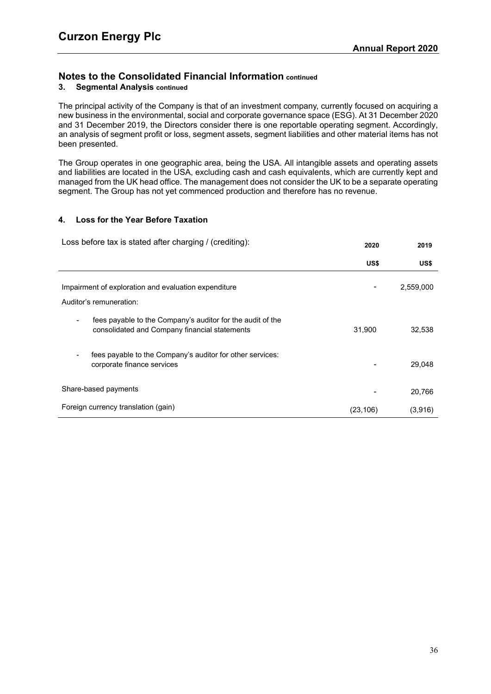# **3. Segmental Analysis continued**

The principal activity of the Company is that of an investment company, currently focused on acquiring a new business in the environmental, social and corporate governance space (ESG). At 31 December 2020 and 31 December 2019, the Directors consider there is one reportable operating segment. Accordingly, an analysis of segment profit or loss, segment assets, segment liabilities and other material items has not been presented.

The Group operates in one geographic area, being the USA. All intangible assets and operating assets and liabilities are located in the USA, excluding cash and cash equivalents, which are currently kept and managed from the UK head office. The management does not consider the UK to be a separate operating segment. The Group has not yet commenced production and therefore has no revenue.

## <span id="page-38-0"></span>**4. Loss for the Year Before Taxation**

| Loss before tax is stated after charging / (crediting):                                                     | 2020      | 2019      |
|-------------------------------------------------------------------------------------------------------------|-----------|-----------|
|                                                                                                             | US\$      | US\$      |
| Impairment of exploration and evaluation expenditure<br>Auditor's remuneration:                             | -         | 2,559,000 |
| fees payable to the Company's auditor for the audit of the<br>consolidated and Company financial statements | 31,900    | 32,538    |
| fees payable to the Company's auditor for other services:<br>corporate finance services                     |           | 29.048    |
| Share-based payments                                                                                        |           | 20,766    |
| Foreign currency translation (gain)                                                                         | (23, 106) | (3,916)   |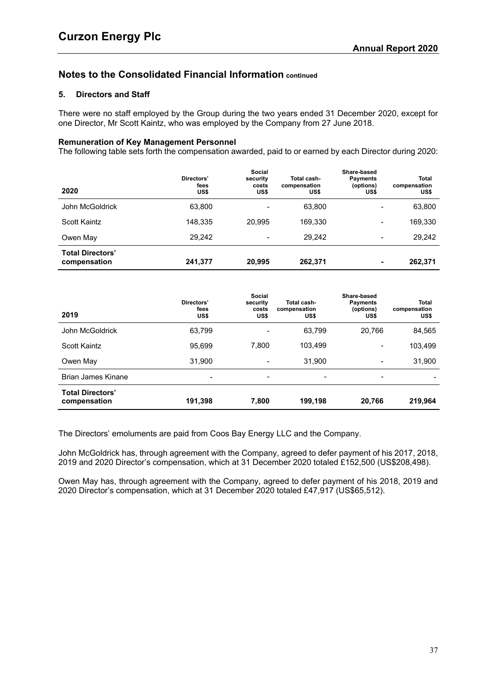# <span id="page-39-0"></span>**5. Directors and Staff**

There were no staff employed by the Group during the two years ended 31 December 2020, except for one Director, Mr Scott Kaintz, who was employed by the Company from 27 June 2018.

# **Remuneration of Key Management Personnel**

The following table sets forth the compensation awarded, paid to or earned by each Director during 2020:

| 2020                                    | Directors'<br>fees<br>US\$ | Social<br>security<br>costs<br>US\$ | Total cash-<br>compensation<br>US\$ | Share-based<br><b>Payments</b><br>(options)<br>US\$ | <b>Total</b><br>compensation<br>US\$ |
|-----------------------------------------|----------------------------|-------------------------------------|-------------------------------------|-----------------------------------------------------|--------------------------------------|
| John McGoldrick                         | 63,800                     |                                     | 63,800                              | $\overline{\phantom{a}}$                            | 63,800                               |
| Scott Kaintz                            | 148.335                    | 20.995                              | 169.330                             | $\overline{\phantom{0}}$                            | 169,330                              |
| Owen May                                | 29.242                     | $\overline{\phantom{0}}$            | 29.242                              | $\overline{\phantom{a}}$                            | 29,242                               |
| <b>Total Directors'</b><br>compensation | 241,377                    | 20,995                              | 262,371                             |                                                     | 262,371                              |

| 2019                                    | Directors'<br>fees<br>US\$ | <b>Social</b><br>security<br>costs<br>US\$ | Total cash-<br>compensation<br>US\$ | Share-based<br><b>Payments</b><br>(options)<br>US\$ | <b>Total</b><br>compensation<br>US\$ |
|-----------------------------------------|----------------------------|--------------------------------------------|-------------------------------------|-----------------------------------------------------|--------------------------------------|
| John McGoldrick                         | 63,799                     |                                            | 63,799                              | 20,766                                              | 84,565                               |
| <b>Scott Kaintz</b>                     | 95,699                     | 7,800                                      | 103,499                             |                                                     | 103,499                              |
| Owen May                                | 31.900                     | -                                          | 31.900                              | $\overline{\phantom{0}}$                            | 31,900                               |
| <b>Brian James Kinane</b>               | -                          | $\overline{\phantom{a}}$                   | $\qquad \qquad \blacksquare$        | $\overline{\phantom{a}}$                            |                                      |
| <b>Total Directors'</b><br>compensation | 191,398                    | 7,800                                      | 199,198                             | 20,766                                              | 219,964                              |

The Directors' emoluments are paid from Coos Bay Energy LLC and the Company.

John McGoldrick has, through agreement with the Company, agreed to defer payment of his 2017, 2018, 2019 and 2020 Director's compensation, which at 31 December 2020 totaled £152,500 (US\$208,498).

Owen May has, through agreement with the Company, agreed to defer payment of his 2018, 2019 and 2020 Director's compensation, which at 31 December 2020 totaled £47,917 (US\$65,512).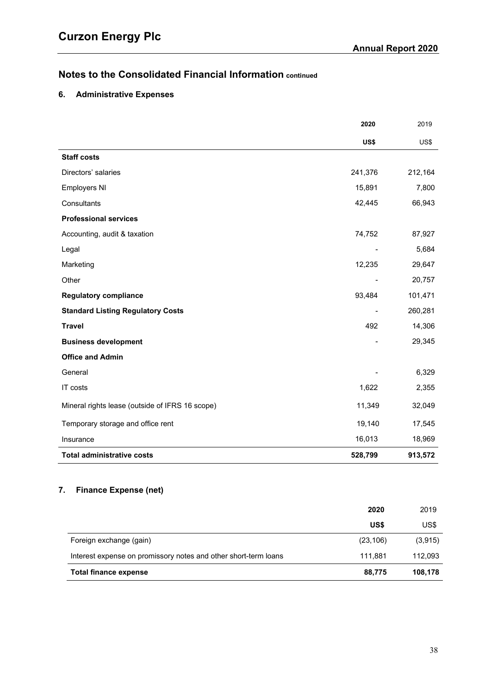# <span id="page-40-0"></span>**6. Administrative Expenses**

|                                                 | 2020                     | 2019    |
|-------------------------------------------------|--------------------------|---------|
|                                                 | US\$                     | US\$    |
| <b>Staff costs</b>                              |                          |         |
| Directors' salaries                             | 241,376                  | 212,164 |
| <b>Employers NI</b>                             | 15,891                   | 7,800   |
| Consultants                                     | 42,445                   | 66,943  |
| <b>Professional services</b>                    |                          |         |
| Accounting, audit & taxation                    | 74,752                   | 87,927  |
| Legal                                           | $\overline{\phantom{a}}$ | 5,684   |
| Marketing                                       | 12,235                   | 29,647  |
| Other                                           |                          | 20,757  |
| <b>Regulatory compliance</b>                    | 93,484                   | 101,471 |
| <b>Standard Listing Regulatory Costs</b>        |                          | 260,281 |
| <b>Travel</b>                                   | 492                      | 14,306  |
| <b>Business development</b>                     |                          | 29,345  |
| <b>Office and Admin</b>                         |                          |         |
| General                                         |                          | 6,329   |
| IT costs                                        | 1,622                    | 2,355   |
| Mineral rights lease (outside of IFRS 16 scope) | 11,349                   | 32,049  |
| Temporary storage and office rent               | 19,140                   | 17,545  |
| Insurance                                       | 16,013                   | 18,969  |
| <b>Total administrative costs</b>               | 528,799                  | 913,572 |

# <span id="page-40-1"></span>**7. Finance Expense (net)**

|                                                                 | 2020      | 2019     |
|-----------------------------------------------------------------|-----------|----------|
|                                                                 | US\$      | US\$     |
| Foreign exchange (gain)                                         | (23, 106) | (3, 915) |
| Interest expense on promissory notes and other short-term loans | 111.881   | 112,093  |
| Total finance expense                                           | 88,775    | 108,178  |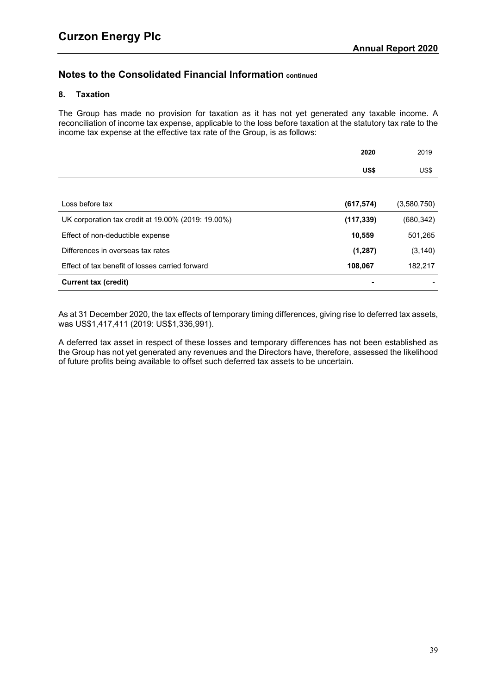# <span id="page-41-0"></span>**8. Taxation**

The Group has made no provision for taxation as it has not yet generated any taxable income. A reconciliation of income tax expense, applicable to the loss before taxation at the statutory tax rate to the income tax expense at the effective tax rate of the Group, is as follows:

|                                                    | 2020       | 2019        |
|----------------------------------------------------|------------|-------------|
|                                                    | US\$       | US\$        |
|                                                    |            |             |
| Loss before tax                                    | (617, 574) | (3,580,750) |
| UK corporation tax credit at 19.00% (2019: 19.00%) | (117, 339) | (680, 342)  |
| Effect of non-deductible expense                   | 10,559     | 501,265     |
| Differences in overseas tax rates                  | (1, 287)   | (3, 140)    |
| Effect of tax benefit of losses carried forward    | 108,067    | 182,217     |
| <b>Current tax (credit)</b>                        |            |             |

As at 31 December 2020, the tax effects of temporary timing differences, giving rise to deferred tax assets, was US\$1,417,411 (2019: US\$1,336,991).

A deferred tax asset in respect of these losses and temporary differences has not been established as the Group has not yet generated any revenues and the Directors have, therefore, assessed the likelihood of future profits being available to offset such deferred tax assets to be uncertain.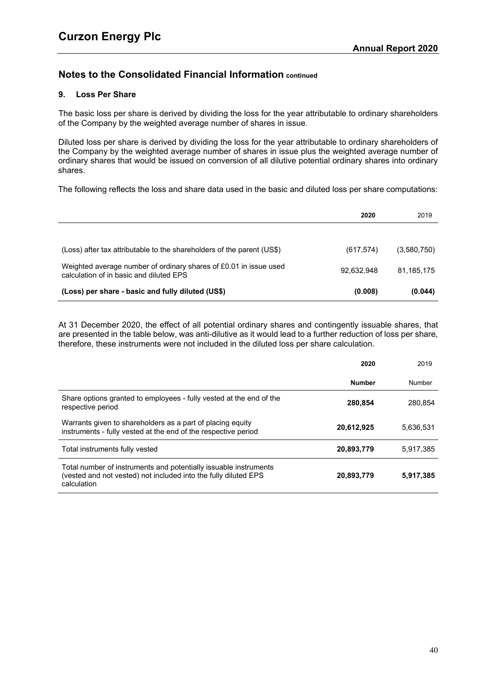# <span id="page-42-0"></span>**9. Loss Per Share**

The basic loss per share is derived by dividing the loss for the year attributable to ordinary shareholders of the Company by the weighted average number of shares in issue.

Diluted loss per share is derived by dividing the loss for the year attributable to ordinary shareholders of the Company by the weighted average number of shares in issue plus the weighted average number of ordinary shares that would be issued on conversion of all dilutive potential ordinary shares into ordinary shares.

The following reflects the loss and share data used in the basic and diluted loss per share computations:

|                                                                                                              | 2020       | 2019        |
|--------------------------------------------------------------------------------------------------------------|------------|-------------|
|                                                                                                              |            |             |
| (Loss) after tax attributable to the shareholders of the parent (US\$)                                       | (617, 574) | (3,580,750) |
| Weighted average number of ordinary shares of £0.01 in issue used<br>calculation of in basic and diluted EPS | 92,632,948 | 81.185.175  |
| (Loss) per share - basic and fully diluted (US\$)                                                            | (0.008)    | (0.044)     |

At 31 December 2020, the effect of all potential ordinary shares and contingently issuable shares, that are presented in the table below, was anti-dilutive as it would lead to a further reduction of loss per share, therefore, these instruments were not included in the diluted loss per share calculation.

|                                                                                                                                                    | 2020          | 2019      |
|----------------------------------------------------------------------------------------------------------------------------------------------------|---------------|-----------|
|                                                                                                                                                    | <b>Number</b> | Number    |
| Share options granted to employees - fully vested at the end of the<br>respective period                                                           | 280.854       | 280.854   |
| Warrants given to shareholders as a part of placing equity<br>instruments - fully vested at the end of the respective period                       | 20,612,925    | 5,636,531 |
| Total instruments fully vested                                                                                                                     | 20,893,779    | 5,917,385 |
| Total number of instruments and potentially issuable instruments<br>(vested and not vested) not included into the fully diluted EPS<br>calculation | 20,893,779    | 5,917,385 |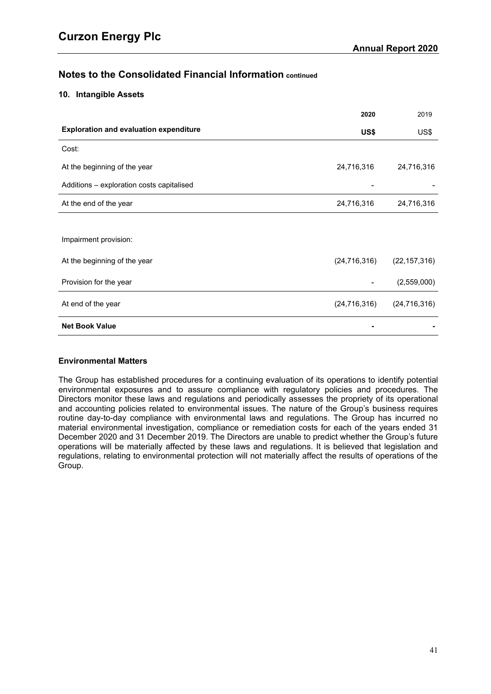# <span id="page-43-0"></span>**10. Intangible Assets**

|                                               | 2020           | 2019           |
|-----------------------------------------------|----------------|----------------|
| <b>Exploration and evaluation expenditure</b> | US\$           | US\$           |
| Cost:                                         |                |                |
| At the beginning of the year                  | 24,716,316     | 24,716,316     |
| Additions - exploration costs capitalised     |                |                |
| At the end of the year                        | 24,716,316     | 24,716,316     |
|                                               |                |                |
| Impairment provision:                         |                |                |
| At the beginning of the year                  | (24, 716, 316) | (22, 157, 316) |
| Provision for the year                        |                | (2,559,000)    |
| At end of the year                            | (24, 716, 316) | (24, 716, 316) |
| <b>Net Book Value</b>                         |                |                |

# **Environmental Matters**

The Group has established procedures for a continuing evaluation of its operations to identify potential environmental exposures and to assure compliance with regulatory policies and procedures. The Directors monitor these laws and regulations and periodically assesses the propriety of its operational and accounting policies related to environmental issues. The nature of the Group's business requires routine day-to-day compliance with environmental laws and regulations. The Group has incurred no material environmental investigation, compliance or remediation costs for each of the years ended 31 December 2020 and 31 December 2019. The Directors are unable to predict whether the Group's future operations will be materially affected by these laws and regulations. It is believed that legislation and regulations, relating to environmental protection will not materially affect the results of operations of the Group.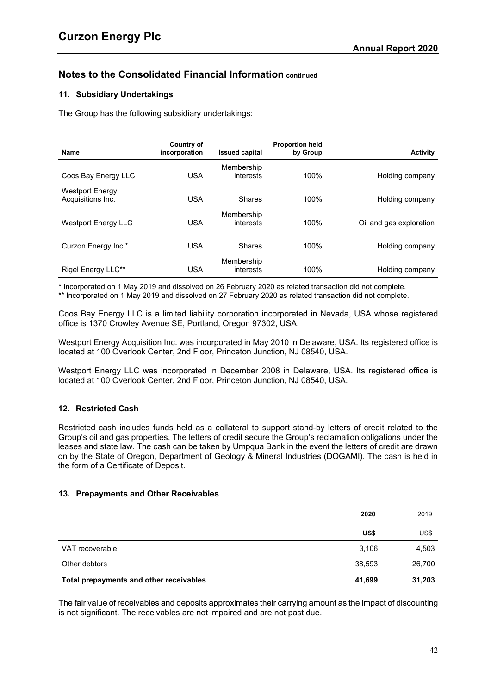# **11. Subsidiary Undertakings**

The Group has the following subsidiary undertakings:

| Name                                        | Country of<br>incorporation | <b>Issued capital</b>   | <b>Proportion held</b><br>by Group | <b>Activity</b>         |
|---------------------------------------------|-----------------------------|-------------------------|------------------------------------|-------------------------|
| Coos Bay Energy LLC                         | <b>USA</b>                  | Membership<br>interests | 100%                               | Holding company         |
| <b>Westport Energy</b><br>Acquisitions Inc. | <b>USA</b>                  | <b>Shares</b>           | 100%                               | Holding company         |
| <b>Westport Energy LLC</b>                  | <b>USA</b>                  | Membership<br>interests | 100%                               | Oil and gas exploration |
| Curzon Energy Inc.*                         | <b>USA</b>                  | <b>Shares</b>           | 100%                               | Holding company         |
| Rigel Energy LLC**                          | <b>USA</b>                  | Membership<br>interests | 100%                               | Holding company         |

\* Incorporated on 1 May 2019 and dissolved on 26 February 2020 as related transaction did not complete.

\*\* Incorporated on 1 May 2019 and dissolved on 27 February 2020 as related transaction did not complete.

Coos Bay Energy LLC is a limited liability corporation incorporated in Nevada, USA whose registered office is 1370 Crowley Avenue SE, Portland, Oregon 97302, USA.

Westport Energy Acquisition Inc. was incorporated in May 2010 in Delaware, USA. Its registered office is located at 100 Overlook Center, 2nd Floor, Princeton Junction, NJ 08540, USA.

Westport Energy LLC was incorporated in December 2008 in Delaware, USA. Its registered office is located at 100 Overlook Center, 2nd Floor, Princeton Junction, NJ 08540, USA.

# <span id="page-44-0"></span>**12. Restricted Cash**

Restricted cash includes funds held as a collateral to support stand-by letters of credit related to the Group's oil and gas properties. The letters of credit secure the Group's reclamation obligations under the leases and state law. The cash can be taken by Umpqua Bank in the event the letters of credit are drawn on by the State of Oregon, Department of Geology & Mineral Industries (DOGAMI). The cash is held in the form of a Certificate of Deposit.

# <span id="page-44-1"></span>**13. Prepayments and Other Receivables**

|                                         | 2020   | 2019   |
|-----------------------------------------|--------|--------|
|                                         | US\$   | US\$   |
| VAT recoverable                         | 3,106  | 4,503  |
| Other debtors                           | 38,593 | 26,700 |
| Total prepayments and other receivables | 41,699 | 31,203 |

The fair value of receivables and deposits approximates their carrying amount as the impact of discounting is not significant. The receivables are not impaired and are not past due.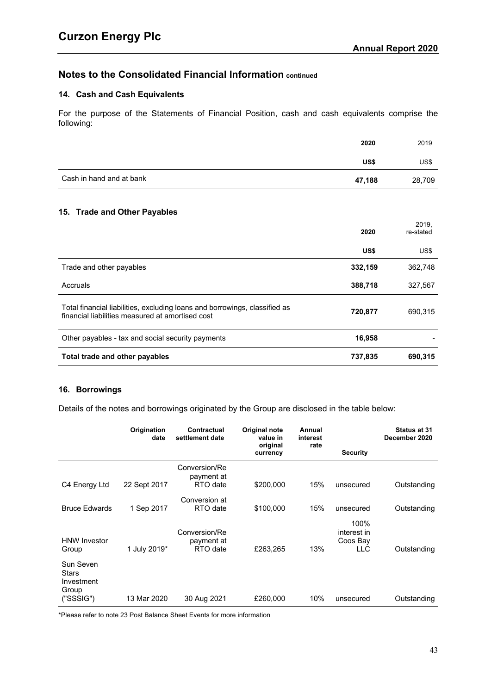# <span id="page-45-0"></span>**14. Cash and Cash Equivalents**

For the purpose of the Statements of Financial Position, cash and cash equivalents comprise the following:

|                          | 2020   | 2019   |
|--------------------------|--------|--------|
|                          | US\$   | US\$   |
| Cash in hand and at bank | 47,188 | 28,709 |

# <span id="page-45-1"></span>**15. Trade and Other Payables**

|                                                                                                                                | 2020    | 2019.<br>re-stated |
|--------------------------------------------------------------------------------------------------------------------------------|---------|--------------------|
|                                                                                                                                | US\$    | US\$               |
| Trade and other payables                                                                                                       | 332,159 | 362,748            |
| Accruals                                                                                                                       | 388,718 | 327,567            |
| Total financial liabilities, excluding loans and borrowings, classified as<br>financial liabilities measured at amortised cost | 720,877 | 690,315            |
| Other payables - tax and social security payments                                                                              | 16,958  |                    |
| Total trade and other payables                                                                                                 | 737,835 | 690.315            |

# <span id="page-45-2"></span>**16. Borrowings**

Details of the notes and borrowings originated by the Group are disclosed in the table below:

|                                                        | Origination<br>date | Contractual<br>settlement date          | Original note<br>value in<br>original | Annual<br>interest<br>rate |                                        | Status at 31<br>December 2020 |
|--------------------------------------------------------|---------------------|-----------------------------------------|---------------------------------------|----------------------------|----------------------------------------|-------------------------------|
|                                                        |                     |                                         | currency                              |                            | <b>Security</b>                        |                               |
| C4 Energy Ltd                                          | 22 Sept 2017        | Conversion/Re<br>payment at<br>RTO date | \$200,000                             | 15%                        | unsecured                              | Outstanding                   |
| <b>Bruce Edwards</b>                                   | 1 Sep 2017          | Conversion at<br>RTO date               | \$100,000                             | 15%                        | unsecured                              | Outstanding                   |
| <b>HNW Investor</b><br>Group                           | 1 July 2019*        | Conversion/Re<br>payment at<br>RTO date | £263,265                              | 13%                        | 100%<br>interest in<br>Coos Bay<br>LLC | Outstanding                   |
| Sun Seven<br>Stars<br>Investment<br>Group<br>("SSSIG") | 13 Mar 2020         | 30 Aug 2021                             | £260,000                              | 10%                        | unsecured                              | Outstanding                   |

\*Please refer to note [23](#page-55-0) Post Balance Sheet Events for more information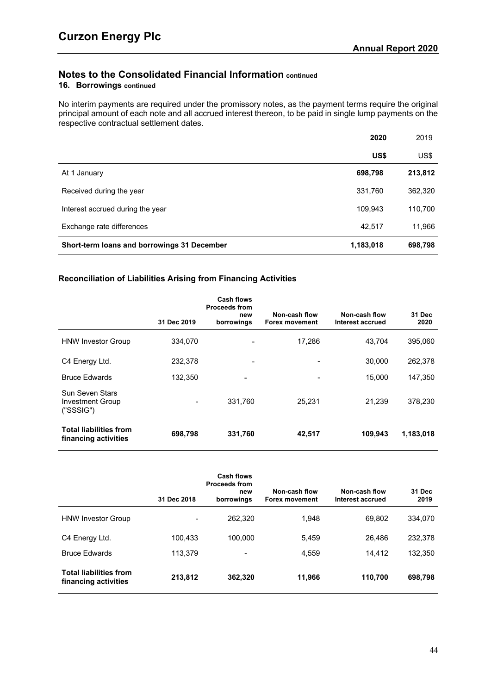# **16. Borrowings continued**

No interim payments are required under the promissory notes, as the payment terms require the original principal amount of each note and all accrued interest thereon, to be paid in single lump payments on the respective contractual settlement dates.

|                                             | 2020      | 2019    |
|---------------------------------------------|-----------|---------|
|                                             | US\$      | US\$    |
| At 1 January                                | 698,798   | 213,812 |
| Received during the year                    | 331,760   | 362,320 |
| Interest accrued during the year            | 109,943   | 110,700 |
| Exchange rate differences                   | 42,517    | 11,966  |
| Short-term loans and borrowings 31 December | 1,183,018 | 698,798 |

# **Reconciliation of Liabilities Arising from Financing Activities**

|                                                       | 31 Dec 2019              | Cash flows<br><b>Proceeds from</b><br>new<br>borrowings | Non-cash flow<br><b>Forex movement</b> | Non-cash flow<br>Interest accrued | 31 Dec<br>2020 |
|-------------------------------------------------------|--------------------------|---------------------------------------------------------|----------------------------------------|-----------------------------------|----------------|
| <b>HNW Investor Group</b>                             | 334,070                  | $\overline{\phantom{a}}$                                | 17,286                                 | 43.704                            | 395,060        |
| C4 Energy Ltd.                                        | 232,378                  | ٠                                                       |                                        | 30,000                            | 262,378        |
| <b>Bruce Edwards</b>                                  | 132.350                  |                                                         |                                        | 15.000                            | 147,350        |
| Sun Seven Stars<br>Investment Group<br>("SSSIG")      | $\overline{\phantom{a}}$ | 331,760                                                 | 25.231                                 | 21.239                            | 378,230        |
| <b>Total liabilities from</b><br>financing activities | 698,798                  | 331,760                                                 | 42,517                                 | 109,943                           | 1,183,018      |

|                                                       | 31 Dec 2018 | <b>Cash flows</b><br><b>Proceeds from</b><br>new<br>borrowings | Non-cash flow<br><b>Forex movement</b> | Non-cash flow<br>Interest accrued | 31 Dec<br>2019 |
|-------------------------------------------------------|-------------|----------------------------------------------------------------|----------------------------------------|-----------------------------------|----------------|
| <b>HNW Investor Group</b>                             |             | 262,320                                                        | 1.948                                  | 69,802                            | 334.070        |
| C4 Energy Ltd.                                        | 100.433     | 100.000                                                        | 5,459                                  | 26.486                            | 232,378        |
| <b>Bruce Edwards</b>                                  | 113.379     | $\overline{\phantom{a}}$                                       | 4,559                                  | 14,412                            | 132,350        |
| <b>Total liabilities from</b><br>financing activities | 213,812     | 362,320                                                        | 11,966                                 | 110,700                           | 698,798        |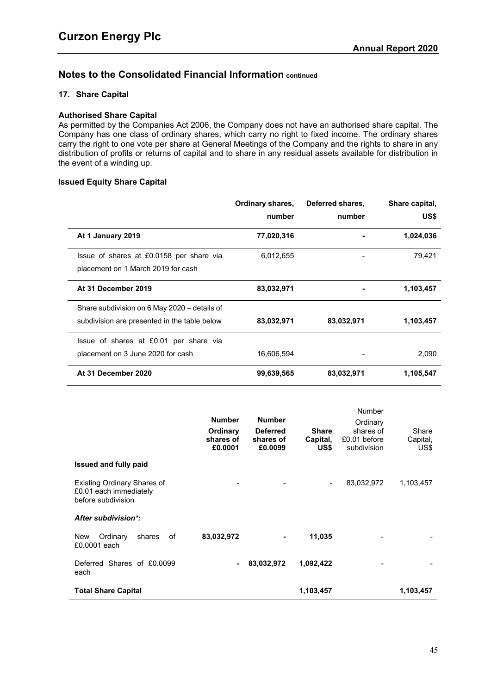# <span id="page-47-0"></span>**17. Share Capital**

# **Authorised Share Capital**

As permitted by the Companies Act 2006, the Company does not have an authorised share capital. The Company has one class of ordinary shares, which carry no right to fixed income. The ordinary shares carry the right to one vote per share at General Meetings of the Company and the rights to share in any distribution of profits or returns of capital and to share in any residual assets available for distribution in the event of a winding up.

## **Issued Equity Share Capital**

|                                                                                              | Ordinary shares,<br>number | Deferred shares,<br>number | Share capital,<br>US\$ |
|----------------------------------------------------------------------------------------------|----------------------------|----------------------------|------------------------|
| At 1 January 2019                                                                            | 77,020,316                 |                            | 1,024,036              |
| Issue of shares at £0.0158 per share via<br>placement on 1 March 2019 for cash               | 6,012,655                  |                            | 79,421                 |
| At 31 December 2019                                                                          | 83,032,971                 |                            | 1,103,457              |
| Share subdivision on 6 May 2020 – details of<br>subdivision are presented in the table below | 83,032,971                 | 83,032,971                 | 1,103,457              |
| Issue of shares at £0.01 per share via<br>placement on 3 June 2020 for cash                  | 16,606,594                 |                            | 2,090                  |
| At 31 December 2020                                                                          | 99,639,565                 | 83,032,971                 | 1,105,547              |

|                                                                                    | <b>Number</b><br>Ordinary<br>shares of<br>£0.0001 | <b>Number</b><br><b>Deferred</b><br>shares of<br>£0.0099 | <b>Share</b><br>Capital,<br>US\$ | <b>Number</b><br>Ordinary<br>shares of<br>£0.01 before<br>subdivision | Share<br>Capital,<br>US\$ |
|------------------------------------------------------------------------------------|---------------------------------------------------|----------------------------------------------------------|----------------------------------|-----------------------------------------------------------------------|---------------------------|
| <b>Issued and fully paid</b>                                                       |                                                   |                                                          |                                  |                                                                       |                           |
| <b>Existing Ordinary Shares of</b><br>£0.01 each immediately<br>before subdivision |                                                   |                                                          |                                  | 83,032,972                                                            | 1,103,457                 |
| After subdivision*:                                                                |                                                   |                                                          |                                  |                                                                       |                           |
| оf<br>New<br>Ordinary<br>shares<br>£0,0001 each                                    | 83,032,972                                        |                                                          | 11,035                           |                                                                       |                           |
| Deferred Shares of £0,0099<br>each                                                 |                                                   | 83,032,972                                               | 1,092,422                        |                                                                       |                           |
| <b>Total Share Capital</b>                                                         |                                                   |                                                          | 1,103,457                        |                                                                       | 1,103,457                 |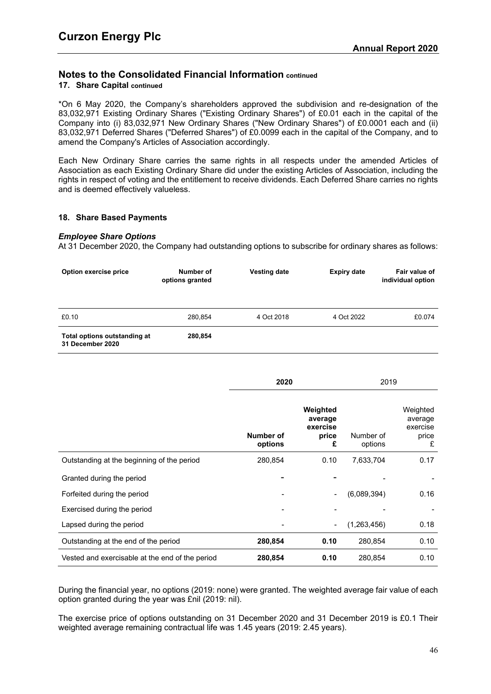# **17. Share Capital continued**

\*On 6 May 2020, the Company's shareholders approved the subdivision and re-designation of the 83,032,971 Existing Ordinary Shares ("Existing Ordinary Shares") of £0.01 each in the capital of the Company into (i) 83,032,971 New Ordinary Shares ("New Ordinary Shares") of £0.0001 each and (ii) 83,032,971 Deferred Shares ("Deferred Shares") of £0.0099 each in the capital of the Company, and to amend the Company's Articles of Association accordingly.

Each New Ordinary Share carries the same rights in all respects under the amended Articles of Association as each Existing Ordinary Share did under the existing Articles of Association, including the rights in respect of voting and the entitlement to receive dividends. Each Deferred Share carries no rights and is deemed effectively valueless.

# <span id="page-48-0"></span>**18. Share Based Payments**

# *Employee Share Options*

At 31 December 2020, the Company had outstanding options to subscribe for ordinary shares as follows:

| Option exercise price                            | Number of<br>options granted | <b>Vesting date</b> | <b>Expiry date</b> | Fair value of<br>individual option |
|--------------------------------------------------|------------------------------|---------------------|--------------------|------------------------------------|
| £0.10                                            | 280.854                      | 4 Oct 2018          | 4 Oct 2022         | £0.074                             |
| Total options outstanding at<br>31 December 2020 | 280,854                      |                     |                    |                                    |

|                                                 | 2020                 |                                               | 2019                 |                                               |  |
|-------------------------------------------------|----------------------|-----------------------------------------------|----------------------|-----------------------------------------------|--|
|                                                 | Number of<br>options | Weighted<br>average<br>exercise<br>price<br>£ | Number of<br>options | Weighted<br>average<br>exercise<br>price<br>£ |  |
| Outstanding at the beginning of the period      | 280,854              | 0.10                                          | 7,633,704            | 0.17                                          |  |
| Granted during the period                       |                      |                                               |                      |                                               |  |
| Forfeited during the period                     |                      | $\overline{\phantom{a}}$                      | (6,089,394)          | 0.16                                          |  |
| Exercised during the period                     |                      |                                               |                      |                                               |  |
| Lapsed during the period                        |                      | $\blacksquare$                                | (1,263,456)          | 0.18                                          |  |
| Outstanding at the end of the period            | 280,854              | 0.10                                          | 280,854              | 0.10                                          |  |
| Vested and exercisable at the end of the period | 280,854              | 0.10                                          | 280,854              | 0.10                                          |  |

During the financial year, no options (2019: none) were granted. The weighted average fair value of each option granted during the year was £nil (2019: nil).

The exercise price of options outstanding on 31 December 2020 and 31 December 2019 is £0.1 Their weighted average remaining contractual life was 1.45 years (2019: 2.45 years).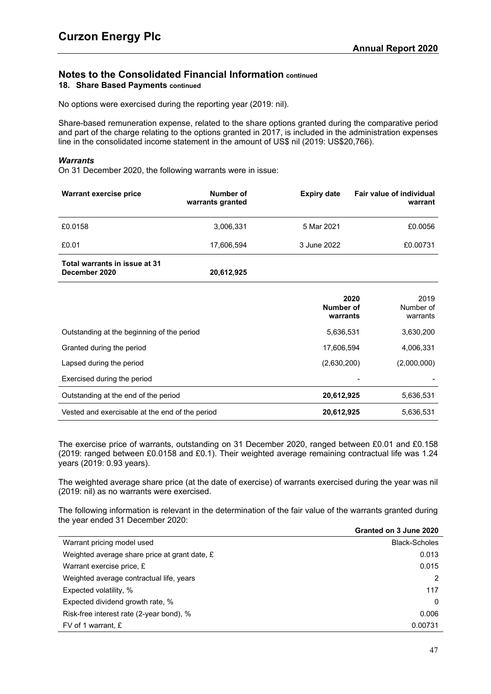# **Notes to the Consolidated Financial Information continued 18. Share Based Payments continued**

No options were exercised during the reporting year (2019: nil).

Share-based remuneration expense, related to the share options granted during the comparative period and part of the charge relating to the options granted in 2017, is included in the administration expenses line in the consolidated income statement in the amount of US\$ nil (2019: US\$20,766).

## *Warrants*

On 31 December 2020, the following warrants were in issue:

| Warrant exercise price                         | Number of<br>warrants granted | <b>Expiry date</b> | <b>Fair value of individual</b><br>warrant |
|------------------------------------------------|-------------------------------|--------------------|--------------------------------------------|
| £0.0158                                        | 3,006,331                     | 5 Mar 2021         | £0.0056                                    |
| £0.01                                          | 17,606,594                    | 3 June 2022        | £0.00731                                   |
| Total warrants in issue at 31<br>December 2020 | 20,612,925                    |                    |                                            |

|                                                 | 2020<br>Number of<br>warrants | 2019<br>Number of<br>warrants |
|-------------------------------------------------|-------------------------------|-------------------------------|
| Outstanding at the beginning of the period      | 5.636.531                     | 3,630,200                     |
| Granted during the period                       | 17.606.594                    | 4.006.331                     |
| Lapsed during the period                        | (2,630,200)                   | (2,000,000)                   |
| Exercised during the period                     |                               |                               |
| Outstanding at the end of the period            | 20,612,925                    | 5,636,531                     |
| Vested and exercisable at the end of the period | 20,612,925                    | 5,636,531                     |

The exercise price of warrants, outstanding on 31 December 2020, ranged between £0.01 and £0.158 (2019: ranged between £0.0158 and £0.1). Their weighted average remaining contractual life was 1.24 years (2019: 0.93 years).

The weighted average share price (at the date of exercise) of warrants exercised during the year was nil (2019: nil) as no warrants were exercised.

The following information is relevant in the determination of the fair value of the warrants granted during the year ended 31 December 2020: **Granted on 3 June 2020**

|                                               | Granted on 3 June 2020 |
|-----------------------------------------------|------------------------|
| Warrant pricing model used                    | <b>Black-Scholes</b>   |
| Weighted average share price at grant date, £ | 0.013                  |
| Warrant exercise price, £                     | 0.015                  |
| Weighted average contractual life, years      | 2                      |
| Expected volatility, %                        | 117                    |
| Expected dividend growth rate, %              | $\Omega$               |
| Risk-free interest rate (2-year bond), %      | 0.006                  |
| FV of 1 warrant, £                            | 0.00731                |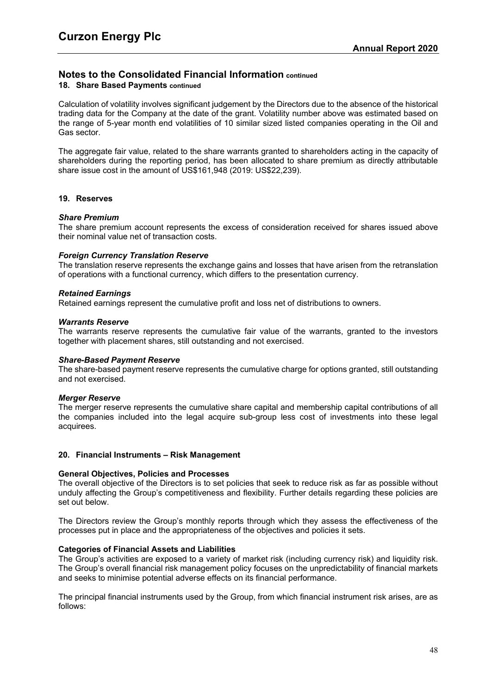## **Notes to the Consolidated Financial Information continued 18. Share Based Payments continued**

Calculation of volatility involves significant judgement by the Directors due to the absence of the historical trading data for the Company at the date of the grant. Volatility number above was estimated based on the range of 5-year month end volatilities of 10 similar sized listed companies operating in the Oil and Gas sector.

The aggregate fair value, related to the share warrants granted to shareholders acting in the capacity of shareholders during the reporting period, has been allocated to share premium as directly attributable share issue cost in the amount of US\$161,948 (2019: US\$22,239).

## **19. Reserves**

#### *Share Premium*

The share premium account represents the excess of consideration received for shares issued above their nominal value net of transaction costs.

## *Foreign Currency Translation Reserve*

The translation reserve represents the exchange gains and losses that have arisen from the retranslation of operations with a functional currency, which differs to the presentation currency.

## *Retained Earnings*

Retained earnings represent the cumulative profit and loss net of distributions to owners.

#### *Warrants Reserve*

The warrants reserve represents the cumulative fair value of the warrants, granted to the investors together with placement shares, still outstanding and not exercised.

#### *Share-Based Payment Reserve*

The share-based payment reserve represents the cumulative charge for options granted, still outstanding and not exercised.

#### *Merger Reserve*

The merger reserve represents the cumulative share capital and membership capital contributions of all the companies included into the legal acquire sub-group less cost of investments into these legal acquirees.

#### <span id="page-50-0"></span>**20. Financial Instruments – Risk Management**

#### **General Objectives, Policies and Processes**

The overall objective of the Directors is to set policies that seek to reduce risk as far as possible without unduly affecting the Group's competitiveness and flexibility. Further details regarding these policies are set out below.

The Directors review the Group's monthly reports through which they assess the effectiveness of the processes put in place and the appropriateness of the objectives and policies it sets.

#### **Categories of Financial Assets and Liabilities**

The Group's activities are exposed to a variety of market risk (including currency risk) and liquidity risk. The Group's overall financial risk management policy focuses on the unpredictability of financial markets and seeks to minimise potential adverse effects on its financial performance.

The principal financial instruments used by the Group, from which financial instrument risk arises, are as follows: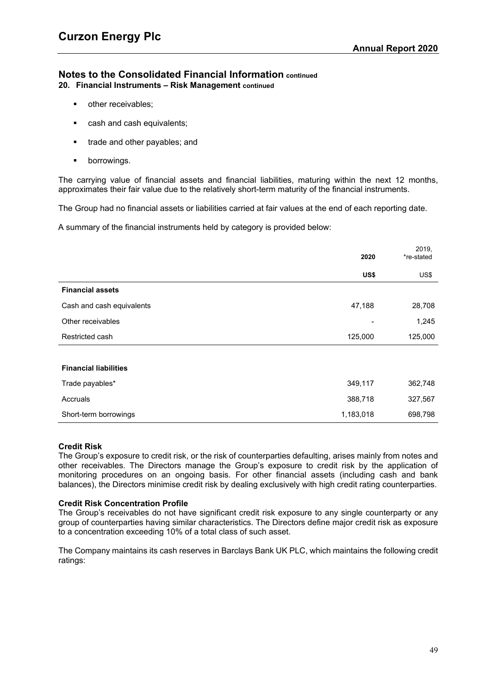# **Notes to the Consolidated Financial Information continued 20. Financial Instruments – Risk Management continued**

- **•** other receivables;
- **cash and cash equivalents;**
- **trade and other payables; and**
- **•** borrowings.

The carrying value of financial assets and financial liabilities, maturing within the next 12 months, approximates their fair value due to the relatively short-term maturity of the financial instruments.

The Group had no financial assets or liabilities carried at fair values at the end of each reporting date.

A summary of the financial instruments held by category is provided below:

|                              | 2020      | 2019,<br>*re-stated |
|------------------------------|-----------|---------------------|
|                              | US\$      | US\$                |
| <b>Financial assets</b>      |           |                     |
| Cash and cash equivalents    | 47,188    | 28,708              |
| Other receivables            |           | 1,245               |
| Restricted cash              | 125,000   | 125,000             |
|                              |           |                     |
| <b>Financial liabilities</b> |           |                     |
| Trade payables*              | 349,117   | 362,748             |
| Accruals                     | 388,718   | 327,567             |
| Short-term borrowings        | 1,183,018 | 698,798             |

#### **Credit Risk**

The Group's exposure to credit risk, or the risk of counterparties defaulting, arises mainly from notes and other receivables. The Directors manage the Group's exposure to credit risk by the application of monitoring procedures on an ongoing basis. For other financial assets (including cash and bank balances), the Directors minimise credit risk by dealing exclusively with high credit rating counterparties.

#### **Credit Risk Concentration Profile**

The Group's receivables do not have significant credit risk exposure to any single counterparty or any group of counterparties having similar characteristics. The Directors define major credit risk as exposure to a concentration exceeding 10% of a total class of such asset.

The Company maintains its cash reserves in Barclays Bank UK PLC, which maintains the following credit ratings: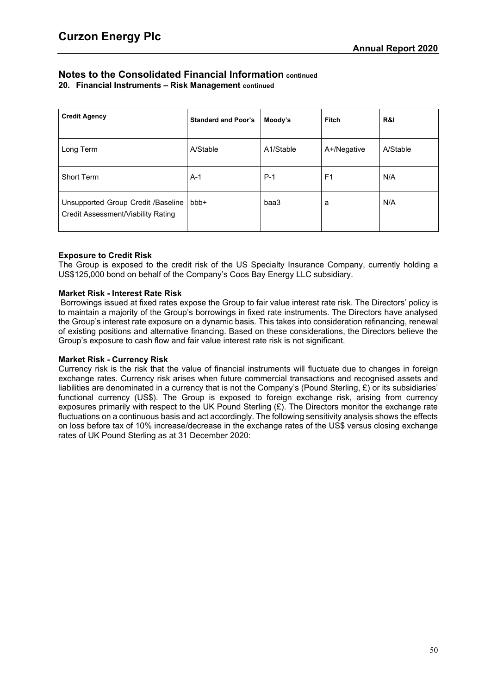**20. Financial Instruments – Risk Management continued**

| <b>Credit Agency</b>                                                     | <b>Standard and Poor's</b> | Moody's   | <b>Fitch</b>   | R&I      |
|--------------------------------------------------------------------------|----------------------------|-----------|----------------|----------|
| Long Term                                                                | A/Stable                   | A1/Stable | A+/Negative    | A/Stable |
| Short Term                                                               | $A-1$                      | $P-1$     | F <sub>1</sub> | N/A      |
| Unsupported Group Credit /Baseline<br>Credit Assessment/Viability Rating | bbb+                       | baa3      | a              | N/A      |

# **Exposure to Credit Risk**

The Group is exposed to the credit risk of the US Specialty Insurance Company, currently holding a US\$125,000 bond on behalf of the Company's Coos Bay Energy LLC subsidiary.

# **Market Risk - Interest Rate Risk**

Borrowings issued at fixed rates expose the Group to fair value interest rate risk. The Directors' policy is to maintain a majority of the Group's borrowings in fixed rate instruments. The Directors have analysed the Group's interest rate exposure on a dynamic basis. This takes into consideration refinancing, renewal of existing positions and alternative financing. Based on these considerations, the Directors believe the Group's exposure to cash flow and fair value interest rate risk is not significant.

# **Market Risk - Currency Risk**

Currency risk is the risk that the value of financial instruments will fluctuate due to changes in foreign exchange rates. Currency risk arises when future commercial transactions and recognised assets and liabilities are denominated in a currency that is not the Company's (Pound Sterling, £) or its subsidiaries' functional currency (US\$). The Group is exposed to foreign exchange risk, arising from currency exposures primarily with respect to the UK Pound Sterling (£). The Directors monitor the exchange rate fluctuations on a continuous basis and act accordingly. The following sensitivity analysis shows the effects on loss before tax of 10% increase/decrease in the exchange rates of the US\$ versus closing exchange rates of UK Pound Sterling as at 31 December 2020: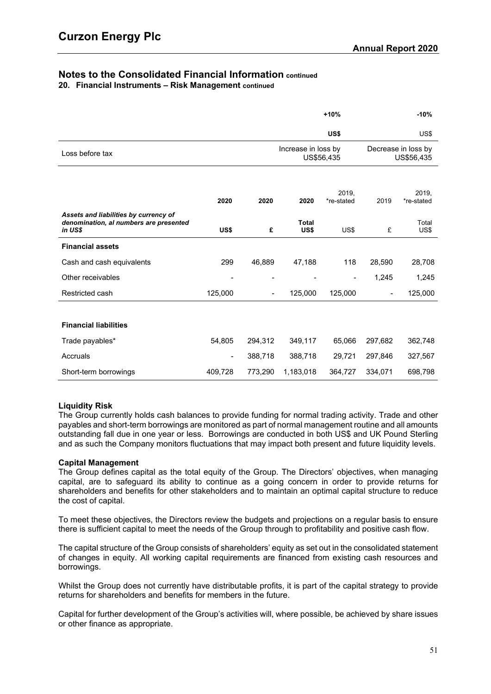**20. Financial Instruments – Risk Management continued**

|                                                                                            |                          |                          |                      | $+10%$                   | $-10%$                            |                     |  |
|--------------------------------------------------------------------------------------------|--------------------------|--------------------------|----------------------|--------------------------|-----------------------------------|---------------------|--|
|                                                                                            |                          |                          |                      | US\$                     |                                   | US\$                |  |
| Loss before tax                                                                            |                          |                          | Increase in loss by  | US\$56,435               | Decrease in loss by<br>US\$56,435 |                     |  |
|                                                                                            |                          |                          |                      |                          |                                   |                     |  |
|                                                                                            | 2020                     | 2020                     | 2020                 | 2019.<br>*re-stated      | 2019                              | 2019.<br>*re-stated |  |
| Assets and liabilities by currency of<br>denomination, al numbers are presented<br>in US\$ | US\$                     | £                        | <b>Total</b><br>US\$ | US\$                     | £                                 | Total<br>US\$       |  |
| <b>Financial assets</b>                                                                    |                          |                          |                      |                          |                                   |                     |  |
| Cash and cash equivalents                                                                  | 299                      | 46,889                   | 47,188               | 118                      | 28,590                            | 28,708              |  |
| Other receivables                                                                          | $\overline{\phantom{a}}$ | $\overline{\phantom{0}}$ | $\blacksquare$       | $\overline{\phantom{a}}$ | 1,245                             | 1,245               |  |
| Restricted cash                                                                            | 125,000                  | -                        | 125,000              | 125,000                  | $\blacksquare$                    | 125,000             |  |
|                                                                                            |                          |                          |                      |                          |                                   |                     |  |
| <b>Financial liabilities</b>                                                               |                          |                          |                      |                          |                                   |                     |  |
| Trade payables*                                                                            | 54,805                   | 294,312                  | 349,117              | 65,066                   | 297,682                           | 362,748             |  |
| Accruals                                                                                   | $\blacksquare$           | 388,718                  | 388,718              | 29,721                   | 297,846                           | 327,567             |  |
| Short-term borrowings                                                                      | 409,728                  | 773,290                  | 1,183,018            | 364,727                  | 334,071                           | 698,798             |  |

# **Liquidity Risk**

The Group currently holds cash balances to provide funding for normal trading activity. Trade and other payables and short-term borrowings are monitored as part of normal management routine and all amounts outstanding fall due in one year or less. Borrowings are conducted in both US\$ and UK Pound Sterling and as such the Company monitors fluctuations that may impact both present and future liquidity levels.

# **Capital Management**

The Group defines capital as the total equity of the Group. The Directors' objectives, when managing capital, are to safeguard its ability to continue as a going concern in order to provide returns for shareholders and benefits for other stakeholders and to maintain an optimal capital structure to reduce the cost of capital.

To meet these objectives, the Directors review the budgets and projections on a regular basis to ensure there is sufficient capital to meet the needs of the Group through to profitability and positive cash flow.

The capital structure of the Group consists of shareholders' equity as set out in the consolidated statement of changes in equity. All working capital requirements are financed from existing cash resources and borrowings.

Whilst the Group does not currently have distributable profits, it is part of the capital strategy to provide returns for shareholders and benefits for members in the future.

Capital for further development of the Group's activities will, where possible, be achieved by share issues or other finance as appropriate.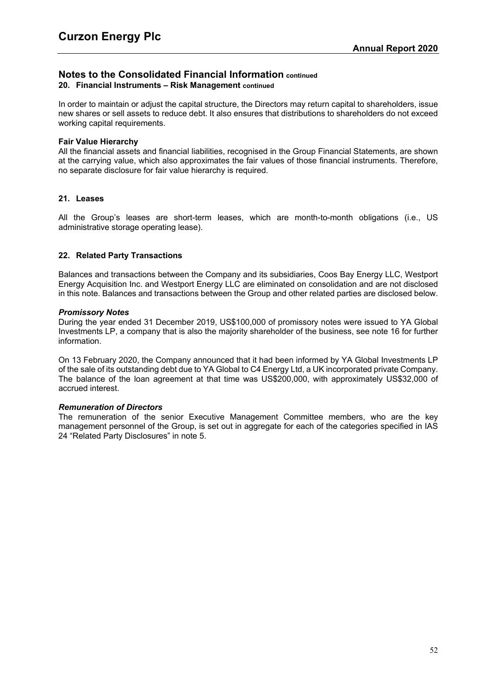# **Notes to the Consolidated Financial Information continued 20. Financial Instruments – Risk Management continued**

In order to maintain or adjust the capital structure, the Directors may return capital to shareholders, issue new shares or sell assets to reduce debt. It also ensures that distributions to shareholders do not exceed working capital requirements.

## **Fair Value Hierarchy**

All the financial assets and financial liabilities, recognised in the Group Financial Statements, are shown at the carrying value, which also approximates the fair values of those financial instruments. Therefore, no separate disclosure for fair value hierarchy is required.

# **21. Leases**

All the Group's leases are short-term leases, which are month-to-month obligations (i.e., US administrative storage operating lease).

# **22. Related Party Transactions**

Balances and transactions between the Company and its subsidiaries, Coos Bay Energy LLC, Westport Energy Acquisition Inc. and Westport Energy LLC are eliminated on consolidation and are not disclosed in this note. Balances and transactions between the Group and other related parties are disclosed below.

## *Promissory Notes*

During the year ended 31 December 2019, US\$100,000 of promissory notes were issued to YA Global Investments LP, a company that is also the majority shareholder of the business, see note 16 for further information.

On 13 February 2020, the Company announced that it had been informed by YA Global Investments LP of the sale of its outstanding debt due to YA Global to C4 Energy Ltd, a UK incorporated private Company. The balance of the loan agreement at that time was US\$200,000, with approximately US\$32,000 of accrued interest.

#### *Remuneration of Directors*

The remuneration of the senior Executive Management Committee members, who are the key management personnel of the Group, is set out in aggregate for each of the categories specified in IAS 24 "Related Party Disclosures" in note [5.](#page-39-0)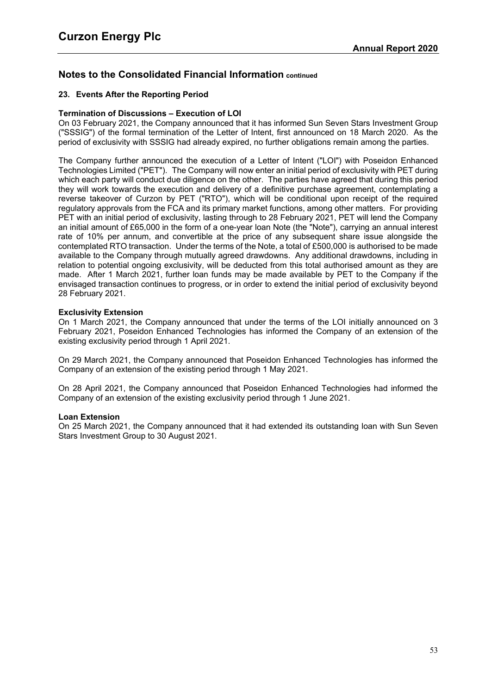# <span id="page-55-0"></span>**23. Events After the Reporting Period**

## **Termination of Discussions – Execution of LOI**

On 03 February 2021, the Company announced that it has informed Sun Seven Stars Investment Group ("SSSIG") of the formal termination of the Letter of Intent, first announced on 18 March 2020. As the period of exclusivity with SSSIG had already expired, no further obligations remain among the parties.

The Company further announced the execution of a Letter of Intent ("LOI") with Poseidon Enhanced Technologies Limited ("PET"). The Company will now enter an initial period of exclusivity with PET during which each party will conduct due diligence on the other. The parties have agreed that during this period they will work towards the execution and delivery of a definitive purchase agreement, contemplating a reverse takeover of Curzon by PET ("RTO"), which will be conditional upon receipt of the required regulatory approvals from the FCA and its primary market functions, among other matters. For providing PET with an initial period of exclusivity, lasting through to 28 February 2021, PET will lend the Company an initial amount of £65,000 in the form of a one-year loan Note (the "Note"), carrying an annual interest rate of 10% per annum, and convertible at the price of any subsequent share issue alongside the contemplated RTO transaction. Under the terms of the Note, a total of £500,000 is authorised to be made available to the Company through mutually agreed drawdowns. Any additional drawdowns, including in relation to potential ongoing exclusivity, will be deducted from this total authorised amount as they are made. After 1 March 2021, further loan funds may be made available by PET to the Company if the envisaged transaction continues to progress, or in order to extend the initial period of exclusivity beyond 28 February 2021.

## **Exclusivity Extension**

On 1 March 2021, the Company announced that under the terms of the LOI initially announced on 3 February 2021, Poseidon Enhanced Technologies has informed the Company of an extension of the existing exclusivity period through 1 April 2021.

On 29 March 2021, the Company announced that Poseidon Enhanced Technologies has informed the Company of an extension of the existing period through 1 May 2021.

On 28 April 2021, the Company announced that Poseidon Enhanced Technologies had informed the Company of an extension of the existing exclusivity period through 1 June 2021.

#### **Loan Extension**

On 25 March 2021, the Company announced that it had extended its outstanding loan with Sun Seven Stars Investment Group to 30 August 2021.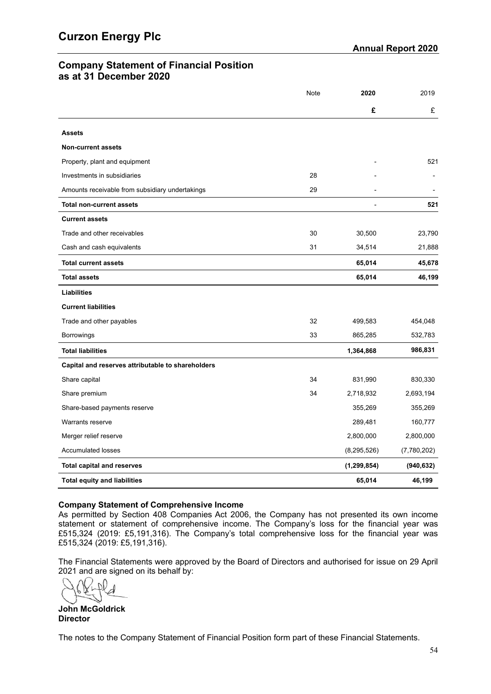# **Company Statement of Financial Position as at 31 December 2020**

|                                                   | Note | 2020           | 2019        |
|---------------------------------------------------|------|----------------|-------------|
|                                                   |      | £              | £           |
| <b>Assets</b>                                     |      |                |             |
| <b>Non-current assets</b>                         |      |                |             |
| Property, plant and equipment                     |      |                | 521         |
| Investments in subsidiaries                       | 28   |                |             |
| Amounts receivable from subsidiary undertakings   | 29   |                |             |
| <b>Total non-current assets</b>                   |      | $\blacksquare$ | 521         |
| <b>Current assets</b>                             |      |                |             |
| Trade and other receivables                       | 30   | 30,500         | 23,790      |
| Cash and cash equivalents                         | 31   | 34,514         | 21,888      |
| <b>Total current assets</b>                       |      | 65,014         | 45,678      |
| <b>Total assets</b>                               |      | 65,014         | 46,199      |
| <b>Liabilities</b>                                |      |                |             |
| <b>Current liabilities</b>                        |      |                |             |
| Trade and other payables                          | 32   | 499,583        | 454,048     |
| <b>Borrowings</b>                                 | 33   | 865,285        | 532,783     |
| <b>Total liabilities</b>                          |      | 1,364,868      | 986,831     |
| Capital and reserves attributable to shareholders |      |                |             |
| Share capital                                     | 34   | 831,990        | 830,330     |
| Share premium                                     | 34   | 2,718,932      | 2,693,194   |
| Share-based payments reserve                      |      | 355,269        | 355,269     |
| <b>Warrants reserve</b>                           |      | 289,481        | 160,777     |
| Merger relief reserve                             |      | 2,800,000      | 2,800,000   |
| <b>Accumulated losses</b>                         |      | (8, 295, 526)  | (7,780,202) |
| <b>Total capital and reserves</b>                 |      | (1, 299, 854)  | (940, 632)  |
| <b>Total equity and liabilities</b>               |      | 65,014         | 46,199      |

# **Company Statement of Comprehensive Income**

As permitted by Section 408 Companies Act 2006, the Company has not presented its own income statement or statement of comprehensive income. The Company's loss for the financial year was £515,324 (2019: £5,191,316). The Company's total comprehensive loss for the financial year was £515,324 (2019: £5,191,316).

The Financial Statements were approved by the Board of Directors and authorised for issue on 29 April 2021 and are signed on its behalf by:

 $\mathcal{L}$ 

**John McGoldrick Director**

The notes to the Company Statement of Financial Position form part of these Financial Statements.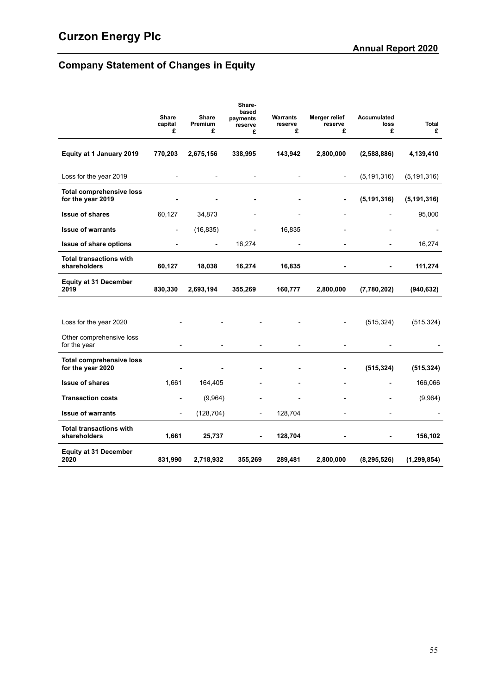# **Company Statement of Changes in Equity**

|                                                      | <b>Share</b><br>capital<br>£ | Share<br>Premium<br>£    | Share-<br>based<br>payments<br>reserve<br>£ | Warrants<br>reserve<br>£ | Merger relief<br>reserve<br>£ | <b>Accumulated</b><br>loss<br>£ | <b>Total</b><br>£ |
|------------------------------------------------------|------------------------------|--------------------------|---------------------------------------------|--------------------------|-------------------------------|---------------------------------|-------------------|
| Equity at 1 January 2019                             | 770,203                      | 2,675,156                | 338,995                                     | 143,942                  | 2,800,000                     | (2,588,886)                     | 4,139,410         |
| Loss for the year 2019                               |                              |                          | $\overline{\phantom{0}}$                    | $\overline{\phantom{0}}$ | $\overline{\phantom{a}}$      | (5, 191, 316)                   | (5, 191, 316)     |
| <b>Total comprehensive loss</b><br>for the year 2019 |                              |                          |                                             |                          | ۰                             | (5, 191, 316)                   | (5, 191, 316)     |
| <b>Issue of shares</b>                               | 60,127                       | 34,873                   |                                             |                          |                               |                                 | 95,000            |
| <b>Issue of warrants</b>                             | $\overline{\phantom{a}}$     | (16, 835)                |                                             | 16,835                   |                               | $\overline{a}$                  | $\blacksquare$    |
| <b>Issue of share options</b>                        | $\overline{\phantom{a}}$     | $\overline{\phantom{a}}$ | 16,274                                      |                          |                               |                                 | 16,274            |
| <b>Total transactions with</b><br>shareholders       | 60,127                       | 18,038                   | 16,274                                      | 16,835                   |                               |                                 | 111,274           |
| <b>Equity at 31 December</b><br>2019                 | 830,330                      | 2,693,194                | 355,269                                     | 160,777                  | 2,800,000                     | (7,780,202)                     | (940, 632)        |
|                                                      |                              |                          |                                             |                          |                               |                                 |                   |
| Loss for the year 2020                               |                              |                          |                                             |                          | $\overline{a}$                | (515, 324)                      | (515, 324)        |
| Other comprehensive loss<br>for the year             |                              |                          | $\overline{a}$                              |                          |                               |                                 |                   |
| <b>Total comprehensive loss</b><br>for the year 2020 |                              |                          |                                             |                          |                               | (515, 324)                      | (515, 324)        |
| <b>Issue of shares</b>                               | 1,661                        | 164,405                  |                                             |                          |                               |                                 | 166,066           |
| <b>Transaction costs</b>                             |                              | (9,964)                  |                                             |                          |                               |                                 | (9,964)           |
| <b>Issue of warrants</b>                             | $\overline{\phantom{a}}$     | (128, 704)               | $\overline{a}$                              | 128,704                  |                               |                                 |                   |
| <b>Total transactions with</b><br>shareholders       | 1,661                        | 25,737                   | ٠                                           | 128,704                  |                               |                                 | 156,102           |
| <b>Equity at 31 December</b><br>2020                 | 831,990                      | 2,718,932                | 355,269                                     | 289,481                  | 2,800,000                     | (8, 295, 526)                   | (1, 299, 854)     |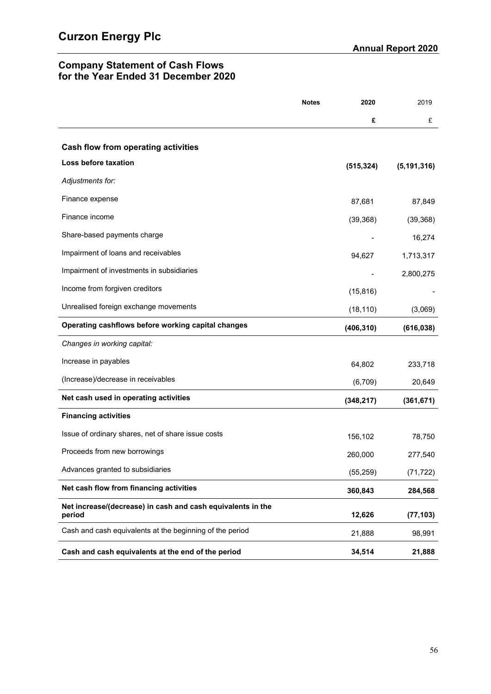# **Company Statement of Cash Flows for the Year Ended 31 December 2020**

|                                                                       | <b>Notes</b> | 2020       | 2019          |
|-----------------------------------------------------------------------|--------------|------------|---------------|
|                                                                       |              | £          | £             |
| Cash flow from operating activities                                   |              |            |               |
| Loss before taxation                                                  |              | (515, 324) | (5, 191, 316) |
| Adjustments for:                                                      |              |            |               |
| Finance expense                                                       |              | 87,681     | 87,849        |
| Finance income                                                        |              | (39, 368)  | (39, 368)     |
| Share-based payments charge                                           |              |            | 16,274        |
| Impairment of loans and receivables                                   |              | 94,627     | 1,713,317     |
| Impairment of investments in subsidiaries                             |              |            | 2,800,275     |
| Income from forgiven creditors                                        |              | (15, 816)  |               |
| Unrealised foreign exchange movements                                 |              | (18, 110)  | (3,069)       |
| Operating cashflows before working capital changes                    |              | (406, 310) | (616, 038)    |
| Changes in working capital:                                           |              |            |               |
| Increase in payables                                                  |              | 64,802     | 233,718       |
| (Increase)/decrease in receivables                                    |              | (6,709)    | 20,649        |
| Net cash used in operating activities                                 |              | (348, 217) | (361, 671)    |
| <b>Financing activities</b>                                           |              |            |               |
| Issue of ordinary shares, net of share issue costs                    |              | 156,102    | 78,750        |
| Proceeds from new borrowings                                          |              | 260,000    | 277,540       |
| Advances granted to subsidiaries                                      |              | (55, 259)  | (71, 722)     |
| Net cash flow from financing activities                               |              | 360,843    | 284,568       |
| Net increase/(decrease) in cash and cash equivalents in the<br>period |              | 12,626     | (77, 103)     |
| Cash and cash equivalents at the beginning of the period              |              | 21,888     | 98,991        |
| Cash and cash equivalents at the end of the period                    |              | 34,514     | 21,888        |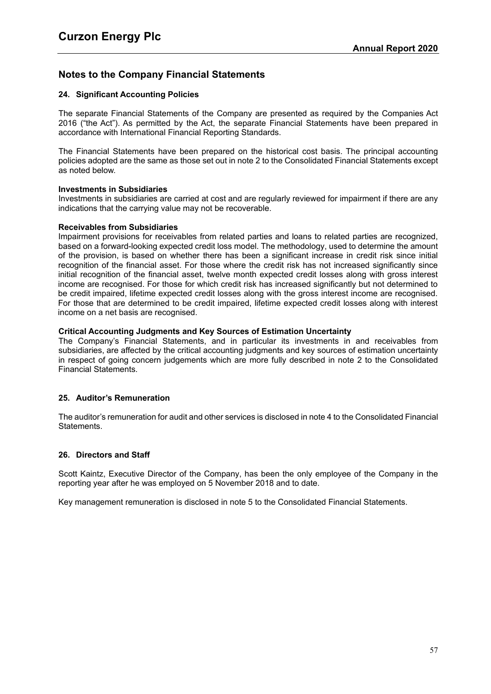# **Notes to the Company Financial Statements**

# **24. Significant Accounting Policies**

The separate Financial Statements of the Company are presented as required by the Companies Act 2016 ("the Act"). As permitted by the Act, the separate Financial Statements have been prepared in accordance with International Financial Reporting Standards.

The Financial Statements have been prepared on the historical cost basis. The principal accounting policies adopted are the same as those set out in note 2 to the Consolidated Financial Statements except as noted below.

## **Investments in Subsidiaries**

Investments in subsidiaries are carried at cost and are regularly reviewed for impairment if there are any indications that the carrying value may not be recoverable.

## **Receivables from Subsidiaries**

Impairment provisions for receivables from related parties and loans to related parties are recognized, based on a forward-looking expected credit loss model. The methodology, used to determine the amount of the provision, is based on whether there has been a significant increase in credit risk since initial recognition of the financial asset. For those where the credit risk has not increased significantly since initial recognition of the financial asset, twelve month expected credit losses along with gross interest income are recognised. For those for which credit risk has increased significantly but not determined to be credit impaired, lifetime expected credit losses along with the gross interest income are recognised. For those that are determined to be credit impaired, lifetime expected credit losses along with interest income on a net basis are recognised.

## **Critical Accounting Judgments and Key Sources of Estimation Uncertainty**

The Company's Financial Statements, and in particular its investments in and receivables from subsidiaries, are affected by the critical accounting judgments and key sources of estimation uncertainty in respect of going concern judgements which are more fully described in note [2](#page-29-1) to the Consolidated Financial Statements.

# **25. Auditor's Remuneration**

The auditor's remuneration for audit and other services is disclosed in note [4](#page-38-0) to the Consolidated Financial Statements.

# **26. Directors and Staff**

Scott Kaintz, Executive Director of the Company, has been the only employee of the Company in the reporting year after he was employed on 5 November 2018 and to date.

Key management remuneration is disclosed in note [5](#page-39-0) to the Consolidated Financial Statements.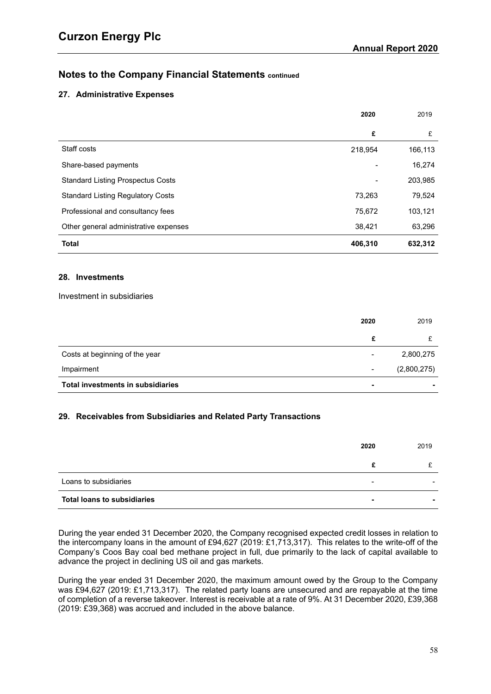# **27. Administrative Expenses**

|                                          | 2020    | 2019    |
|------------------------------------------|---------|---------|
|                                          | £       | £       |
| Staff costs                              | 218,954 | 166,113 |
| Share-based payments                     |         | 16,274  |
| <b>Standard Listing Prospectus Costs</b> |         | 203,985 |
| <b>Standard Listing Regulatory Costs</b> | 73,263  | 79,524  |
| Professional and consultancy fees        | 75,672  | 103,121 |
| Other general administrative expenses    | 38,421  | 63,296  |
| <b>Total</b>                             | 406,310 | 632,312 |

## <span id="page-60-0"></span>**28. Investments**

Investment in subsidiaries

|                                   | 2020           | 2019        |
|-----------------------------------|----------------|-------------|
|                                   | £              |             |
| Costs at beginning of the year    |                | 2,800,275   |
| Impairment                        | $\blacksquare$ | (2,800,275) |
| Total investments in subsidiaries | ۰              |             |

# <span id="page-60-1"></span>**29. Receivables from Subsidiaries and Related Party Transactions**

|                                    | 2020 | 2019 |
|------------------------------------|------|------|
|                                    | c    |      |
| Loans to subsidiaries              |      |      |
| <b>Total loans to subsidiaries</b> |      |      |

During the year ended 31 December 2020, the Company recognised expected credit losses in relation to the intercompany loans in the amount of £94,627 (2019: £1,713,317). This relates to the write-off of the Company's Coos Bay coal bed methane project in full, due primarily to the lack of capital available to advance the project in declining US oil and gas markets.

During the year ended 31 December 2020, the maximum amount owed by the Group to the Company was £94,627 (2019: £1,713,317). The related party loans are unsecured and are repayable at the time of completion of a reverse takeover. Interest is receivable at a rate of 9%. At 31 December 2020, £39,368 (2019: £39,368) was accrued and included in the above balance.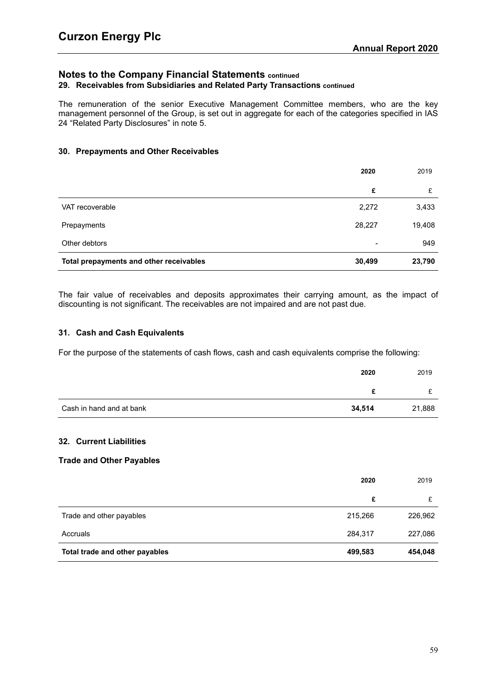# **Notes to the Company Financial Statements continued 29. Receivables from Subsidiaries and Related Party Transactions continued**

The remuneration of the senior Executive Management Committee members, who are the key management personnel of the Group, is set out in aggregate for each of the categories specified in IAS 24 "Related Party Disclosures" in note [5.](#page-39-0)

# <span id="page-61-0"></span>**30. Prepayments and Other Receivables**

|                                         | 2020                     | 2019   |
|-----------------------------------------|--------------------------|--------|
|                                         | £                        | £      |
| VAT recoverable                         | 2,272                    | 3,433  |
| Prepayments                             | 28,227                   | 19,408 |
| Other debtors                           | $\overline{\phantom{a}}$ | 949    |
| Total prepayments and other receivables | 30,499                   | 23,790 |

The fair value of receivables and deposits approximates their carrying amount, as the impact of discounting is not significant. The receivables are not impaired and are not past due.

## <span id="page-61-1"></span>**31. Cash and Cash Equivalents**

For the purpose of the statements of cash flows, cash and cash equivalents comprise the following:

|                          | 2020   | 2019   |
|--------------------------|--------|--------|
|                          |        |        |
| Cash in hand and at bank | 34,514 | 21,888 |

# **32. Current Liabilities**

#### **Trade and Other Payables**

|                                | 2020    | 2019    |
|--------------------------------|---------|---------|
|                                | £       |         |
| Trade and other payables       | 215,266 | 226,962 |
| Accruals                       | 284,317 | 227,086 |
| Total trade and other payables | 499,583 | 454,048 |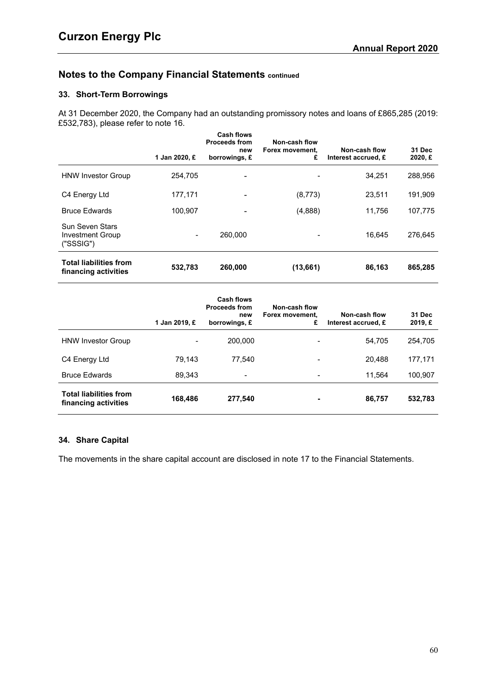# <span id="page-62-0"></span>**33. Short-Term Borrowings**

At 31 December 2020, the Company had an outstanding promissory notes and loans of £865,285 (2019: £532,783), please refer to note [16.](#page-45-2)

|                                                       | 1 Jan 2020, £                                                                                                                                     | <b>Cash flows</b><br><b>Proceeds from</b><br>new<br>borrowings, £ | Non-cash flow<br>Forex movement,<br>£ | Non-cash flow<br>Interest accrued, £ | 31 Dec<br>2020, E |
|-------------------------------------------------------|---------------------------------------------------------------------------------------------------------------------------------------------------|-------------------------------------------------------------------|---------------------------------------|--------------------------------------|-------------------|
| <b>HNW Investor Group</b>                             | 254,705                                                                                                                                           | -                                                                 |                                       | 34.251                               | 288,956           |
| C4 Energy Ltd                                         | 177,171                                                                                                                                           |                                                                   | (8,773)                               | 23,511                               | 191,909           |
| <b>Bruce Edwards</b>                                  | 100,907                                                                                                                                           |                                                                   | (4,888)                               | 11,756                               | 107,775           |
| Sun Seven Stars<br>Investment Group<br>("SSSIG")      | $\hskip1.6pt\hskip1.6pt\hskip1.6pt\hskip1.6pt\hskip1.6pt\hskip1.6pt\hskip1.6pt\hskip1.6pt\hskip1.6pt\hskip1.6pt\hskip1.6pt\hskip1.6pt\hskip1.6pt$ | 260,000                                                           |                                       | 16.645                               | 276,645           |
| <b>Total liabilities from</b><br>financing activities | 532,783                                                                                                                                           | 260,000                                                           | (13,661)                              | 86,163                               | 865,285           |

|                                                       | 1 Jan 2019, £ | <b>Cash flows</b><br><b>Proceeds from</b><br>new<br>borrowings, £ | Non-cash flow<br>Forex movement.<br>£ | Non-cash flow<br>Interest accrued, £ | 31 Dec<br>2019, E |
|-------------------------------------------------------|---------------|-------------------------------------------------------------------|---------------------------------------|--------------------------------------|-------------------|
| <b>HNW Investor Group</b>                             |               | 200,000                                                           |                                       | 54,705                               | 254,705           |
| C4 Energy Ltd                                         | 79,143        | 77,540                                                            |                                       | 20,488                               | 177,171           |
| <b>Bruce Edwards</b>                                  | 89,343        | $\overline{\phantom{0}}$                                          | $\overline{\phantom{a}}$              | 11.564                               | 100,907           |
| <b>Total liabilities from</b><br>financing activities | 168,486       | 277,540                                                           |                                       | 86,757                               | 532,783           |

# <span id="page-62-1"></span>**34. Share Capital**

The movements in the share capital account are disclosed in note [17](#page-47-0) to the Financial Statements.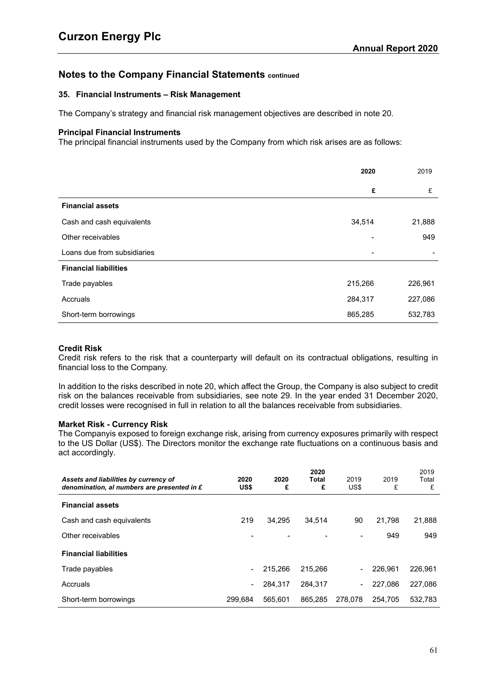## **35. Financial Instruments – Risk Management**

The Company's strategy and financial risk management objectives are described in note [20](#page-50-0).

#### **Principal Financial Instruments**

The principal financial instruments used by the Company from which risk arises are as follows:

|                              | 2020    | 2019    |
|------------------------------|---------|---------|
|                              | £       | £       |
| <b>Financial assets</b>      |         |         |
| Cash and cash equivalents    | 34,514  | 21,888  |
| Other receivables            |         | 949     |
| Loans due from subsidiaries  |         |         |
| <b>Financial liabilities</b> |         |         |
| Trade payables               | 215,266 | 226,961 |
| Accruals                     | 284,317 | 227,086 |
| Short-term borrowings        | 865,285 | 532,783 |

#### **Credit Risk**

Credit risk refers to the risk that a counterparty will default on its contractual obligations, resulting in financial loss to the Company.

In addition to the risks described in note [20,](#page-50-0) which affect the Group, the Company is also subject to credit risk on the balances receivable from subsidiaries, see note [29.](#page-60-1) In the year ended 31 December 2020, credit losses were recognised in full in relation to all the balances receivable from subsidiaries.

#### **Market Risk - Currency Risk**

The Companyis exposed to foreign exchange risk, arising from currency exposures primarily with respect to the US Dollar (US\$). The Directors monitor the exchange rate fluctuations on a continuous basis and act accordingly.

| Assets and liabilities by currency of<br>denomination, al numbers are presented in £ | 2020<br>US\$ | 2020<br>£ | 2020<br>Total<br>£ | 2019<br>US\$             | 2019<br>£ | 2019<br>Total<br>£ |
|--------------------------------------------------------------------------------------|--------------|-----------|--------------------|--------------------------|-----------|--------------------|
| <b>Financial assets</b>                                                              |              |           |                    |                          |           |                    |
| Cash and cash equivalents                                                            | 219          | 34.295    | 34,514             | 90                       | 21,798    | 21,888             |
| Other receivables                                                                    |              |           |                    |                          | 949       | 949                |
| <b>Financial liabilities</b>                                                         |              |           |                    |                          |           |                    |
| Trade payables                                                                       |              | 215,266   | 215.266            | $\overline{\phantom{a}}$ | 226.961   | 226.961            |
| Accruals                                                                             |              | 284,317   | 284.317            | $\overline{\phantom{a}}$ | 227.086   | 227,086            |
| Short-term borrowings                                                                | 299.684      | 565.601   | 865.285            | 278.078                  | 254.705   | 532.783            |